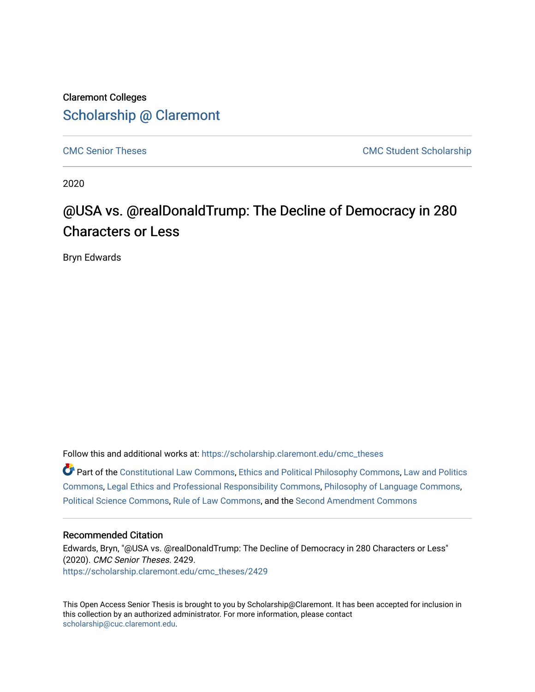## Claremont Colleges [Scholarship @ Claremont](https://scholarship.claremont.edu/)

[CMC Senior Theses](https://scholarship.claremont.edu/cmc_theses) CMC Student Scholarship

2020

# @USA vs. @realDonaldTrump: The Decline of Democracy in 280 Characters or Less

Bryn Edwards

Follow this and additional works at: [https://scholarship.claremont.edu/cmc\\_theses](https://scholarship.claremont.edu/cmc_theses?utm_source=scholarship.claremont.edu%2Fcmc_theses%2F2429&utm_medium=PDF&utm_campaign=PDFCoverPages) 

Part of the [Constitutional Law Commons,](http://network.bepress.com/hgg/discipline/589?utm_source=scholarship.claremont.edu%2Fcmc_theses%2F2429&utm_medium=PDF&utm_campaign=PDFCoverPages) [Ethics and Political Philosophy Commons,](http://network.bepress.com/hgg/discipline/529?utm_source=scholarship.claremont.edu%2Fcmc_theses%2F2429&utm_medium=PDF&utm_campaign=PDFCoverPages) [Law and Politics](http://network.bepress.com/hgg/discipline/867?utm_source=scholarship.claremont.edu%2Fcmc_theses%2F2429&utm_medium=PDF&utm_campaign=PDFCoverPages)  [Commons](http://network.bepress.com/hgg/discipline/867?utm_source=scholarship.claremont.edu%2Fcmc_theses%2F2429&utm_medium=PDF&utm_campaign=PDFCoverPages), [Legal Ethics and Professional Responsibility Commons,](http://network.bepress.com/hgg/discipline/895?utm_source=scholarship.claremont.edu%2Fcmc_theses%2F2429&utm_medium=PDF&utm_campaign=PDFCoverPages) [Philosophy of Language Commons,](http://network.bepress.com/hgg/discipline/534?utm_source=scholarship.claremont.edu%2Fcmc_theses%2F2429&utm_medium=PDF&utm_campaign=PDFCoverPages) [Political Science Commons,](http://network.bepress.com/hgg/discipline/386?utm_source=scholarship.claremont.edu%2Fcmc_theses%2F2429&utm_medium=PDF&utm_campaign=PDFCoverPages) [Rule of Law Commons](http://network.bepress.com/hgg/discipline/1122?utm_source=scholarship.claremont.edu%2Fcmc_theses%2F2429&utm_medium=PDF&utm_campaign=PDFCoverPages), and the [Second Amendment Commons](http://network.bepress.com/hgg/discipline/1119?utm_source=scholarship.claremont.edu%2Fcmc_theses%2F2429&utm_medium=PDF&utm_campaign=PDFCoverPages) 

#### Recommended Citation

Edwards, Bryn, "@USA vs. @realDonaldTrump: The Decline of Democracy in 280 Characters or Less" (2020). CMC Senior Theses. 2429. [https://scholarship.claremont.edu/cmc\\_theses/2429](https://scholarship.claremont.edu/cmc_theses/2429?utm_source=scholarship.claremont.edu%2Fcmc_theses%2F2429&utm_medium=PDF&utm_campaign=PDFCoverPages) 

This Open Access Senior Thesis is brought to you by Scholarship@Claremont. It has been accepted for inclusion in this collection by an authorized administrator. For more information, please contact [scholarship@cuc.claremont.edu.](mailto:scholarship@cuc.claremont.edu)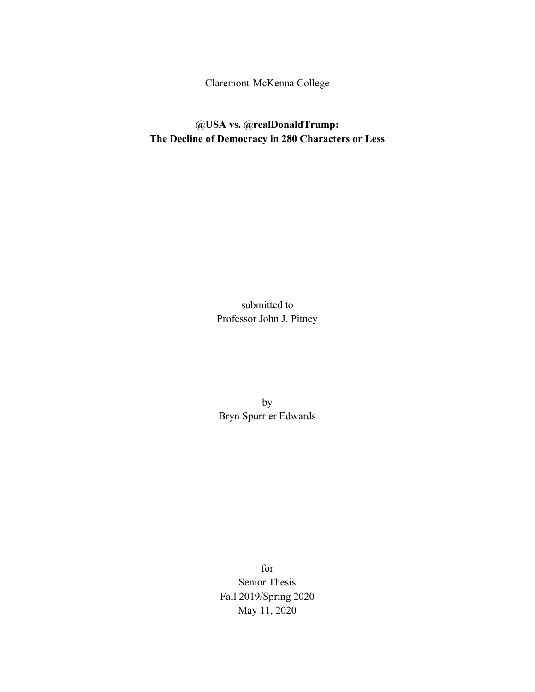Claremont-McKenna College

**@USA vs. @realDonaldTrump: The Decline of Democracy in 280 Characters or Less**

> submitted to Professor John J. Pitney

by Bryn Spurrier Edwards

for Senior Thesis Fall 2019/Spring 2020 May 11, 2020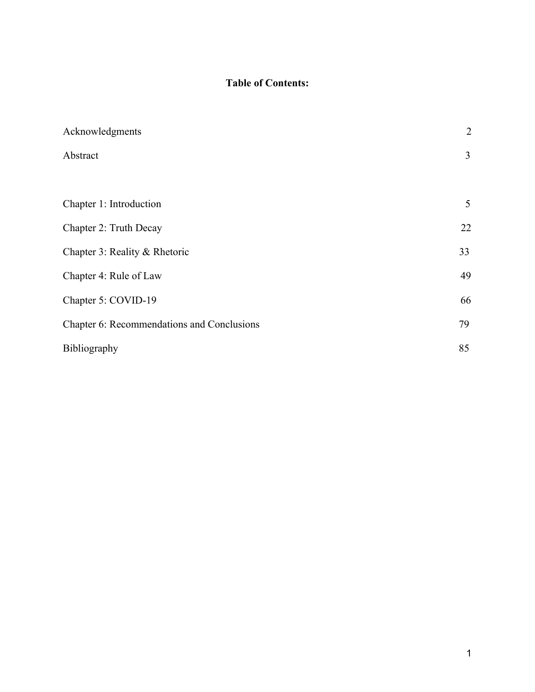### **Table of Contents:**

| Acknowledgments                            | $\overline{2}$ |
|--------------------------------------------|----------------|
| Abstract                                   | $\overline{3}$ |
|                                            |                |
| Chapter 1: Introduction                    | 5              |
| Chapter 2: Truth Decay                     | 22             |
| Chapter 3: Reality & Rhetoric              | 33             |
| Chapter 4: Rule of Law                     | 49             |
| Chapter 5: COVID-19                        | 66             |
| Chapter 6: Recommendations and Conclusions | 79             |
| Bibliography                               | 85             |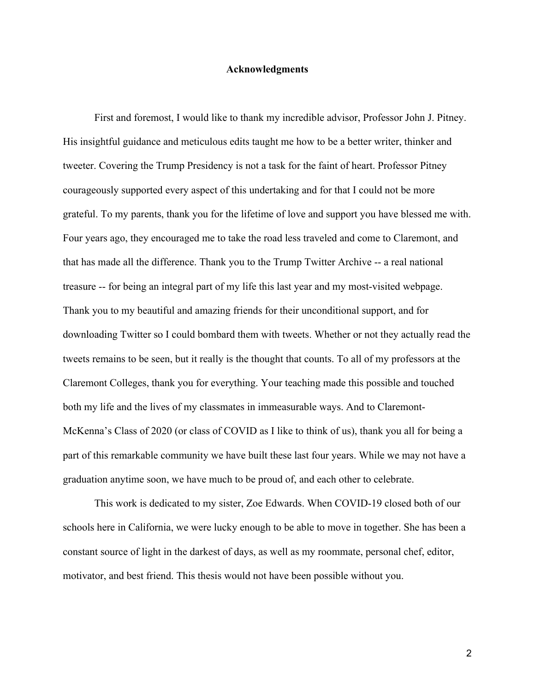#### **Acknowledgments**

First and foremost, I would like to thank my incredible advisor, Professor John J. Pitney. His insightful guidance and meticulous edits taught me how to be a better writer, thinker and tweeter. Covering the Trump Presidency is not a task for the faint of heart. Professor Pitney courageously supported every aspect of this undertaking and for that I could not be more grateful. To my parents, thank you for the lifetime of love and support you have blessed me with. Four years ago, they encouraged me to take the road less traveled and come to Claremont, and that has made all the difference. Thank you to the Trump Twitter Archive -- a real national treasure -- for being an integral part of my life this last year and my most-visited webpage. Thank you to my beautiful and amazing friends for their unconditional support, and for downloading Twitter so I could bombard them with tweets. Whether or not they actually read the tweets remains to be seen, but it really is the thought that counts. To all of my professors at the Claremont Colleges, thank you for everything. Your teaching made this possible and touched both my life and the lives of my classmates in immeasurable ways. And to Claremont-McKenna's Class of 2020 (or class of COVID as I like to think of us), thank you all for being a part of this remarkable community we have built these last four years. While we may not have a graduation anytime soon, we have much to be proud of, and each other to celebrate.

This work is dedicated to my sister, Zoe Edwards. When COVID-19 closed both of our schools here in California, we were lucky enough to be able to move in together. She has been a constant source of light in the darkest of days, as well as my roommate, personal chef, editor, motivator, and best friend. This thesis would not have been possible without you.

2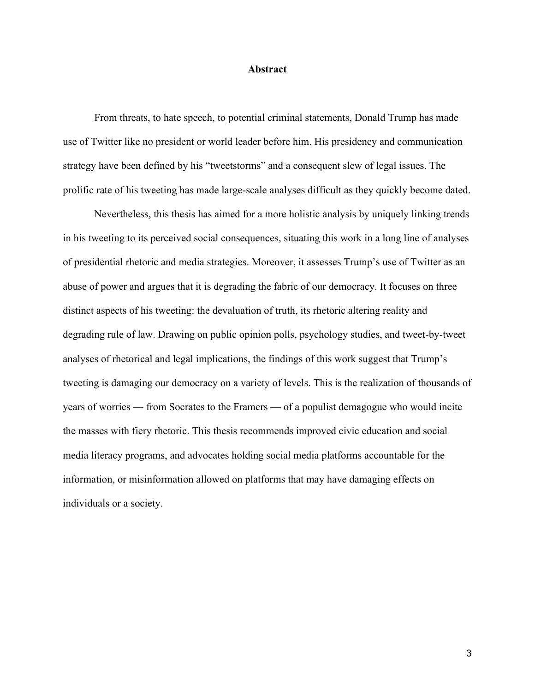#### **Abstract**

From threats, to hate speech, to potential criminal statements, Donald Trump has made use of Twitter like no president or world leader before him. His presidency and communication strategy have been defined by his "tweetstorms" and a consequent slew of legal issues. The prolific rate of his tweeting has made large-scale analyses difficult as they quickly become dated.

Nevertheless, this thesis has aimed for a more holistic analysis by uniquely linking trends in his tweeting to its perceived social consequences, situating this work in a long line of analyses of presidential rhetoric and media strategies. Moreover, it assesses Trump's use of Twitter as an abuse of power and argues that it is degrading the fabric of our democracy. It focuses on three distinct aspects of his tweeting: the devaluation of truth, its rhetoric altering reality and degrading rule of law. Drawing on public opinion polls, psychology studies, and tweet-by-tweet analyses of rhetorical and legal implications, the findings of this work suggest that Trump's tweeting is damaging our democracy on a variety of levels. This is the realization of thousands of years of worries — from Socrates to the Framers — of a populist demagogue who would incite the masses with fiery rhetoric. This thesis recommends improved civic education and social media literacy programs, and advocates holding social media platforms accountable for the information, or misinformation allowed on platforms that may have damaging effects on individuals or a society.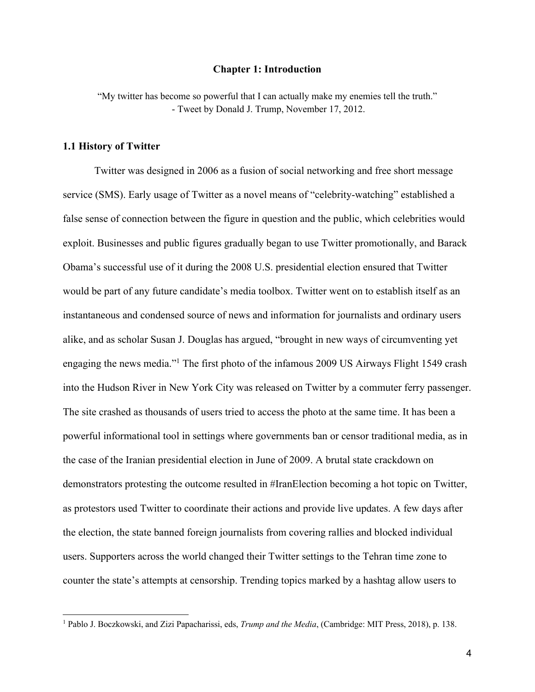#### **Chapter 1: Introduction**

"My twitter has become so powerful that I can actually make my enemies tell the truth." - Tweet by Donald J. Trump, November 17, 2012.

#### **1.1 History of Twitter**

Twitter was designed in 2006 as a fusion of social networking and free short message service (SMS). Early usage of Twitter as a novel means of "celebrity-watching" established a false sense of connection between the figure in question and the public, which celebrities would exploit. Businesses and public figures gradually began to use Twitter promotionally, and Barack Obama's successful use of it during the 2008 U.S. presidential election ensured that Twitter would be part of any future candidate's media toolbox. Twitter went on to establish itself as an instantaneous and condensed source of news and information for journalists and ordinary users alike, and as scholar Susan J. Douglas has argued, "brought in new ways of circumventing yet engaging the news media."1 The first photo of the infamous 2009 US Airways Flight 1549 crash into the Hudson River in New York City was released on Twitter by a commuter ferry passenger. The site crashed as thousands of users tried to access the photo at the same time. It has been a powerful informational tool in settings where governments ban or censor traditional media, as in the case of the Iranian presidential election in June of 2009. A brutal state crackdown on demonstrators protesting the outcome resulted in #IranElection becoming a hot topic on Twitter, as protestors used Twitter to coordinate their actions and provide live updates. A few days after the election, the state banned foreign journalists from covering rallies and blocked individual users. Supporters across the world changed their Twitter settings to the Tehran time zone to counter the state's attempts at censorship. Trending topics marked by a hashtag allow users to

<sup>1</sup> Pablo J. Boczkowski, and Zizi Papacharissi, eds, *Trump and the Media*, (Cambridge: MIT Press, 2018), p. 138.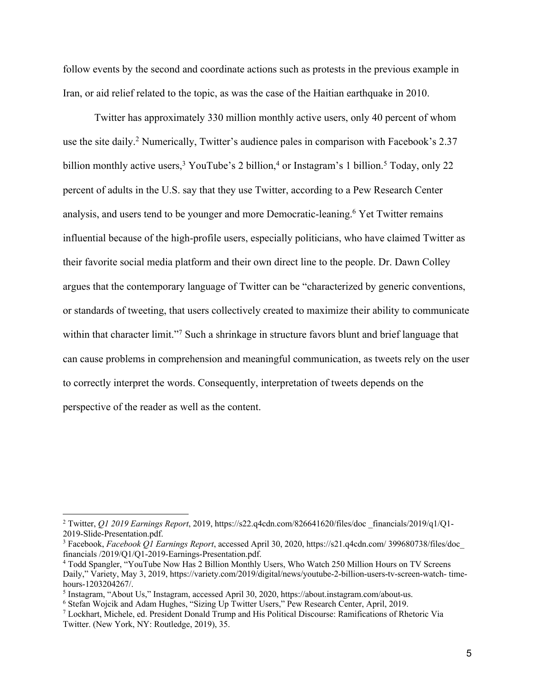follow events by the second and coordinate actions such as protests in the previous example in Iran, or aid relief related to the topic, as was the case of the Haitian earthquake in 2010.

Twitter has approximately 330 million monthly active users, only 40 percent of whom use the site daily.<sup>2</sup> Numerically, Twitter's audience pales in comparison with Facebook's 2.37 billion monthly active users,<sup>3</sup> YouTube's 2 billion,<sup>4</sup> or Instagram's 1 billion.<sup>5</sup> Today, only 22 percent of adults in the U.S. say that they use Twitter, according to a Pew Research Center analysis, and users tend to be younger and more Democratic-leaning.6 Yet Twitter remains influential because of the high-profile users, especially politicians, who have claimed Twitter as their favorite social media platform and their own direct line to the people. Dr. Dawn Colley argues that the contemporary language of Twitter can be "characterized by generic conventions, or standards of tweeting, that users collectively created to maximize their ability to communicate within that character limit."<sup>7</sup> Such a shrinkage in structure favors blunt and brief language that can cause problems in comprehension and meaningful communication, as tweets rely on the user to correctly interpret the words. Consequently, interpretation of tweets depends on the perspective of the reader as well as the content.

<sup>2</sup> Twitter, *Q1 2019 Earnings Report*, 2019, https://s22.q4cdn.com/826641620/files/doc \_financials/2019/q1/Q1- 2019-Slide-Presentation.pdf.

<sup>3</sup> Facebook, *Facebook Q1 Earnings Report*, accessed April 30, 2020, https://s21.q4cdn.com/ 399680738/files/doc\_ financials /2019/Q1/Q1-2019-Earnings-Presentation.pdf.

<sup>4</sup> Todd Spangler, "YouTube Now Has 2 Billion Monthly Users, Who Watch 250 Million Hours on TV Screens Daily," Variety, May 3, 2019, https://variety.com/2019/digital/news/youtube-2-billion-users-tv-screen-watch- timehours-1203204267/.

<sup>5</sup> Instagram, "About Us," Instagram, accessed April 30, 2020, https://about.instagram.com/about-us.

<sup>6</sup> Stefan Wojcik and Adam Hughes, "Sizing Up Twitter Users," Pew Research Center, April, 2019.

<sup>7</sup> Lockhart, Michele, ed. President Donald Trump and His Political Discourse: Ramifications of Rhetoric Via Twitter. (New York, NY: Routledge, 2019), 35.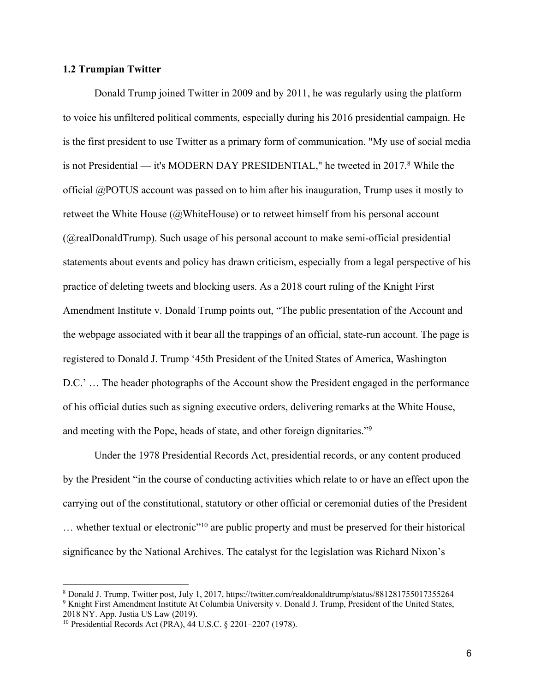#### **1.2 Trumpian Twitter**

Donald Trump joined Twitter in 2009 and by 2011, he was regularly using the platform to voice his unfiltered political comments, especially during his 2016 presidential campaign. He is the first president to use Twitter as a primary form of communication. "My use of social media is not Presidential — it's MODERN DAY PRESIDENTIAL," he tweeted in 2017.8 While the official @POTUS account was passed on to him after his inauguration, Trump uses it mostly to retweet the White House (@WhiteHouse) or to retweet himself from his personal account (@realDonaldTrump). Such usage of his personal account to make semi-official presidential statements about events and policy has drawn criticism, especially from a legal perspective of his practice of deleting tweets and blocking users. As a 2018 court ruling of the Knight First Amendment Institute v. Donald Trump points out, "The public presentation of the Account and the webpage associated with it bear all the trappings of an official, state-run account. The page is registered to Donald J. Trump '45th President of the United States of America, Washington D.C.' … The header photographs of the Account show the President engaged in the performance of his official duties such as signing executive orders, delivering remarks at the White House, and meeting with the Pope, heads of state, and other foreign dignitaries."9

Under the 1978 Presidential Records Act, presidential records, or any content produced by the President "in the course of conducting activities which relate to or have an effect upon the carrying out of the constitutional, statutory or other official or ceremonial duties of the President … whether textual or electronic"10 are public property and must be preserved for their historical significance by the National Archives. The catalyst for the legislation was Richard Nixon's

<sup>8</sup> Donald J. Trump, Twitter post, July 1, 2017, https://twitter.com/realdonaldtrump/status/881281755017355264 <sup>9</sup> Knight First Amendment Institute At Columbia University v. Donald J. Trump, President of the United States, 2018 NY. App. Justia US Law (2019).

<sup>10</sup> Presidential Records Act (PRA), 44 U.S.C. § 2201–2207 (1978).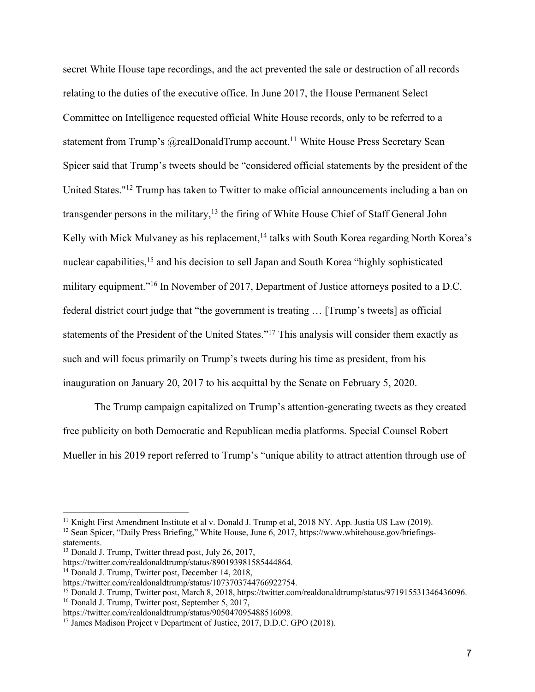secret White House tape recordings, and the act prevented the sale or destruction of all records relating to the duties of the executive office. In June 2017, the House Permanent Select Committee on Intelligence requested official White House records, only to be referred to a statement from Trump's @realDonaldTrump account.<sup>11</sup> White House Press Secretary Sean Spicer said that Trump's tweets should be "considered official statements by the president of the United States."12 Trump has taken to Twitter to make official announcements including a ban on transgender persons in the military,<sup>13</sup> the firing of White House Chief of Staff General John Kelly with Mick Mulvaney as his replacement,<sup>14</sup> talks with South Korea regarding North Korea's nuclear capabilities,<sup>15</sup> and his decision to sell Japan and South Korea "highly sophisticated military equipment."<sup>16</sup> In November of 2017, Department of Justice attorneys posited to a D.C. federal district court judge that "the government is treating … [Trump's tweets] as official statements of the President of the United States."17 This analysis will consider them exactly as such and will focus primarily on Trump's tweets during his time as president, from his inauguration on January 20, 2017 to his acquittal by the Senate on February 5, 2020.

The Trump campaign capitalized on Trump's attention-generating tweets as they created free publicity on both Democratic and Republican media platforms. Special Counsel Robert Mueller in his 2019 report referred to Trump's "unique ability to attract attention through use of

<sup>&</sup>lt;sup>11</sup> Knight First Amendment Institute et al v. Donald J. Trump et al, 2018 NY. App. Justia US Law (2019).

<sup>&</sup>lt;sup>12</sup> Sean Spicer, "Daily Press Briefing," White House, June 6, 2017, https://www.whitehouse.gov/briefingsstatements.

<sup>&</sup>lt;sup>13</sup> Donald J. Trump, Twitter thread post, July 26, 2017,

https://twitter.com/realdonaldtrump/status/890193981585444864.

<sup>14</sup> Donald J. Trump, Twitter post, December 14, 2018,

https://twitter.com/realdonaldtrump/status/1073703744766922754.

<sup>&</sup>lt;sup>15</sup> Donald J. Trump, Twitter post, March 8, 2018, https://twitter.com/realdonaldtrump/status/971915531346436096.

<sup>16</sup> Donald J. Trump, Twitter post, September 5, 2017,

https://twitter.com/realdonaldtrump/status/905047095488516098.

<sup>&</sup>lt;sup>17</sup> James Madison Project v Department of Justice, 2017, D.D.C. GPO (2018).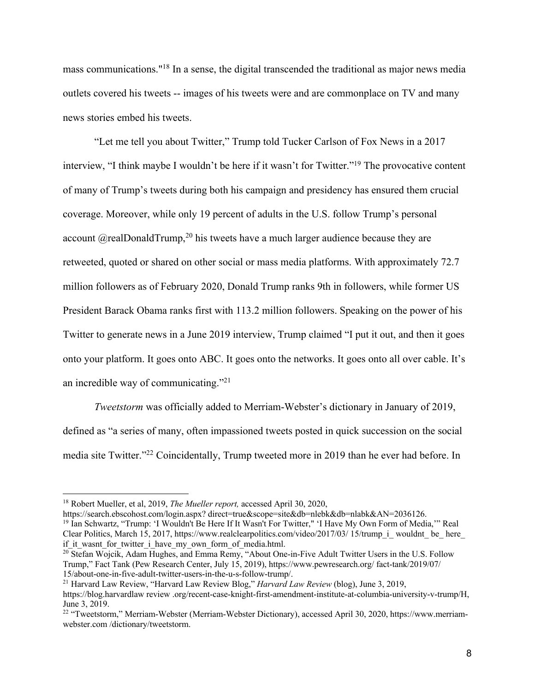mass communications."18 In a sense, the digital transcended the traditional as major news media outlets covered his tweets -- images of his tweets were and are commonplace on TV and many news stories embed his tweets.

"Let me tell you about Twitter," Trump told Tucker Carlson of Fox News in a 2017 interview, "I think maybe I wouldn't be here if it wasn't for Twitter."19 The provocative content of many of Trump's tweets during both his campaign and presidency has ensured them crucial coverage. Moreover, while only 19 percent of adults in the U.S. follow Trump's personal account  $(a$  realDonaldTrump,<sup>20</sup> his tweets have a much larger audience because they are retweeted, quoted or shared on other social or mass media platforms. With approximately 72.7 million followers as of February 2020, Donald Trump ranks 9th in followers, while former US President Barack Obama ranks first with 113.2 million followers. Speaking on the power of his Twitter to generate news in a June 2019 interview, Trump claimed "I put it out, and then it goes onto your platform. It goes onto ABC. It goes onto the networks. It goes onto all over cable. It's an incredible way of communicating."21

*Tweetstorm* was officially added to Merriam-Webster's dictionary in January of 2019, defined as "a series of many, often impassioned tweets posted in quick succession on the social media site Twitter."22 Coincidentally, Trump tweeted more in 2019 than he ever had before. In

<sup>21</sup> Harvard Law Review, "Harvard Law Review Blog," *Harvard Law Review* (blog), June 3, 2019,

<sup>18</sup> Robert Mueller, et al, 2019, *The Mueller report,* accessed April 30, 2020,

https://search.ebscohost.com/login.aspx? direct=true&scope=site&db=nlebk&db=nlabk&AN=2036126.

<sup>&</sup>lt;sup>19</sup> Ian Schwartz, "Trump: 'I Wouldn't Be Here If It Wasn't For Twitter," 'I Have My Own Form of Media," Real Clear Politics, March 15, 2017, https://www.realclearpolitics.com/video/2017/03/ 15/trump\_i\_wouldnt\_ be\_here if it wasnt for twitter i have my own form of media.html.

<sup>&</sup>lt;sup>20</sup> Stefan Wojcik, Adam Hughes, and Emma Remy, "About One-in-Five Adult Twitter Users in the U.S. Follow Trump," Fact Tank (Pew Research Center, July 15, 2019), https://www.pewresearch.org/ fact-tank/2019/07/ 15/about-one-in-five-adult-twitter-users-in-the-u-s-follow-trump/.

https://blog.harvardlaw review .org/recent-case-knight-first-amendment-institute-at-columbia-university-v-trump/H, June 3, 2019.

<sup>&</sup>lt;sup>22</sup> "Tweetstorm," Merriam-Webster (Merriam-Webster Dictionary), accessed April 30, 2020, https://www.merriamwebster.com /dictionary/tweetstorm.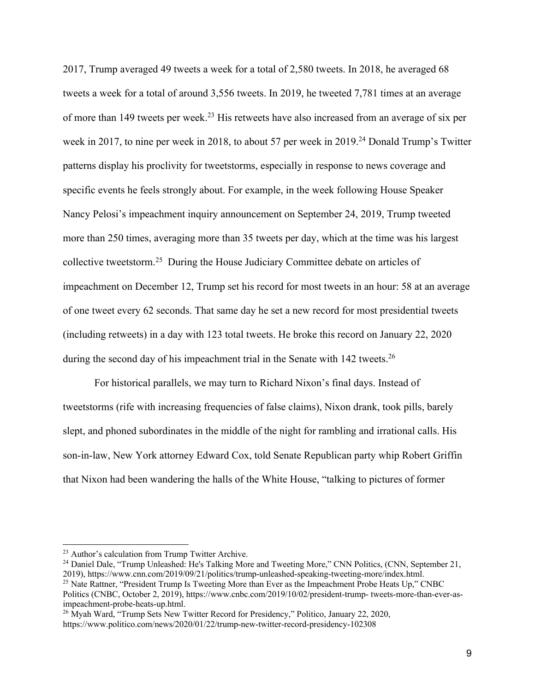2017, Trump averaged 49 tweets a week for a total of 2,580 tweets. In 2018, he averaged 68 tweets a week for a total of around 3,556 tweets. In 2019, he tweeted 7,781 times at an average of more than 149 tweets per week.23 His retweets have also increased from an average of six per week in 2017, to nine per week in 2018, to about 57 per week in 2019.<sup>24</sup> Donald Trump's Twitter patterns display his proclivity for tweetstorms, especially in response to news coverage and specific events he feels strongly about. For example, in the week following House Speaker Nancy Pelosi's impeachment inquiry announcement on September 24, 2019, Trump tweeted more than 250 times, averaging more than 35 tweets per day, which at the time was his largest collective tweetstorm.25 During the House Judiciary Committee debate on articles of impeachment on December 12, Trump set his record for most tweets in an hour: 58 at an average of one tweet every 62 seconds. That same day he set a new record for most presidential tweets (including retweets) in a day with 123 total tweets. He broke this record on January 22, 2020 during the second day of his impeachment trial in the Senate with 142 tweets.<sup>26</sup>

For historical parallels, we may turn to Richard Nixon's final days. Instead of tweetstorms (rife with increasing frequencies of false claims), Nixon drank, took pills, barely slept, and phoned subordinates in the middle of the night for rambling and irrational calls. His son-in-law, New York attorney Edward Cox, told Senate Republican party whip Robert Griffin that Nixon had been wandering the halls of the White House, "talking to pictures of former

<sup>26</sup> Myah Ward, "Trump Sets New Twitter Record for Presidency," Politico, January 22, 2020, https://www.politico.com/news/2020/01/22/trump-new-twitter-record-presidency-102308

<sup>&</sup>lt;sup>23</sup> Author's calculation from Trump Twitter Archive.

<sup>&</sup>lt;sup>24</sup> Daniel Dale, "Trump Unleashed: He's Talking More and Tweeting More," CNN Politics, (CNN, September 21, 2019), https://www.cnn.com/2019/09/21/politics/trump-unleashed-speaking-tweeting-more/index.html.

<sup>&</sup>lt;sup>25</sup> Nate Rattner, "President Trump Is Tweeting More than Ever as the Impeachment Probe Heats Up," CNBC Politics (CNBC, October 2, 2019), https://www.cnbc.com/2019/10/02/president-trump- tweets-more-than-ever-asimpeachment-probe-heats-up.html.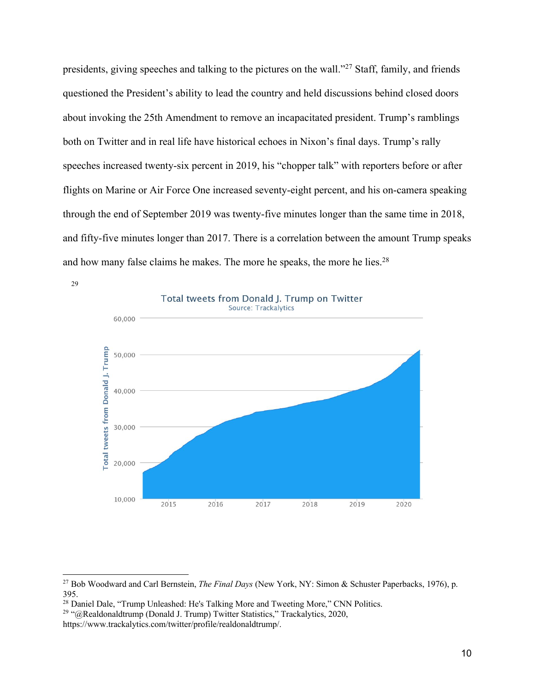presidents, giving speeches and talking to the pictures on the wall."27 Staff, family, and friends questioned the President's ability to lead the country and held discussions behind closed doors about invoking the 25th Amendment to remove an incapacitated president. Trump's ramblings both on Twitter and in real life have historical echoes in Nixon's final days. Trump's rally speeches increased twenty-six percent in 2019, his "chopper talk" with reporters before or after flights on Marine or Air Force One increased seventy-eight percent, and his on-camera speaking through the end of September 2019 was twenty-five minutes longer than the same time in 2018, and fifty-five minutes longer than 2017. There is a correlation between the amount Trump speaks and how many false claims he makes. The more he speaks, the more he lies.<sup>28</sup>



29

<sup>27</sup> Bob Woodward and Carl Bernstein, *The Final Days* (New York, NY: Simon & Schuster Paperbacks, 1976), p. 395.

<sup>&</sup>lt;sup>28</sup> Daniel Dale, "Trump Unleashed: He's Talking More and Tweeting More," CNN Politics.

<sup>&</sup>lt;sup>29</sup> "@Realdonaldtrump (Donald J. Trump) Twitter Statistics," Trackalytics, 2020,

https://www.trackalytics.com/twitter/profile/realdonaldtrump/.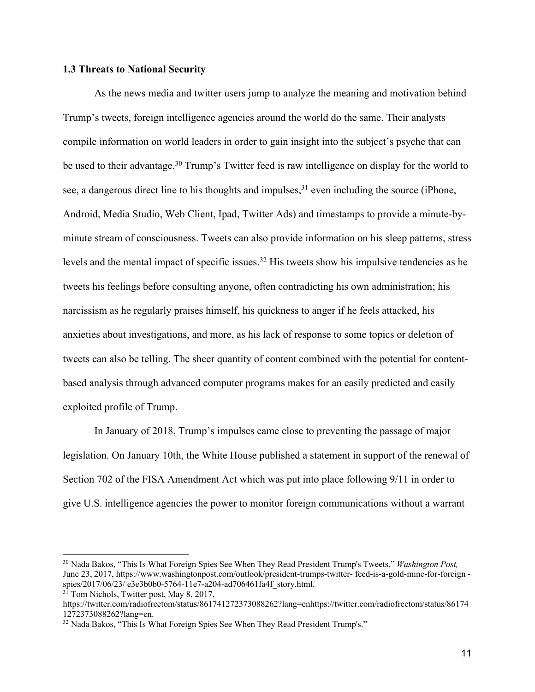#### **1.3 Threats to National Security**

As the news media and twitter users jump to analyze the meaning and motivation behind Trump's tweets, foreign intelligence agencies around the world do the same. Their analysts compile information on world leaders in order to gain insight into the subject's psyche that can be used to their advantage.<sup>30</sup> Trump's Twitter feed is raw intelligence on display for the world to see, a dangerous direct line to his thoughts and impulses,  $31$  even including the source (iPhone, Android, Media Studio, Web Client, Ipad, Twitter Ads) and timestamps to provide a minute-byminute stream of consciousness. Tweets can also provide information on his sleep patterns, stress levels and the mental impact of specific issues.32 His tweets show his impulsive tendencies as he tweets his feelings before consulting anyone, often contradicting his own administration; his narcissism as he regularly praises himself, his quickness to anger if he feels attacked, his anxieties about investigations, and more, as his lack of response to some topics or deletion of tweets can also be telling. The sheer quantity of content combined with the potential for contentbased analysis through advanced computer programs makes for an easily predicted and easily exploited profile of Trump.

In January of 2018, Trump's impulses came close to preventing the passage of major legislation. On January 10th, the White House published a statement in support of the renewal of Section 702 of the FISA Amendment Act which was put into place following 9/11 in order to give U.S. intelligence agencies the power to monitor foreign communications without a warrant

<sup>30</sup> Nada Bakos, "This Is What Foreign Spies See When They Read President Trump's Tweets," *Washington Post,*  June 23, 2017, https://www.washingtonpost.com/outlook/president-trumps-twitter- feed-is-a-gold-mine-for-foreign spies/2017/06/23/ e3e3b0b0-5764-11e7-a204-ad706461fa4f\_story.html.

 $3\overline{1}$  Tom Nichols, Twitter post, May 8, 2017,

https://twitter.com/radiofreetom/status/861741272373088262?lang=enhttps://twitter.com/radiofreetom/status/86174 1272373088262?lang=en.

<sup>&</sup>lt;sup>32</sup> Nada Bakos, "This Is What Foreign Spies See When They Read President Trump's."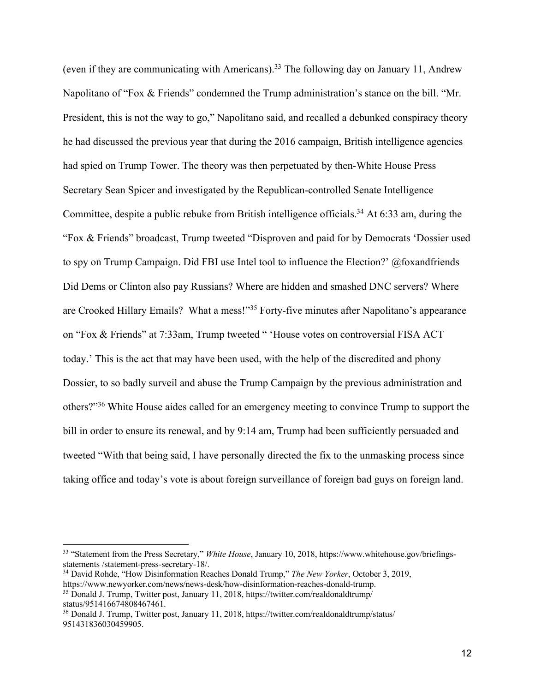(even if they are communicating with Americans).<sup>33</sup> The following day on January 11, Andrew Napolitano of "Fox & Friends" condemned the Trump administration's stance on the bill. "Mr. President, this is not the way to go," Napolitano said, and recalled a debunked conspiracy theory he had discussed the previous year that during the 2016 campaign, British intelligence agencies had spied on Trump Tower. The theory was then perpetuated by then-White House Press Secretary Sean Spicer and investigated by the Republican-controlled Senate Intelligence Committee, despite a public rebuke from British intelligence officials.34 At 6:33 am, during the "Fox & Friends" broadcast, Trump tweeted "Disproven and paid for by Democrats 'Dossier used to spy on Trump Campaign. Did FBI use Intel tool to influence the Election?' @foxandfriends Did Dems or Clinton also pay Russians? Where are hidden and smashed DNC servers? Where are Crooked Hillary Emails? What a mess!"<sup>35</sup> Forty-five minutes after Napolitano's appearance on "Fox & Friends" at 7:33am, Trump tweeted " 'House votes on controversial FISA ACT today.' This is the act that may have been used, with the help of the discredited and phony Dossier, to so badly surveil and abuse the Trump Campaign by the previous administration and others?"36 White House aides called for an emergency meeting to convince Trump to support the bill in order to ensure its renewal, and by 9:14 am, Trump had been sufficiently persuaded and tweeted "With that being said, I have personally directed the fix to the unmasking process since taking office and today's vote is about foreign surveillance of foreign bad guys on foreign land.

<sup>33</sup> "Statement from the Press Secretary," *White House*, January 10, 2018, https://www.whitehouse.gov/briefingsstatements /statement-press-secretary-18/.

<sup>34</sup> David Rohde, "How Disinformation Reaches Donald Trump," *The New Yorker*, October 3, 2019, https://www.newyorker.com/news/news-desk/how-disinformation-reaches-donald-trump.

<sup>35</sup> Donald J. Trump, Twitter post, January 11, 2018, https://twitter.com/realdonaldtrump/ status/951416674808467461.

<sup>36</sup> Donald J. Trump, Twitter post, January 11, 2018, https://twitter.com/realdonaldtrump/status/ 951431836030459905.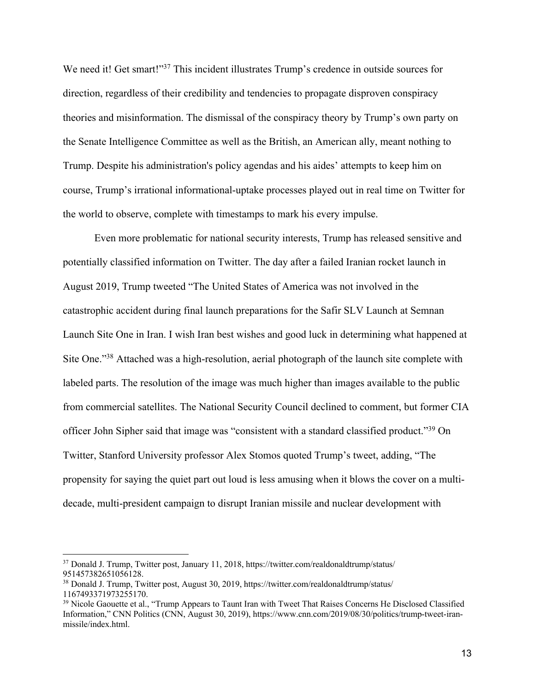We need it! Get smart!"<sup>37</sup> This incident illustrates Trump's credence in outside sources for direction, regardless of their credibility and tendencies to propagate disproven conspiracy theories and misinformation. The dismissal of the conspiracy theory by Trump's own party on the Senate Intelligence Committee as well as the British, an American ally, meant nothing to Trump. Despite his administration's policy agendas and his aides' attempts to keep him on course, Trump's irrational informational-uptake processes played out in real time on Twitter for the world to observe, complete with timestamps to mark his every impulse.

Even more problematic for national security interests, Trump has released sensitive and potentially classified information on Twitter. The day after a failed Iranian rocket launch in August 2019, Trump tweeted "The United States of America was not involved in the catastrophic accident during final launch preparations for the Safir SLV Launch at Semnan Launch Site One in Iran. I wish Iran best wishes and good luck in determining what happened at Site One."38 Attached was a high-resolution, aerial photograph of the launch site complete with labeled parts. The resolution of the image was much higher than images available to the public from commercial satellites. The National Security Council declined to comment, but former CIA officer John Sipher said that image was "consistent with a standard classified product."<sup>39</sup> On Twitter, Stanford University professor Alex Stomos quoted Trump's tweet, adding, "The propensity for saying the quiet part out loud is less amusing when it blows the cover on a multidecade, multi-president campaign to disrupt Iranian missile and nuclear development with

<sup>37</sup> Donald J. Trump, Twitter post, January 11, 2018, https://twitter.com/realdonaldtrump/status/ 951457382651056128.

<sup>38</sup> Donald J. Trump, Twitter post, August 30, 2019, https://twitter.com/realdonaldtrump/status/ 1167493371973255170.<br><sup>39</sup> Nicole Gaouette et al., "Trump Appears to Taunt Iran with Tweet That Raises Concerns He Disclosed Classified

Information," CNN Politics (CNN, August 30, 2019), https://www.cnn.com/2019/08/30/politics/trump-tweet-iranmissile/index.html.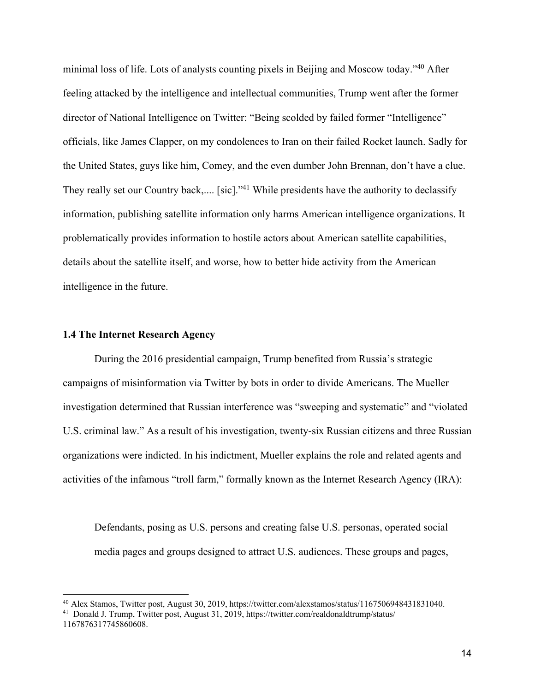minimal loss of life. Lots of analysts counting pixels in Beijing and Moscow today."40 After feeling attacked by the intelligence and intellectual communities, Trump went after the former director of National Intelligence on Twitter: "Being scolded by failed former "Intelligence" officials, like James Clapper, on my condolences to Iran on their failed Rocket launch. Sadly for the United States, guys like him, Comey, and the even dumber John Brennan, don't have a clue. They really set our Country back,.... [sic]."<sup>41</sup> While presidents have the authority to declassify information, publishing satellite information only harms American intelligence organizations. It problematically provides information to hostile actors about American satellite capabilities, details about the satellite itself, and worse, how to better hide activity from the American intelligence in the future.

#### **1.4 The Internet Research Agency**

During the 2016 presidential campaign, Trump benefited from Russia's strategic campaigns of misinformation via Twitter by bots in order to divide Americans. The Mueller investigation determined that Russian interference was "sweeping and systematic" and "violated U.S. criminal law." As a result of his investigation, twenty-six Russian citizens and three Russian organizations were indicted. In his indictment, Mueller explains the role and related agents and activities of the infamous "troll farm," formally known as the Internet Research Agency (IRA):

Defendants, posing as U.S. persons and creating false U.S. personas, operated social media pages and groups designed to attract U.S. audiences. These groups and pages,

<sup>&</sup>lt;sup>40</sup> Alex Stamos, Twitter post, August 30, 2019, https://twitter.com/alexstamos/status/1167506948431831040.<br><sup>41</sup> Donald J. Trump, Twitter post, August 31, 2019, https://twitter.com/realdonaldtrump/status/

<sup>1167876317745860608.</sup>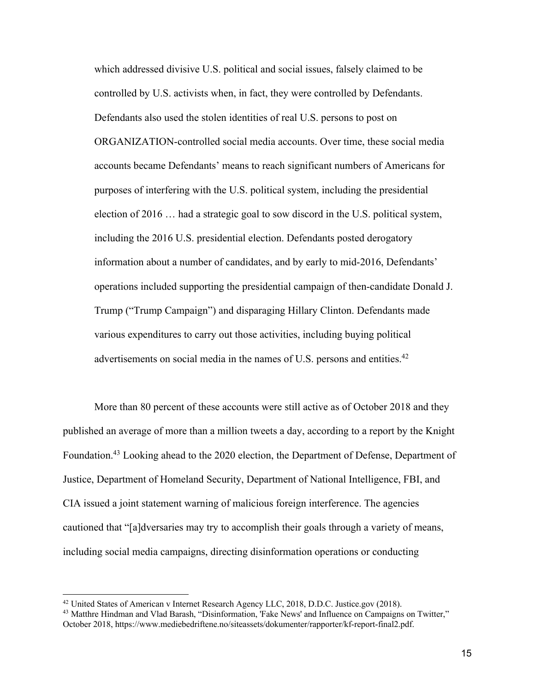which addressed divisive U.S. political and social issues, falsely claimed to be controlled by U.S. activists when, in fact, they were controlled by Defendants. Defendants also used the stolen identities of real U.S. persons to post on ORGANIZATION-controlled social media accounts. Over time, these social media accounts became Defendants' means to reach significant numbers of Americans for purposes of interfering with the U.S. political system, including the presidential election of 2016 … had a strategic goal to sow discord in the U.S. political system, including the 2016 U.S. presidential election. Defendants posted derogatory information about a number of candidates, and by early to mid-2016, Defendants' operations included supporting the presidential campaign of then-candidate Donald J. Trump ("Trump Campaign") and disparaging Hillary Clinton. Defendants made various expenditures to carry out those activities, including buying political advertisements on social media in the names of U.S. persons and entities.<sup>42</sup>

More than 80 percent of these accounts were still active as of October 2018 and they published an average of more than a million tweets a day, according to a report by the Knight Foundation.43 Looking ahead to the 2020 election, the Department of Defense, Department of Justice, Department of Homeland Security, Department of National Intelligence, FBI, and CIA issued a joint statement warning of malicious foreign interference. The agencies cautioned that "[a]dversaries may try to accomplish their goals through a variety of means, including social media campaigns, directing disinformation operations or conducting

<sup>42</sup> United States of American v Internet Research Agency LLC, 2018, D.D.C. Justice.gov (2018).

<sup>&</sup>lt;sup>43</sup> Matthre Hindman and Vlad Barash, "Disinformation, 'Fake News' and Influence on Campaigns on Twitter," October 2018, https://www.mediebedriftene.no/siteassets/dokumenter/rapporter/kf-report-final2.pdf.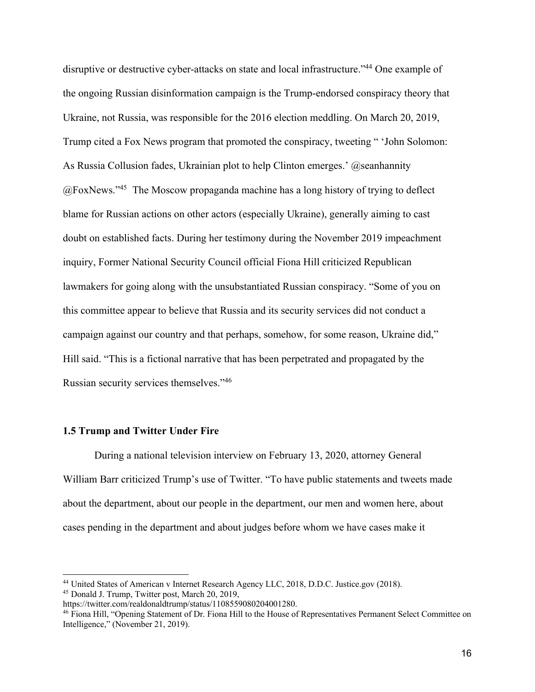disruptive or destructive cyber-attacks on state and local infrastructure."<sup>44</sup> One example of the ongoing Russian disinformation campaign is the Trump-endorsed conspiracy theory that Ukraine, not Russia, was responsible for the 2016 election meddling. On March 20, 2019, Trump cited a Fox News program that promoted the conspiracy, tweeting " 'John Solomon: As Russia Collusion fades, Ukrainian plot to help Clinton emerges.'  $@$ seanhannity  $(a)$  FoxNews."<sup>45</sup> The Moscow propaganda machine has a long history of trying to deflect blame for Russian actions on other actors (especially Ukraine), generally aiming to cast doubt on established facts. During her testimony during the November 2019 impeachment inquiry, Former National Security Council official Fiona Hill criticized Republican lawmakers for going along with the unsubstantiated Russian conspiracy. "Some of you on this committee appear to believe that Russia and its security services did not conduct a campaign against our country and that perhaps, somehow, for some reason, Ukraine did," Hill said. "This is a fictional narrative that has been perpetrated and propagated by the Russian security services themselves."46

#### **1.5 Trump and Twitter Under Fire**

During a national television interview on February 13, 2020, attorney General William Barr criticized Trump's use of Twitter. "To have public statements and tweets made about the department, about our people in the department, our men and women here, about cases pending in the department and about judges before whom we have cases make it

<sup>44</sup> United States of American v Internet Research Agency LLC, 2018, D.D.C. Justice.gov (2018). <sup>45</sup> Donald J. Trump, Twitter post, March 20, 2019,

https://twitter.com/realdonaldtrump/status/1108559080204001280.

<sup>&</sup>lt;sup>46</sup> Fiona Hill, "Opening Statement of Dr. Fiona Hill to the House of Representatives Permanent Select Committee on Intelligence," (November 21, 2019).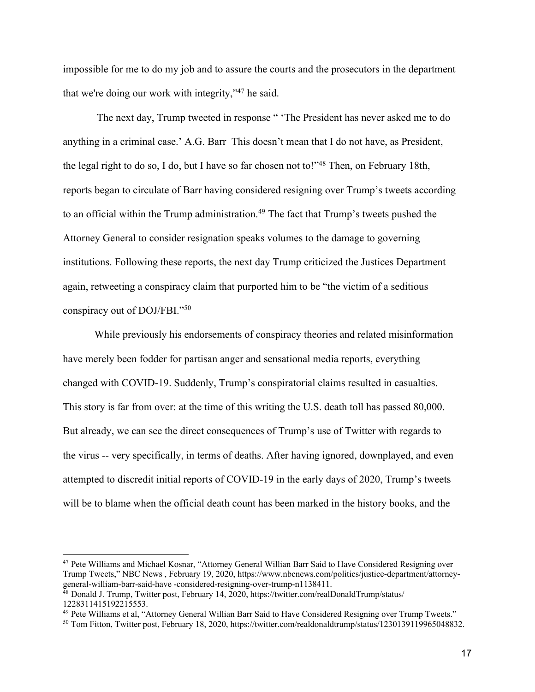impossible for me to do my job and to assure the courts and the prosecutors in the department that we're doing our work with integrity,"47 he said.

The next day, Trump tweeted in response " 'The President has never asked me to do anything in a criminal case.' A.G. Barr This doesn't mean that I do not have, as President, the legal right to do so, I do, but I have so far chosen not to!"48 Then, on February 18th, reports began to circulate of Barr having considered resigning over Trump's tweets according to an official within the Trump administration.<sup>49</sup> The fact that Trump's tweets pushed the Attorney General to consider resignation speaks volumes to the damage to governing institutions. Following these reports, the next day Trump criticized the Justices Department again, retweeting a conspiracy claim that purported him to be "the victim of a seditious conspiracy out of DOJ/FBI."50

While previously his endorsements of conspiracy theories and related misinformation have merely been fodder for partisan anger and sensational media reports, everything changed with COVID-19. Suddenly, Trump's conspiratorial claims resulted in casualties. This story is far from over: at the time of this writing the U.S. death toll has passed 80,000. But already, we can see the direct consequences of Trump's use of Twitter with regards to the virus -- very specifically, in terms of deaths. After having ignored, downplayed, and even attempted to discredit initial reports of COVID-19 in the early days of 2020, Trump's tweets will be to blame when the official death count has been marked in the history books, and the

<sup>&</sup>lt;sup>47</sup> Pete Williams and Michael Kosnar, "Attorney General Willian Barr Said to Have Considered Resigning over Trump Tweets," NBC News , February 19, 2020, https://www.nbcnews.com/politics/justice-department/attorneygeneral-william-barr-said-have -considered-resigning-over-trump-n1138411.

<sup>48</sup> Donald J. Trump, Twitter post, February 14, 2020, https://twitter.com/realDonaldTrump/status/ 1228311415192215553.<br><sup>49</sup> Pete Williams et al, "Attorney General Willian Barr Said to Have Considered Resigning over Trump Tweets."

<sup>&</sup>lt;sup>50</sup> Tom Fitton, Twitter post, February 18, 2020, https://twitter.com/realdonaldtrump/status/1230139119965048832.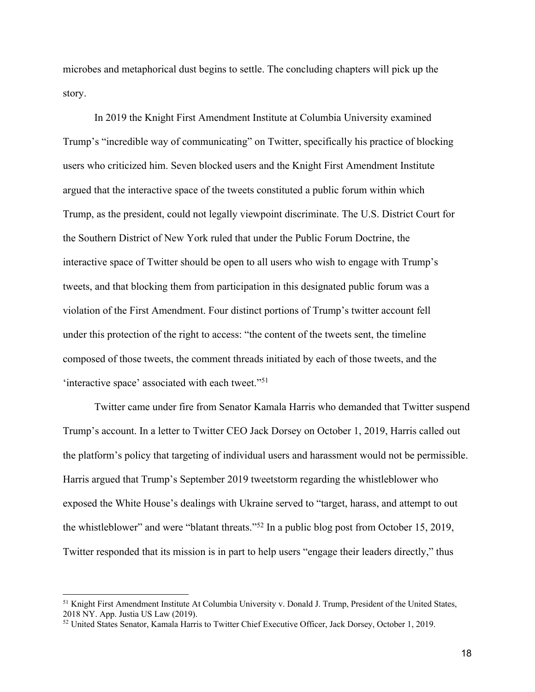microbes and metaphorical dust begins to settle. The concluding chapters will pick up the story.

In 2019 the Knight First Amendment Institute at Columbia University examined Trump's "incredible way of communicating" on Twitter, specifically his practice of blocking users who criticized him. Seven blocked users and the Knight First Amendment Institute argued that the interactive space of the tweets constituted a public forum within which Trump, as the president, could not legally viewpoint discriminate. The U.S. District Court for the Southern District of New York ruled that under the Public Forum Doctrine, the interactive space of Twitter should be open to all users who wish to engage with Trump's tweets, and that blocking them from participation in this designated public forum was a violation of the First Amendment. Four distinct portions of Trump's twitter account fell under this protection of the right to access: "the content of the tweets sent, the timeline composed of those tweets, the comment threads initiated by each of those tweets, and the 'interactive space' associated with each tweet."<sup>51</sup>

Twitter came under fire from Senator Kamala Harris who demanded that Twitter suspend Trump's account. In a letter to Twitter CEO Jack Dorsey on October 1, 2019, Harris called out the platform's policy that targeting of individual users and harassment would not be permissible. Harris argued that Trump's September 2019 tweetstorm regarding the whistleblower who exposed the White House's dealings with Ukraine served to "target, harass, and attempt to out the whistleblower" and were "blatant threats."52 In a public blog post from October 15, 2019, Twitter responded that its mission is in part to help users "engage their leaders directly," thus

<sup>&</sup>lt;sup>51</sup> Knight First Amendment Institute At Columbia University v. Donald J. Trump, President of the United States, 2018 NY. App. Justia US Law (2019).

<sup>&</sup>lt;sup>52</sup> United States Senator, Kamala Harris to Twitter Chief Executive Officer, Jack Dorsey, October 1, 2019.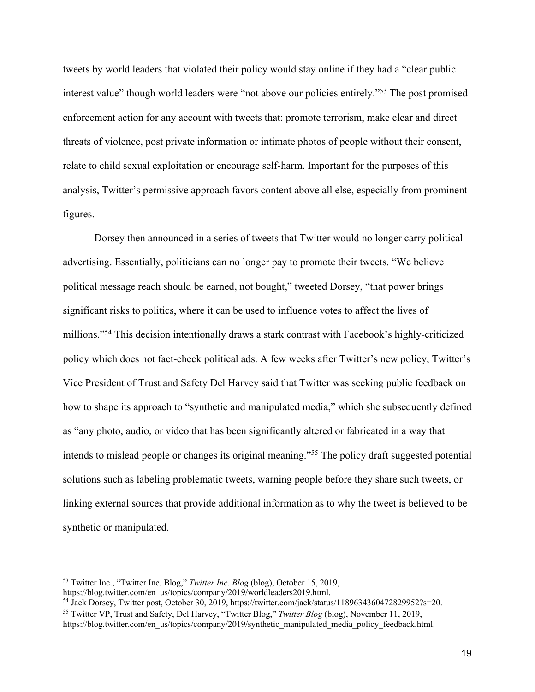tweets by world leaders that violated their policy would stay online if they had a "clear public interest value" though world leaders were "not above our policies entirely."53 The post promised enforcement action for any account with tweets that: promote terrorism, make clear and direct threats of violence, post private information or intimate photos of people without their consent, relate to child sexual exploitation or encourage self-harm. Important for the purposes of this analysis, Twitter's permissive approach favors content above all else, especially from prominent figures.

Dorsey then announced in a series of tweets that Twitter would no longer carry political advertising. Essentially, politicians can no longer pay to promote their tweets. "We believe political message reach should be earned, not bought," tweeted Dorsey, "that power brings significant risks to politics, where it can be used to influence votes to affect the lives of millions."54 This decision intentionally draws a stark contrast with Facebook's highly-criticized policy which does not fact-check political ads. A few weeks after Twitter's new policy, Twitter's Vice President of Trust and Safety Del Harvey said that Twitter was seeking public feedback on how to shape its approach to "synthetic and manipulated media," which she subsequently defined as "any photo, audio, or video that has been significantly altered or fabricated in a way that intends to mislead people or changes its original meaning."55 The policy draft suggested potential solutions such as labeling problematic tweets, warning people before they share such tweets, or linking external sources that provide additional information as to why the tweet is believed to be synthetic or manipulated.

<sup>53</sup> Twitter Inc., "Twitter Inc. Blog," *Twitter Inc. Blog* (blog), October 15, 2019,

https://blog.twitter.com/en\_us/topics/company/2019/worldleaders2019.html.<br><sup>54</sup> Jack Dorsey, Twitter post, October 30, 2019, https://twitter.com/jack/status/1189634360472829952?s=20. <sup>55</sup> Twitter VP, Trust and Safety, Del Harvey, "Twitter Blog," *Twitter Blog* (blog), November 11, 2019,

https://blog.twitter.com/en\_us/topics/company/2019/synthetic\_manipulated\_media\_policy\_feedback.html.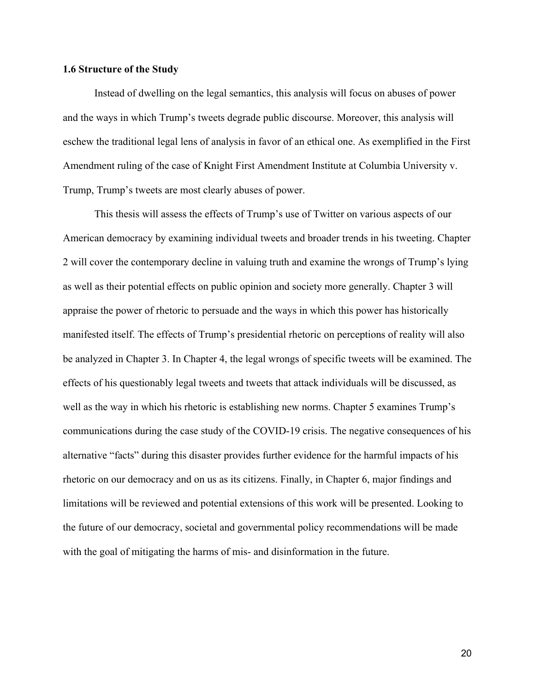#### **1.6 Structure of the Study**

Instead of dwelling on the legal semantics, this analysis will focus on abuses of power and the ways in which Trump's tweets degrade public discourse. Moreover, this analysis will eschew the traditional legal lens of analysis in favor of an ethical one. As exemplified in the First Amendment ruling of the case of Knight First Amendment Institute at Columbia University v. Trump, Trump's tweets are most clearly abuses of power.

This thesis will assess the effects of Trump's use of Twitter on various aspects of our American democracy by examining individual tweets and broader trends in his tweeting. Chapter 2 will cover the contemporary decline in valuing truth and examine the wrongs of Trump's lying as well as their potential effects on public opinion and society more generally. Chapter 3 will appraise the power of rhetoric to persuade and the ways in which this power has historically manifested itself. The effects of Trump's presidential rhetoric on perceptions of reality will also be analyzed in Chapter 3. In Chapter 4, the legal wrongs of specific tweets will be examined. The effects of his questionably legal tweets and tweets that attack individuals will be discussed, as well as the way in which his rhetoric is establishing new norms. Chapter 5 examines Trump's communications during the case study of the COVID-19 crisis. The negative consequences of his alternative "facts" during this disaster provides further evidence for the harmful impacts of his rhetoric on our democracy and on us as its citizens. Finally, in Chapter 6, major findings and limitations will be reviewed and potential extensions of this work will be presented. Looking to the future of our democracy, societal and governmental policy recommendations will be made with the goal of mitigating the harms of mis- and disinformation in the future.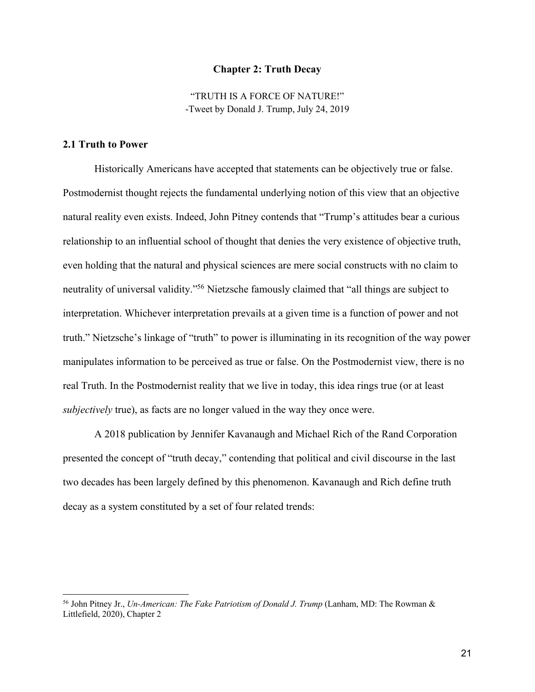#### **Chapter 2: Truth Decay**

"TRUTH IS A FORCE OF NATURE!" -Tweet by Donald J. Trump, July 24, 2019

#### **2.1 Truth to Power**

Historically Americans have accepted that statements can be objectively true or false. Postmodernist thought rejects the fundamental underlying notion of this view that an objective natural reality even exists. Indeed, John Pitney contends that "Trump's attitudes bear a curious relationship to an influential school of thought that denies the very existence of objective truth, even holding that the natural and physical sciences are mere social constructs with no claim to neutrality of universal validity."56 Nietzsche famously claimed that "all things are subject to interpretation. Whichever interpretation prevails at a given time is a function of power and not truth." Nietzsche's linkage of "truth" to power is illuminating in its recognition of the way power manipulates information to be perceived as true or false. On the Postmodernist view, there is no real Truth. In the Postmodernist reality that we live in today, this idea rings true (or at least *subjectively* true), as facts are no longer valued in the way they once were.

A 2018 publication by Jennifer Kavanaugh and Michael Rich of the Rand Corporation presented the concept of "truth decay," contending that political and civil discourse in the last two decades has been largely defined by this phenomenon. Kavanaugh and Rich define truth decay as a system constituted by a set of four related trends:

<sup>56</sup> John Pitney Jr., *Un-American: The Fake Patriotism of Donald J. Trump* (Lanham, MD: The Rowman & Littlefield, 2020), Chapter 2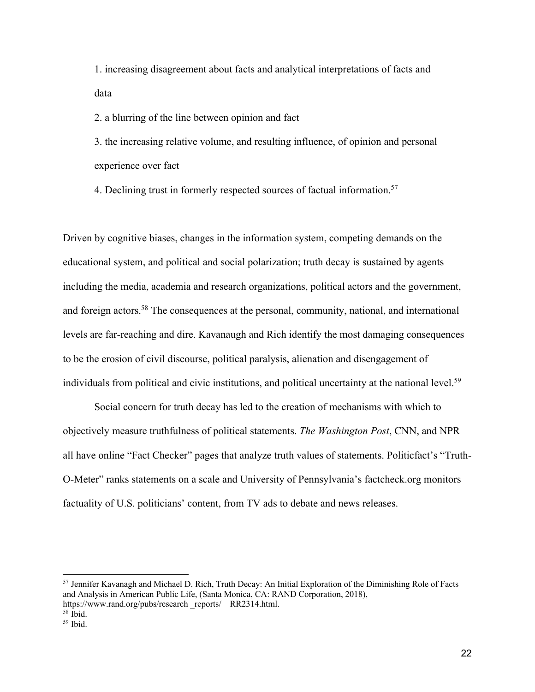1. increasing disagreement about facts and analytical interpretations of facts and data

2. a blurring of the line between opinion and fact

3. the increasing relative volume, and resulting influence, of opinion and personal experience over fact

4. Declining trust in formerly respected sources of factual information.<sup>57</sup>

Driven by cognitive biases, changes in the information system, competing demands on the educational system, and political and social polarization; truth decay is sustained by agents including the media, academia and research organizations, political actors and the government, and foreign actors.<sup>58</sup> The consequences at the personal, community, national, and international levels are far-reaching and dire. Kavanaugh and Rich identify the most damaging consequences to be the erosion of civil discourse, political paralysis, alienation and disengagement of individuals from political and civic institutions, and political uncertainty at the national level.<sup>59</sup>

Social concern for truth decay has led to the creation of mechanisms with which to objectively measure truthfulness of political statements. *The Washington Post*, CNN, and NPR all have online "Fact Checker" pages that analyze truth values of statements. Politicfact's "Truth-O-Meter" ranks statements on a scale and University of Pennsylvania's factcheck.org monitors factuality of U.S. politicians' content, from TV ads to debate and news releases.

<sup>57</sup> Jennifer Kavanagh and Michael D. Rich, Truth Decay: An Initial Exploration of the Diminishing Role of Facts and Analysis in American Public Life, (Santa Monica, CA: RAND Corporation, 2018), https://www.rand.org/pubs/research \_reports/ RR2314.html.<br><sup>58</sup> Ibid.

 $59$  Ibid.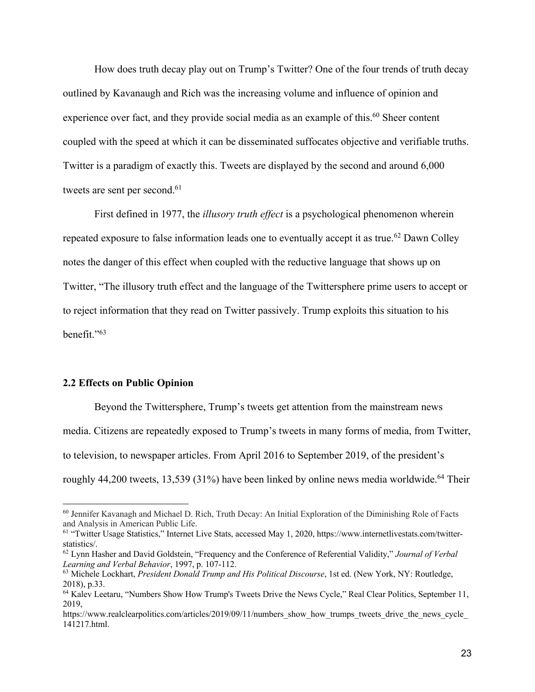How does truth decay play out on Trump's Twitter? One of the four trends of truth decay outlined by Kavanaugh and Rich was the increasing volume and influence of opinion and experience over fact, and they provide social media as an example of this.<sup>60</sup> Sheer content coupled with the speed at which it can be disseminated suffocates objective and verifiable truths. Twitter is a paradigm of exactly this. Tweets are displayed by the second and around 6,000 tweets are sent per second.<sup>61</sup>

First defined in 1977, the *illusory truth effect* is a psychological phenomenon wherein repeated exposure to false information leads one to eventually accept it as true.<sup>62</sup> Dawn Colley notes the danger of this effect when coupled with the reductive language that shows up on Twitter, "The illusory truth effect and the language of the Twittersphere prime users to accept or to reject information that they read on Twitter passively. Trump exploits this situation to his benefit."63

#### **2.2 Effects on Public Opinion**

Beyond the Twittersphere, Trump's tweets get attention from the mainstream news media. Citizens are repeatedly exposed to Trump's tweets in many forms of media, from Twitter, to television, to newspaper articles. From April 2016 to September 2019, of the president's roughly  $44,200$  tweets, 13,539 (31%) have been linked by online news media worldwide.<sup>64</sup> Their

<sup>&</sup>lt;sup>60</sup> Jennifer Kavanagh and Michael D. Rich, Truth Decay: An Initial Exploration of the Diminishing Role of Facts and Analysis in American Public Life.

<sup>&</sup>lt;sup>61</sup> "Twitter Usage Statistics," Internet Live Stats, accessed May 1, 2020, https://www.internetlivestats.com/twitterstatistics/.

<sup>62</sup> Lynn Hasher and David Goldstein, "Frequency and the Conference of Referential Validity," *Journal of Verbal Learning and Verbal Behavior*, 1997, p. 107-112.

<sup>63</sup> Michele Lockhart, *President Donald Trump and His Political Discourse*, 1st ed. (New York, NY: Routledge, 2018), p.33.

<sup>&</sup>lt;sup>64</sup> Kalev Leetaru, "Numbers Show How Trump's Tweets Drive the News Cycle," Real Clear Politics, September 11, 2019,

https://www.realclearpolitics.com/articles/2019/09/11/numbers\_show\_how\_trumps\_tweets\_drive\_the\_news\_cycle 141217.html.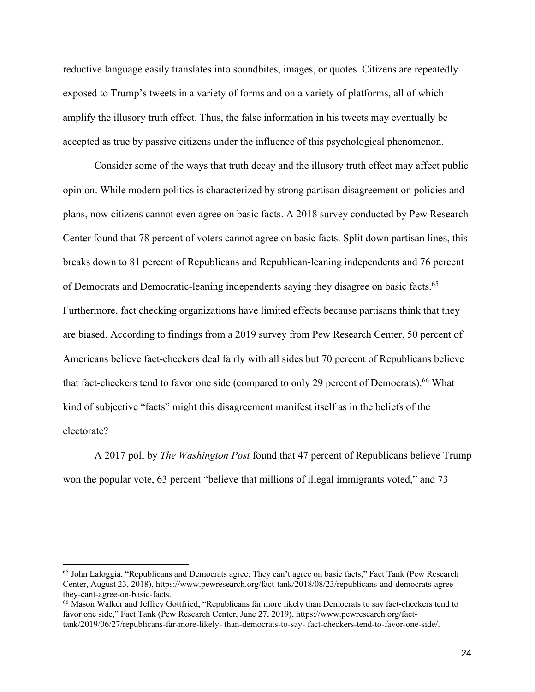reductive language easily translates into soundbites, images, or quotes. Citizens are repeatedly exposed to Trump's tweets in a variety of forms and on a variety of platforms, all of which amplify the illusory truth effect. Thus, the false information in his tweets may eventually be accepted as true by passive citizens under the influence of this psychological phenomenon.

Consider some of the ways that truth decay and the illusory truth effect may affect public opinion. While modern politics is characterized by strong partisan disagreement on policies and plans, now citizens cannot even agree on basic facts. A 2018 survey conducted by Pew Research Center found that 78 percent of voters cannot agree on basic facts. Split down partisan lines, this breaks down to 81 percent of Republicans and Republican-leaning independents and 76 percent of Democrats and Democratic-leaning independents saying they disagree on basic facts.<sup>65</sup> Furthermore, fact checking organizations have limited effects because partisans think that they are biased. According to findings from a 2019 survey from Pew Research Center, 50 percent of Americans believe fact-checkers deal fairly with all sides but 70 percent of Republicans believe that fact-checkers tend to favor one side (compared to only 29 percent of Democrats).<sup>66</sup> What kind of subjective "facts" might this disagreement manifest itself as in the beliefs of the electorate?

A 2017 poll by *The Washington Post* found that 47 percent of Republicans believe Trump won the popular vote, 63 percent "believe that millions of illegal immigrants voted," and 73

<sup>65</sup> John Laloggia, "Republicans and Democrats agree: They can't agree on basic facts," Fact Tank (Pew Research Center, August 23, 2018), https://www.pewresearch.org/fact-tank/2018/08/23/republicans-and-democrats-agreethey-cant-agree-on-basic-facts.

<sup>66</sup> Mason Walker and Jeffrey Gottfried, "Republicans far more likely than Democrats to say fact-checkers tend to favor one side," Fact Tank (Pew Research Center, June 27, 2019), https://www.pewresearch.org/facttank/2019/06/27/republicans-far-more-likely- than-democrats-to-say- fact-checkers-tend-to-favor-one-side/.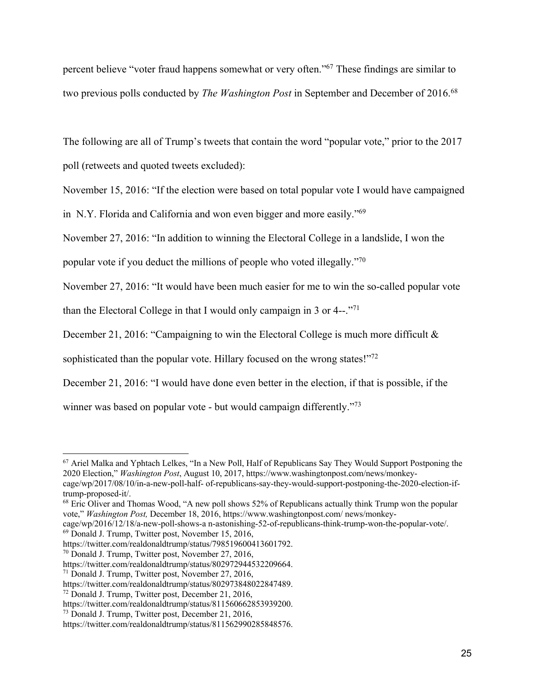percent believe "voter fraud happens somewhat or very often."67 These findings are similar to two previous polls conducted by *The Washington Post* in September and December of 2016.<sup>68</sup>

The following are all of Trump's tweets that contain the word "popular vote," prior to the 2017 poll (retweets and quoted tweets excluded):

November 15, 2016: "If the election were based on total popular vote I would have campaigned

in N.Y. Florida and California and won even bigger and more easily."69

November 27, 2016: "In addition to winning the Electoral College in a landslide, I won the

popular vote if you deduct the millions of people who voted illegally."70

November 27, 2016: "It would have been much easier for me to win the so-called popular vote

than the Electoral College in that I would only campaign in 3 or 4--."71

December 21, 2016: "Campaigning to win the Electoral College is much more difficult &

sophisticated than the popular vote. Hillary focused on the wrong states!"<sup>72</sup>

December 21, 2016: "I would have done even better in the election, if that is possible, if the

winner was based on popular vote - but would campaign differently."<sup>73</sup>

<sup>67</sup> Ariel Malka and Yphtach Lelkes, "In a New Poll, Half of Republicans Say They Would Support Postponing the 2020 Election," *Washington Post*, August 10, 2017, https://www.washingtonpost.com/news/monkeycage/wp/2017/08/10/in-a-new-poll-half- of-republicans-say-they-would-support-postponing-the-2020-election-iftrump-proposed-it/.

<sup>&</sup>lt;sup>68</sup> Eric Oliver and Thomas Wood, "A new poll shows 52% of Republicans actually think Trump won the popular vote," *Washington Post,* December 18, 2016, https://www.washingtonpost.com/ news/monkey-

cage/wp/2016/12/18/a-new-poll-shows-a n-astonishing-52-of-republicans-think-trump-won-the-popular-vote/. <sup>69</sup> Donald J. Trump, Twitter post, November 15, 2016,

https://twitter.com/realdonaldtrump/status/798519600413601792.

<sup>70</sup> Donald J. Trump, Twitter post, November 27, 2016,

https://twitter.com/realdonaldtrump/status/802972944532209664.

<sup>71</sup> Donald J. Trump, Twitter post, November 27, 2016,

https://twitter.com/realdonaldtrump/status/802973848022847489.

<sup>72</sup> Donald J. Trump, Twitter post, December 21, 2016,

https://twitter.com/realdonaldtrump/status/811560662853939200.

<sup>73</sup> Donald J. Trump, Twitter post, December 21, 2016,

https://twitter.com/realdonaldtrump/status/811562990285848576.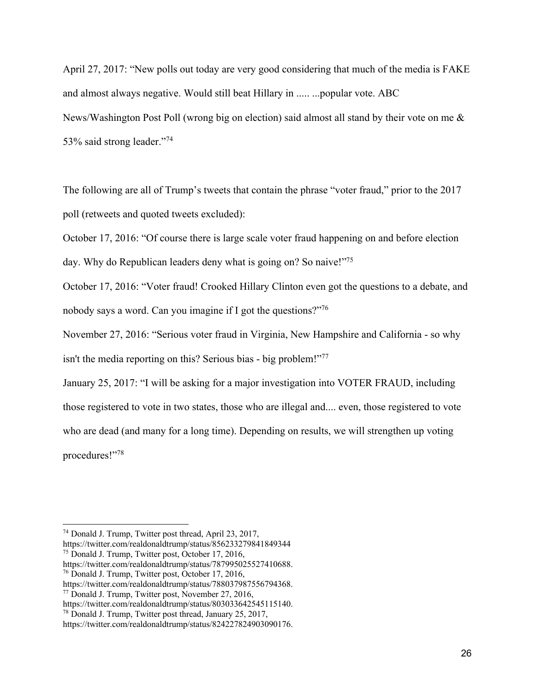April 27, 2017: "New polls out today are very good considering that much of the media is FAKE and almost always negative. Would still beat Hillary in ..... ...popular vote. ABC News/Washington Post Poll (wrong big on election) said almost all stand by their vote on me & 53% said strong leader."74

The following are all of Trump's tweets that contain the phrase "voter fraud," prior to the 2017 poll (retweets and quoted tweets excluded):

October 17, 2016: "Of course there is large scale voter fraud happening on and before election day. Why do Republican leaders deny what is going on? So naive!"<sup>75</sup>

October 17, 2016: "Voter fraud! Crooked Hillary Clinton even got the questions to a debate, and nobody says a word. Can you imagine if I got the questions?"<sup>76</sup>

November 27, 2016: "Serious voter fraud in Virginia, New Hampshire and California - so why isn't the media reporting on this? Serious bias - big problem!"77

January 25, 2017: "I will be asking for a major investigation into VOTER FRAUD, including those registered to vote in two states, those who are illegal and.... even, those registered to vote who are dead (and many for a long time). Depending on results, we will strengthen up voting procedures!"78

<sup>74</sup> Donald J. Trump, Twitter post thread, April 23, 2017,

https://twitter.com/realdonaldtrump/status/856233279841849344 75 Donald J. Trump, Twitter post, October 17, 2016,

https://twitter.com/realdonaldtrump/status/787995025527410688. 76 Donald J. Trump, Twitter post, October 17, 2016,

https://twitter.com/realdonaldtrump/status/788037987556794368.

<sup>77</sup> Donald J. Trump, Twitter post, November 27, 2016,

https://twitter.com/realdonaldtrump/status/803033642545115140.

<sup>78</sup> Donald J. Trump, Twitter post thread, January 25, 2017,

https://twitter.com/realdonaldtrump/status/824227824903090176.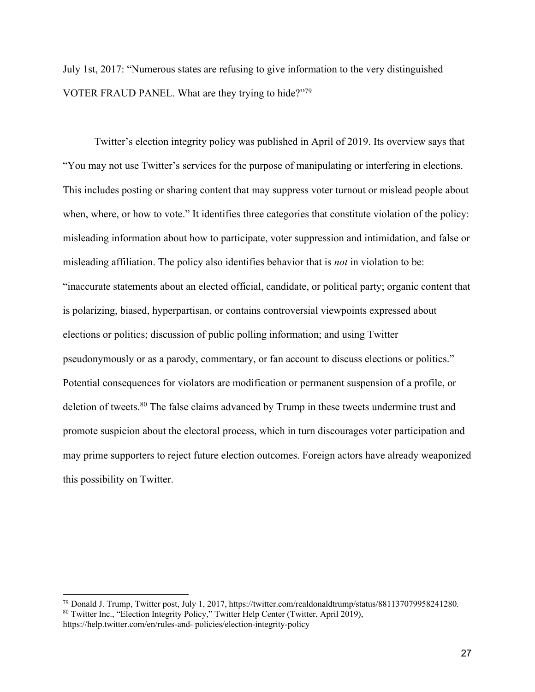July 1st, 2017: "Numerous states are refusing to give information to the very distinguished VOTER FRAUD PANEL. What are they trying to hide?"79

Twitter's election integrity policy was published in April of 2019. Its overview says that "You may not use Twitter's services for the purpose of manipulating or interfering in elections. This includes posting or sharing content that may suppress voter turnout or mislead people about when, where, or how to vote." It identifies three categories that constitute violation of the policy: misleading information about how to participate, voter suppression and intimidation, and false or misleading affiliation. The policy also identifies behavior that is *not* in violation to be: "inaccurate statements about an elected official, candidate, or political party; organic content that is polarizing, biased, hyperpartisan, or contains controversial viewpoints expressed about elections or politics; discussion of public polling information; and using Twitter pseudonymously or as a parody, commentary, or fan account to discuss elections or politics." Potential consequences for violators are modification or permanent suspension of a profile, or deletion of tweets.<sup>80</sup> The false claims advanced by Trump in these tweets undermine trust and promote suspicion about the electoral process, which in turn discourages voter participation and may prime supporters to reject future election outcomes. Foreign actors have already weaponized this possibility on Twitter.

<sup>79</sup> Donald J. Trump, Twitter post, July 1, 2017, https://twitter.com/realdonaldtrump/status/881137079958241280. <sup>80</sup> Twitter Inc., "Election Integrity Policy," Twitter Help Center (Twitter, April 2019),

https://help.twitter.com/en/rules-and- policies/election-integrity-policy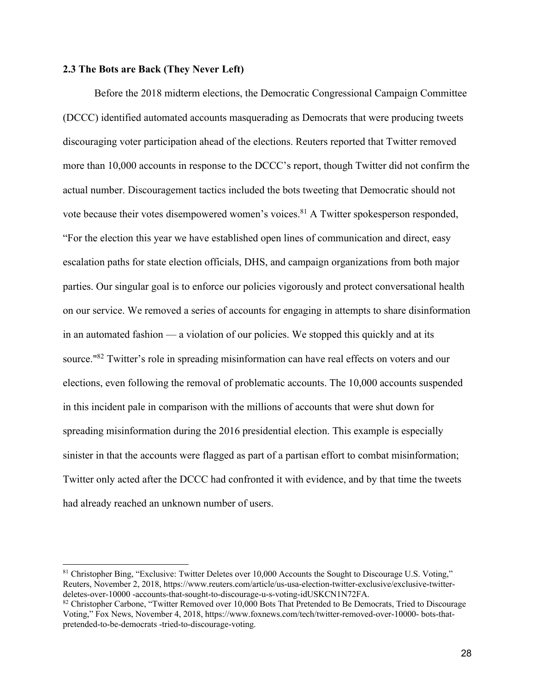#### **2.3 The Bots are Back (They Never Left)**

Before the 2018 midterm elections, the Democratic Congressional Campaign Committee (DCCC) identified automated accounts masquerading as Democrats that were producing tweets discouraging voter participation ahead of the elections. Reuters reported that Twitter removed more than 10,000 accounts in response to the DCCC's report, though Twitter did not confirm the actual number. Discouragement tactics included the bots tweeting that Democratic should not vote because their votes disempowered women's voices.<sup>81</sup> A Twitter spokesperson responded, "For the election this year we have established open lines of communication and direct, easy escalation paths for state election officials, DHS, and campaign organizations from both major parties. Our singular goal is to enforce our policies vigorously and protect conversational health on our service. We removed a series of accounts for engaging in attempts to share disinformation in an automated fashion — a violation of our policies. We stopped this quickly and at its source."<sup>82</sup> Twitter's role in spreading misinformation can have real effects on voters and our elections, even following the removal of problematic accounts. The 10,000 accounts suspended in this incident pale in comparison with the millions of accounts that were shut down for spreading misinformation during the 2016 presidential election. This example is especially sinister in that the accounts were flagged as part of a partisan effort to combat misinformation; Twitter only acted after the DCCC had confronted it with evidence, and by that time the tweets had already reached an unknown number of users.

<sup>&</sup>lt;sup>81</sup> Christopher Bing, "Exclusive: Twitter Deletes over 10,000 Accounts the Sought to Discourage U.S. Voting," Reuters, November 2, 2018, https://www.reuters.com/article/us-usa-election-twitter-exclusive/exclusive-twitterdeletes-over-10000 -accounts-that-sought-to-discourage-u-s-voting-idUSKCN1N72FA.

<sup>&</sup>lt;sup>82</sup> Christopher Carbone, "Twitter Removed over 10,000 Bots That Pretended to Be Democrats, Tried to Discourage Voting," Fox News, November 4, 2018, https://www.foxnews.com/tech/twitter-removed-over-10000- bots-thatpretended-to-be-democrats -tried-to-discourage-voting.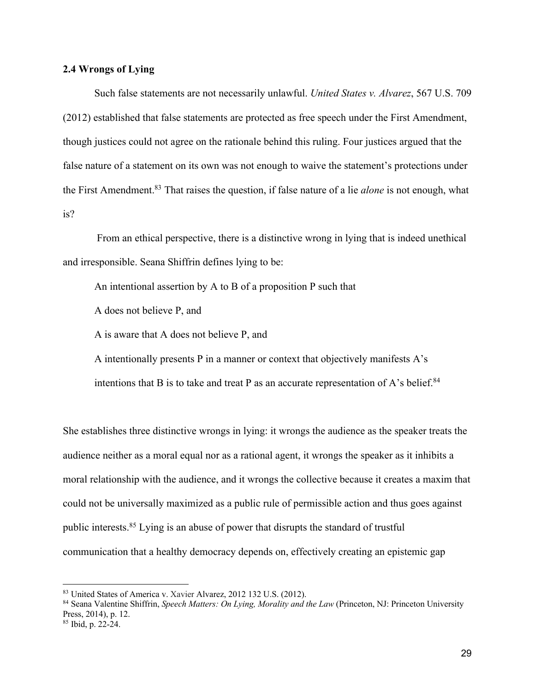#### **2.4 Wrongs of Lying**

Such false statements are not necessarily unlawful. *United States v. Alvarez*, 567 U.S. 709 (2012) established that false statements are protected as free speech under the First Amendment, though justices could not agree on the rationale behind this ruling. Four justices argued that the false nature of a statement on its own was not enough to waive the statement's protections under the First Amendment.83 That raises the question, if false nature of a lie *alone* is not enough, what is?

From an ethical perspective, there is a distinctive wrong in lying that is indeed unethical and irresponsible. Seana Shiffrin defines lying to be:

An intentional assertion by A to B of a proposition P such that

A does not believe P, and

A is aware that A does not believe P, and

A intentionally presents P in a manner or context that objectively manifests A's

intentions that B is to take and treat P as an accurate representation of A's belief.<sup>84</sup>

She establishes three distinctive wrongs in lying: it wrongs the audience as the speaker treats the audience neither as a moral equal nor as a rational agent, it wrongs the speaker as it inhibits a moral relationship with the audience, and it wrongs the collective because it creates a maxim that could not be universally maximized as a public rule of permissible action and thus goes against public interests.85 Lying is an abuse of power that disrupts the standard of trustful communication that a healthy democracy depends on, effectively creating an epistemic gap

<sup>83</sup> United States of America v. Xavier Alvarez, 2012 132 U.S. (2012).

<sup>84</sup> Seana Valentine Shiffrin, *Speech Matters: On Lying, Morality and the Law* (Princeton, NJ: Princeton University Press, 2014), p. 12. <sup>85</sup> Ibid, p. 22-24.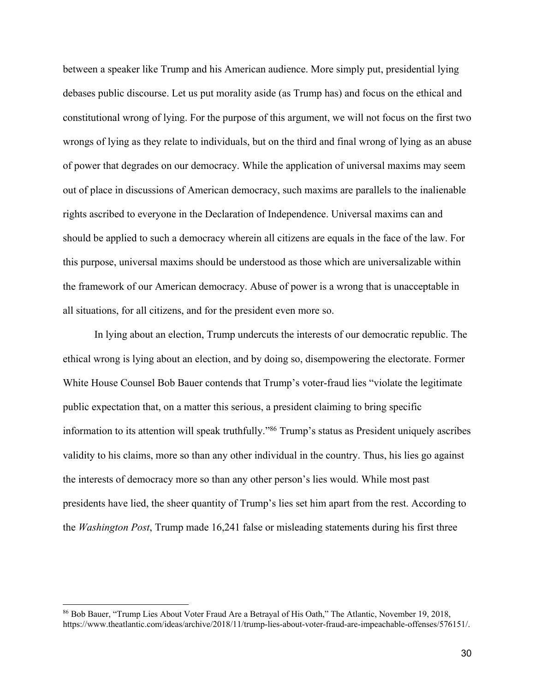between a speaker like Trump and his American audience. More simply put, presidential lying debases public discourse. Let us put morality aside (as Trump has) and focus on the ethical and constitutional wrong of lying. For the purpose of this argument, we will not focus on the first two wrongs of lying as they relate to individuals, but on the third and final wrong of lying as an abuse of power that degrades on our democracy. While the application of universal maxims may seem out of place in discussions of American democracy, such maxims are parallels to the inalienable rights ascribed to everyone in the Declaration of Independence. Universal maxims can and should be applied to such a democracy wherein all citizens are equals in the face of the law. For this purpose, universal maxims should be understood as those which are universalizable within the framework of our American democracy. Abuse of power is a wrong that is unacceptable in all situations, for all citizens, and for the president even more so.

In lying about an election, Trump undercuts the interests of our democratic republic. The ethical wrong is lying about an election, and by doing so, disempowering the electorate. Former White House Counsel Bob Bauer contends that Trump's voter-fraud lies "violate the legitimate public expectation that, on a matter this serious, a president claiming to bring specific information to its attention will speak truthfully."86 Trump's status as President uniquely ascribes validity to his claims, more so than any other individual in the country. Thus, his lies go against the interests of democracy more so than any other person's lies would. While most past presidents have lied, the sheer quantity of Trump's lies set him apart from the rest. According to the *Washington Post*, Trump made 16,241 false or misleading statements during his first three

<sup>86</sup> Bob Bauer, "Trump Lies About Voter Fraud Are a Betrayal of His Oath," The Atlantic, November 19, 2018, https://www.theatlantic.com/ideas/archive/2018/11/trump-lies-about-voter-fraud-are-impeachable-offenses/576151/.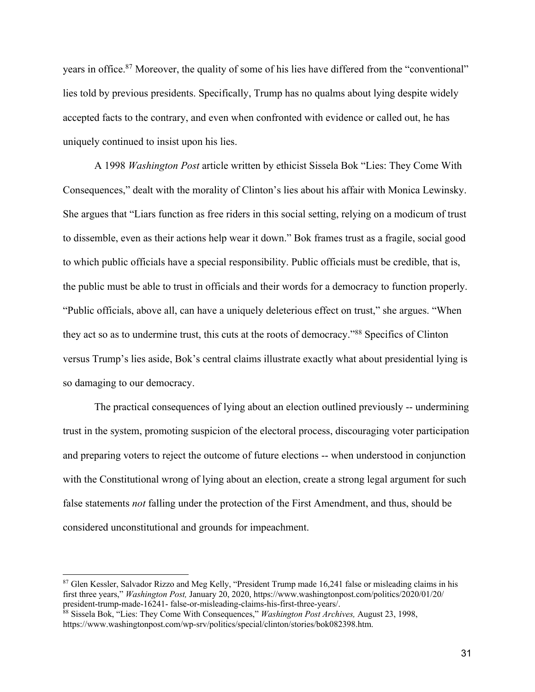years in office.<sup>87</sup> Moreover, the quality of some of his lies have differed from the "conventional" lies told by previous presidents. Specifically, Trump has no qualms about lying despite widely accepted facts to the contrary, and even when confronted with evidence or called out, he has uniquely continued to insist upon his lies.

A 1998 *Washington Post* article written by ethicist Sissela Bok "Lies: They Come With Consequences," dealt with the morality of Clinton's lies about his affair with Monica Lewinsky. She argues that "Liars function as free riders in this social setting, relying on a modicum of trust to dissemble, even as their actions help wear it down." Bok frames trust as a fragile, social good to which public officials have a special responsibility. Public officials must be credible, that is, the public must be able to trust in officials and their words for a democracy to function properly. "Public officials, above all, can have a uniquely deleterious effect on trust," she argues. "When they act so as to undermine trust, this cuts at the roots of democracy."88 Specifics of Clinton versus Trump's lies aside, Bok's central claims illustrate exactly what about presidential lying is so damaging to our democracy.

The practical consequences of lying about an election outlined previously -- undermining trust in the system, promoting suspicion of the electoral process, discouraging voter participation and preparing voters to reject the outcome of future elections -- when understood in conjunction with the Constitutional wrong of lying about an election, create a strong legal argument for such false statements *not* falling under the protection of the First Amendment, and thus, should be considered unconstitutional and grounds for impeachment.

<sup>87</sup> Glen Kessler, Salvador Rizzo and Meg Kelly, "President Trump made 16,241 false or misleading claims in his first three years," *Washington Post,* January 20, 2020, https://www.washingtonpost.com/politics/2020/01/20/ president-trump-made-16241- false-or-misleading-claims-his-first-three-years/.

<sup>88</sup> Sissela Bok, "Lies: They Come With Consequences," *Washington Post Archives,* August 23, 1998, https://www.washingtonpost.com/wp-srv/politics/special/clinton/stories/bok082398.htm.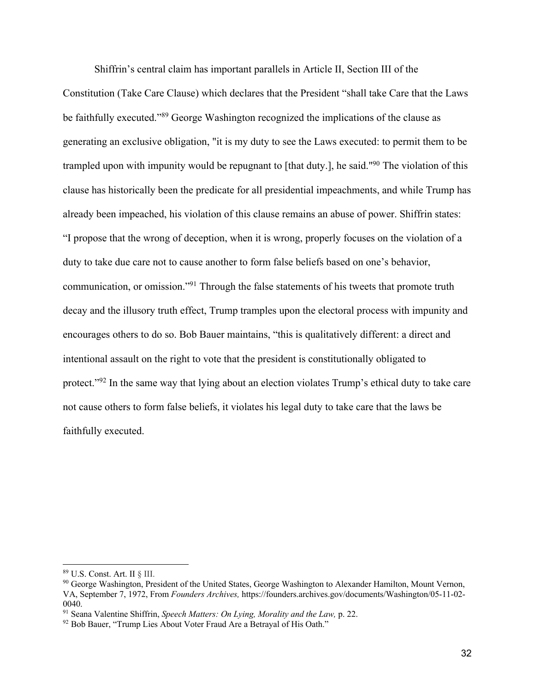Shiffrin's central claim has important parallels in Article II, Section III of the

Constitution (Take Care Clause) which declares that the President "shall take Care that the Laws be faithfully executed."<sup>89</sup> George Washington recognized the implications of the clause as generating an exclusive obligation, "it is my duty to see the Laws executed: to permit them to be trampled upon with impunity would be repugnant to [that duty.], he said."90 The violation of this clause has historically been the predicate for all presidential impeachments, and while Trump has already been impeached, his violation of this clause remains an abuse of power. Shiffrin states: "I propose that the wrong of deception, when it is wrong, properly focuses on the violation of a duty to take due care not to cause another to form false beliefs based on one's behavior, communication, or omission."91 Through the false statements of his tweets that promote truth decay and the illusory truth effect, Trump tramples upon the electoral process with impunity and encourages others to do so. Bob Bauer maintains, "this is qualitatively different: a direct and intentional assault on the right to vote that the president is constitutionally obligated to protect."<sup>92</sup> In the same way that lying about an election violates Trump's ethical duty to take care not cause others to form false beliefs, it violates his legal duty to take care that the laws be faithfully executed.

<sup>89</sup> U.S. Const. Art. II § III.

<sup>&</sup>lt;sup>90</sup> George Washington, President of the United States, George Washington to Alexander Hamilton, Mount Vernon, VA, September 7, 1972, From *Founders Archives,* https://founders.archives.gov/documents/Washington/05-11-02-

<sup>0040.&</sup>lt;br><sup>91</sup> Seana Valentine Shiffrin, *Speech Matters: On Lying, Morality and the Law, p.* 22.<br><sup>92</sup> Bob Bauer, "Trump Lies About Voter Fraud Are a Betrayal of His Oath."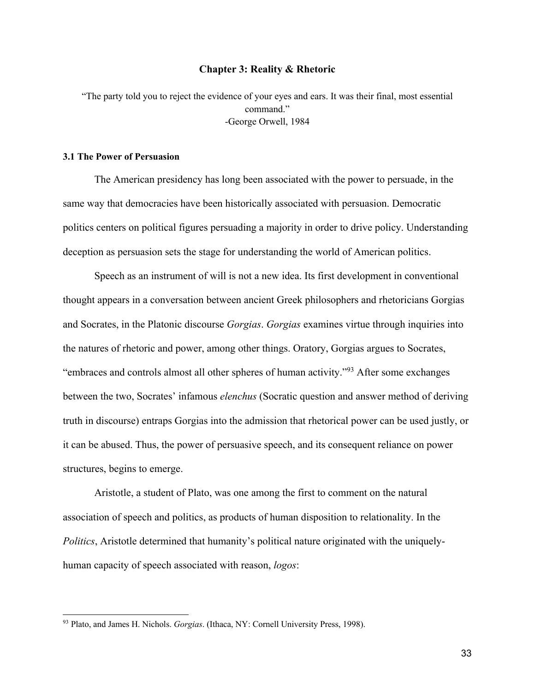#### **Chapter 3: Reality & Rhetoric**

"The party told you to reject the evidence of your eyes and ears. It was their final, most essential command." -George Orwell, 1984

#### **3.1 The Power of Persuasion**

The American presidency has long been associated with the power to persuade, in the same way that democracies have been historically associated with persuasion. Democratic politics centers on political figures persuading a majority in order to drive policy. Understanding deception as persuasion sets the stage for understanding the world of American politics.

Speech as an instrument of will is not a new idea. Its first development in conventional thought appears in a conversation between ancient Greek philosophers and rhetoricians Gorgias and Socrates, in the Platonic discourse *Gorgias*. *Gorgias* examines virtue through inquiries into the natures of rhetoric and power, among other things. Oratory, Gorgias argues to Socrates, "embraces and controls almost all other spheres of human activity."93 After some exchanges between the two, Socrates' infamous *elenchus* (Socratic question and answer method of deriving truth in discourse) entraps Gorgias into the admission that rhetorical power can be used justly, or it can be abused. Thus, the power of persuasive speech, and its consequent reliance on power structures, begins to emerge.

Aristotle, a student of Plato, was one among the first to comment on the natural association of speech and politics, as products of human disposition to relationality. In the *Politics*, Aristotle determined that humanity's political nature originated with the uniquelyhuman capacity of speech associated with reason, *logos*:

<sup>93</sup> Plato, and James H. Nichols. *Gorgias*. (Ithaca, NY: Cornell University Press, 1998).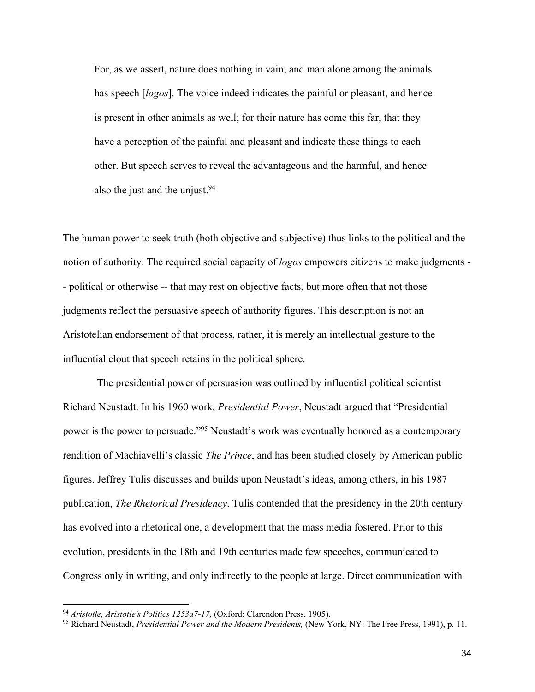For, as we assert, nature does nothing in vain; and man alone among the animals has speech [*logos*]. The voice indeed indicates the painful or pleasant, and hence is present in other animals as well; for their nature has come this far, that they have a perception of the painful and pleasant and indicate these things to each other. But speech serves to reveal the advantageous and the harmful, and hence also the just and the unjust.<sup>94</sup>

The human power to seek truth (both objective and subjective) thus links to the political and the notion of authority. The required social capacity of *logos* empowers citizens to make judgments - - political or otherwise -- that may rest on objective facts, but more often that not those judgments reflect the persuasive speech of authority figures. This description is not an Aristotelian endorsement of that process, rather, it is merely an intellectual gesture to the influential clout that speech retains in the political sphere.

The presidential power of persuasion was outlined by influential political scientist Richard Neustadt. In his 1960 work, *Presidential Power*, Neustadt argued that "Presidential power is the power to persuade."95 Neustadt's work was eventually honored as a contemporary rendition of Machiavelli's classic *The Prince*, and has been studied closely by American public figures. Jeffrey Tulis discusses and builds upon Neustadt's ideas, among others, in his 1987 publication, *The Rhetorical Presidency*. Tulis contended that the presidency in the 20th century has evolved into a rhetorical one, a development that the mass media fostered. Prior to this evolution, presidents in the 18th and 19th centuries made few speeches, communicated to Congress only in writing, and only indirectly to the people at large. Direct communication with

<sup>94</sup> *Aristotle, Aristotle's Politics 1253a7-17,* (Oxford: Clarendon Press, 1905).

<sup>95</sup> Richard Neustadt, *Presidential Power and the Modern Presidents,* (New York, NY: The Free Press, 1991), p. 11.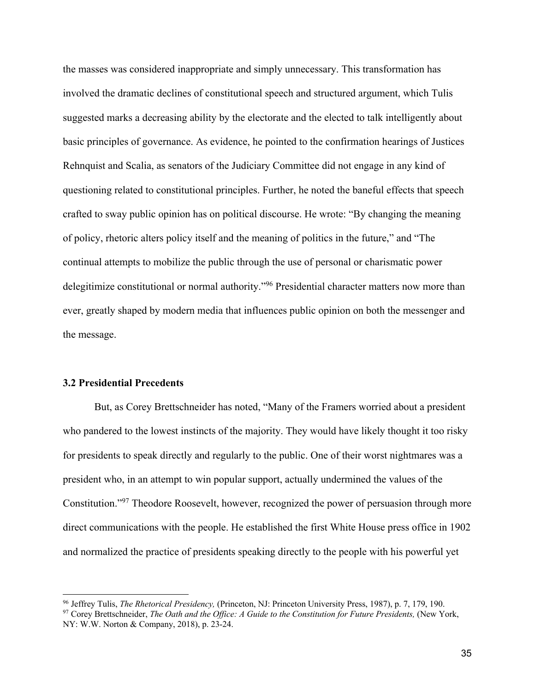the masses was considered inappropriate and simply unnecessary. This transformation has involved the dramatic declines of constitutional speech and structured argument, which Tulis suggested marks a decreasing ability by the electorate and the elected to talk intelligently about basic principles of governance. As evidence, he pointed to the confirmation hearings of Justices Rehnquist and Scalia, as senators of the Judiciary Committee did not engage in any kind of questioning related to constitutional principles. Further, he noted the baneful effects that speech crafted to sway public opinion has on political discourse. He wrote: "By changing the meaning of policy, rhetoric alters policy itself and the meaning of politics in the future," and "The continual attempts to mobilize the public through the use of personal or charismatic power delegitimize constitutional or normal authority."<sup>96</sup> Presidential character matters now more than ever, greatly shaped by modern media that influences public opinion on both the messenger and the message.

#### **3.2 Presidential Precedents**

But, as Corey Brettschneider has noted, "Many of the Framers worried about a president who pandered to the lowest instincts of the majority. They would have likely thought it too risky for presidents to speak directly and regularly to the public. One of their worst nightmares was a president who, in an attempt to win popular support, actually undermined the values of the Constitution."97 Theodore Roosevelt, however, recognized the power of persuasion through more direct communications with the people. He established the first White House press office in 1902 and normalized the practice of presidents speaking directly to the people with his powerful yet

<sup>96</sup> Jeffrey Tulis, *The Rhetorical Presidency,* (Princeton, NJ: Princeton University Press, 1987), p. 7, 179, 190.

<sup>&</sup>lt;sup>97</sup> Corey Brettschneider, *The Oath and the Office: A Guide to the Constitution for Future Presidents*, (New York, NY: W.W. Norton & Company, 2018), p. 23-24.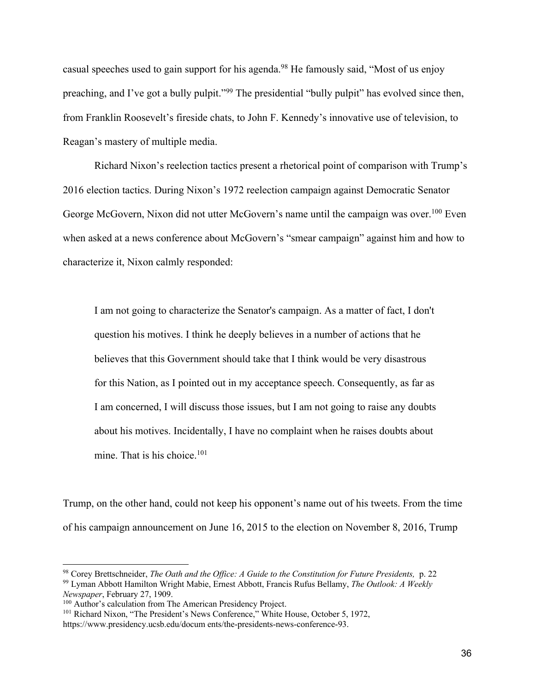casual speeches used to gain support for his agenda.98 He famously said, "Most of us enjoy preaching, and I've got a bully pulpit."99 The presidential "bully pulpit" has evolved since then, from Franklin Roosevelt's fireside chats, to John F. Kennedy's innovative use of television, to Reagan's mastery of multiple media.

Richard Nixon's reelection tactics present a rhetorical point of comparison with Trump's 2016 election tactics. During Nixon's 1972 reelection campaign against Democratic Senator George McGovern, Nixon did not utter McGovern's name until the campaign was over.<sup>100</sup> Even when asked at a news conference about McGovern's "smear campaign" against him and how to characterize it, Nixon calmly responded:

I am not going to characterize the Senator's campaign. As a matter of fact, I don't question his motives. I think he deeply believes in a number of actions that he believes that this Government should take that I think would be very disastrous for this Nation, as I pointed out in my acceptance speech. Consequently, as far as I am concerned, I will discuss those issues, but I am not going to raise any doubts about his motives. Incidentally, I have no complaint when he raises doubts about mine. That is his choice. $101$ 

Trump, on the other hand, could not keep his opponent's name out of his tweets. From the time of his campaign announcement on June 16, 2015 to the election on November 8, 2016, Trump

<sup>98</sup> Corey Brettschneider, *The Oath and the Office: A Guide to the Constitution for Future Presidents,* p. 22 <sup>99</sup> Lyman Abbott Hamilton Wright Mabie, Ernest Abbott, Francis Rufus Bellamy, *The Outlook: A Weekly Newspaper*, February 27, 1909.

<sup>&</sup>lt;sup>100</sup> Author's calculation from The American Presidency Project.

<sup>&</sup>lt;sup>101</sup> Richard Nixon, "The President's News Conference," White House, October 5, 1972, https://www.presidency.ucsb.edu/docum ents/the-presidents-news-conference-93.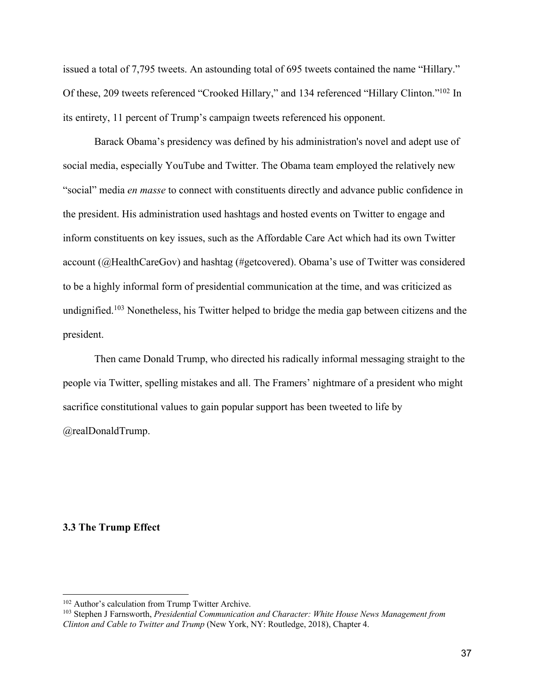issued a total of 7,795 tweets. An astounding total of 695 tweets contained the name "Hillary." Of these, 209 tweets referenced "Crooked Hillary," and 134 referenced "Hillary Clinton."102 In its entirety, 11 percent of Trump's campaign tweets referenced his opponent.

Barack Obama's presidency was defined by his administration's novel and adept use of social media, especially YouTube and Twitter. The Obama team employed the relatively new "social" media *en masse* to connect with constituents directly and advance public confidence in the president. His administration used hashtags and hosted events on Twitter to engage and inform constituents on key issues, such as the Affordable Care Act which had its own Twitter account (@HealthCareGov) and hashtag (#getcovered). Obama's use of Twitter was considered to be a highly informal form of presidential communication at the time, and was criticized as undignified.<sup>103</sup> Nonetheless, his Twitter helped to bridge the media gap between citizens and the president.

Then came Donald Trump, who directed his radically informal messaging straight to the people via Twitter, spelling mistakes and all. The Framers' nightmare of a president who might sacrifice constitutional values to gain popular support has been tweeted to life by @realDonaldTrump.

## **3.3 The Trump Effect**

<sup>&</sup>lt;sup>102</sup> Author's calculation from Trump Twitter Archive.

<sup>103</sup> Stephen J Farnsworth, *Presidential Communication and Character: White House News Management from Clinton and Cable to Twitter and Trump* (New York, NY: Routledge, 2018), Chapter 4.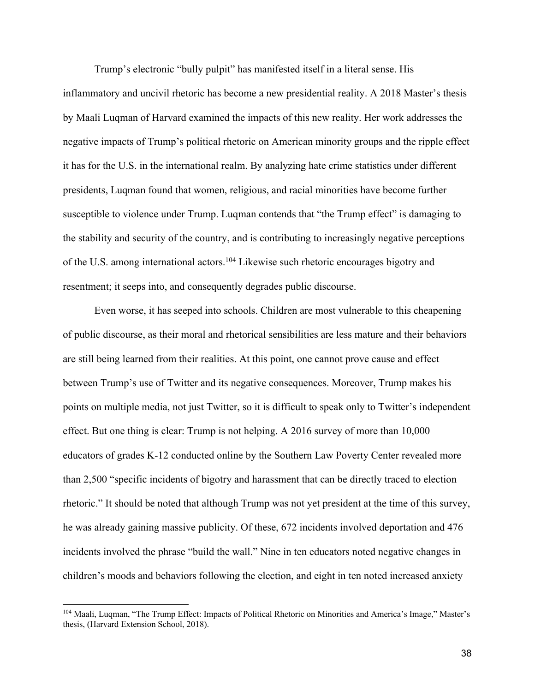Trump's electronic "bully pulpit" has manifested itself in a literal sense. His inflammatory and uncivil rhetoric has become a new presidential reality. A 2018 Master's thesis by Maali Luqman of Harvard examined the impacts of this new reality. Her work addresses the negative impacts of Trump's political rhetoric on American minority groups and the ripple effect it has for the U.S. in the international realm. By analyzing hate crime statistics under different presidents, Luqman found that women, religious, and racial minorities have become further susceptible to violence under Trump. Luqman contends that "the Trump effect" is damaging to the stability and security of the country, and is contributing to increasingly negative perceptions of the U.S. among international actors.<sup>104</sup> Likewise such rhetoric encourages bigotry and resentment; it seeps into, and consequently degrades public discourse.

Even worse, it has seeped into schools. Children are most vulnerable to this cheapening of public discourse, as their moral and rhetorical sensibilities are less mature and their behaviors are still being learned from their realities. At this point, one cannot prove cause and effect between Trump's use of Twitter and its negative consequences. Moreover, Trump makes his points on multiple media, not just Twitter, so it is difficult to speak only to Twitter's independent effect. But one thing is clear: Trump is not helping. A 2016 survey of more than 10,000 educators of grades K-12 conducted online by the Southern Law Poverty Center revealed more than 2,500 "specific incidents of bigotry and harassment that can be directly traced to election rhetoric." It should be noted that although Trump was not yet president at the time of this survey, he was already gaining massive publicity. Of these, 672 incidents involved deportation and 476 incidents involved the phrase "build the wall." Nine in ten educators noted negative changes in children's moods and behaviors following the election, and eight in ten noted increased anxiety

<sup>&</sup>lt;sup>104</sup> Maali, Luqman, "The Trump Effect: Impacts of Political Rhetoric on Minorities and America's Image," Master's thesis, (Harvard Extension School, 2018).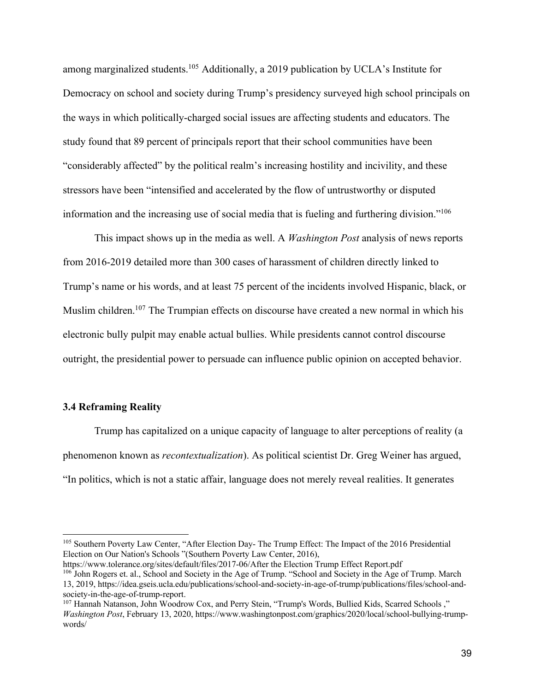among marginalized students.<sup>105</sup> Additionally, a 2019 publication by UCLA's Institute for Democracy on school and society during Trump's presidency surveyed high school principals on the ways in which politically-charged social issues are affecting students and educators. The study found that 89 percent of principals report that their school communities have been "considerably affected" by the political realm's increasing hostility and incivility, and these stressors have been "intensified and accelerated by the flow of untrustworthy or disputed information and the increasing use of social media that is fueling and furthering division."106

This impact shows up in the media as well. A *Washington Post* analysis of news reports from 2016-2019 detailed more than 300 cases of harassment of children directly linked to Trump's name or his words, and at least 75 percent of the incidents involved Hispanic, black, or Muslim children.<sup>107</sup> The Trumpian effects on discourse have created a new normal in which his electronic bully pulpit may enable actual bullies. While presidents cannot control discourse outright, the presidential power to persuade can influence public opinion on accepted behavior.

### **3.4 Reframing Reality**

Trump has capitalized on a unique capacity of language to alter perceptions of reality (a phenomenon known as *recontextualization*). As political scientist Dr. Greg Weiner has argued, "In politics, which is not a static affair, language does not merely reveal realities. It generates

https://www.tolerance.org/sites/default/files/2017-06/After the Election Trump Effect Report.pdf <sup>106</sup> John Rogers et. al., School and Society in the Age of Trump. "School and Society in the Age of Trump. March 13, 2019, https://idea.gseis.ucla.edu/publications/school-and-society-in-age-of-trump/publications/files/school-andsociety-in-the-age-of-trump-report.

<sup>105</sup> Southern Poverty Law Center, "After Election Day- The Trump Effect: The Impact of the 2016 Presidential Election on Our Nation's Schools "(Southern Poverty Law Center, 2016),

<sup>107</sup> Hannah Natanson, John Woodrow Cox, and Perry Stein, "Trump's Words, Bullied Kids, Scarred Schools ," *Washington Post*, February 13, 2020, https://www.washingtonpost.com/graphics/2020/local/school-bullying-trumpwords/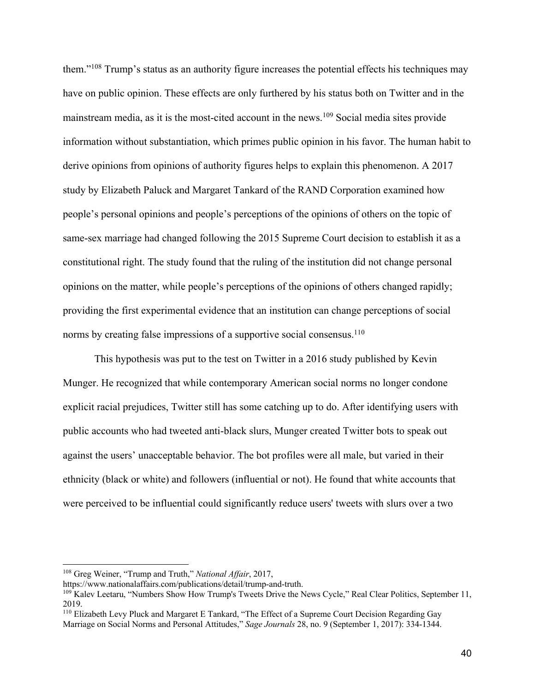them."108 Trump's status as an authority figure increases the potential effects his techniques may have on public opinion. These effects are only furthered by his status both on Twitter and in the mainstream media, as it is the most-cited account in the news.<sup>109</sup> Social media sites provide information without substantiation, which primes public opinion in his favor. The human habit to derive opinions from opinions of authority figures helps to explain this phenomenon. A 2017 study by Elizabeth Paluck and Margaret Tankard of the RAND Corporation examined how people's personal opinions and people's perceptions of the opinions of others on the topic of same-sex marriage had changed following the 2015 Supreme Court decision to establish it as a constitutional right. The study found that the ruling of the institution did not change personal opinions on the matter, while people's perceptions of the opinions of others changed rapidly; providing the first experimental evidence that an institution can change perceptions of social norms by creating false impressions of a supportive social consensus.<sup>110</sup>

This hypothesis was put to the test on Twitter in a 2016 study published by Kevin Munger. He recognized that while contemporary American social norms no longer condone explicit racial prejudices, Twitter still has some catching up to do. After identifying users with public accounts who had tweeted anti-black slurs, Munger created Twitter bots to speak out against the users' unacceptable behavior. The bot profiles were all male, but varied in their ethnicity (black or white) and followers (influential or not). He found that white accounts that were perceived to be influential could significantly reduce users' tweets with slurs over a two

<sup>108</sup> Greg Weiner, "Trump and Truth," *National Affair*, 2017,

https://www.nationalaffairs.com/publications/detail/trump-and-truth.

<sup>109</sup> Kalev Leetaru, "Numbers Show How Trump's Tweets Drive the News Cycle," Real Clear Politics, September 11, 2019.

<sup>110</sup> Elizabeth Levy Pluck and Margaret E Tankard, "The Effect of a Supreme Court Decision Regarding Gay Marriage on Social Norms and Personal Attitudes," *Sage Journals* 28, no. 9 (September 1, 2017): 334-1344.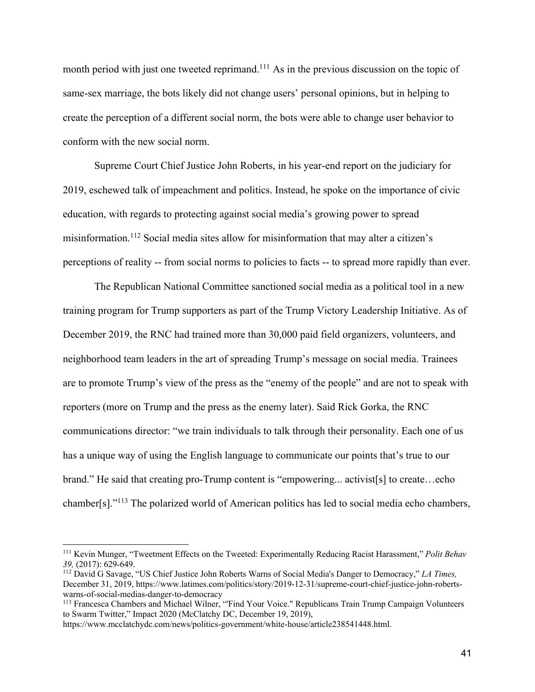month period with just one tweeted reprimand.<sup>111</sup> As in the previous discussion on the topic of same-sex marriage, the bots likely did not change users' personal opinions, but in helping to create the perception of a different social norm, the bots were able to change user behavior to conform with the new social norm.

Supreme Court Chief Justice John Roberts, in his year-end report on the judiciary for 2019, eschewed talk of impeachment and politics. Instead, he spoke on the importance of civic education, with regards to protecting against social media's growing power to spread misinformation.112 Social media sites allow for misinformation that may alter a citizen's perceptions of reality -- from social norms to policies to facts -- to spread more rapidly than ever.

The Republican National Committee sanctioned social media as a political tool in a new training program for Trump supporters as part of the Trump Victory Leadership Initiative. As of December 2019, the RNC had trained more than 30,000 paid field organizers, volunteers, and neighborhood team leaders in the art of spreading Trump's message on social media. Trainees are to promote Trump's view of the press as the "enemy of the people" and are not to speak with reporters (more on Trump and the press as the enemy later). Said Rick Gorka, the RNC communications director: "we train individuals to talk through their personality. Each one of us has a unique way of using the English language to communicate our points that's true to our brand." He said that creating pro-Trump content is "empowering... activist[s] to create…echo chamber[s]."113 The polarized world of American politics has led to social media echo chambers,

<sup>111</sup> Kevin Munger, "Tweetment Effects on the Tweeted: Experimentally Reducing Racist Harassment," *Polit Behav 39,* (2017): 629-649. 112 David G Savage, "US Chief Justice John Roberts Warns of Social Media's Danger to Democracy," *LA Times,*

December 31, 2019, https://www.latimes.com/politics/story/2019-12-31/supreme-court-chief-justice-john-robertswarns-of-social-medias-danger-to-democracy

<sup>&</sup>lt;sup>113</sup> Francesca Chambers and Michael Wilner, "'Find Your Voice." Republicans Train Trump Campaign Volunteers to Swarm Twitter," Impact 2020 (McClatchy DC, December 19, 2019),

https://www.mcclatchydc.com/news/politics-government/white-house/article238541448.html.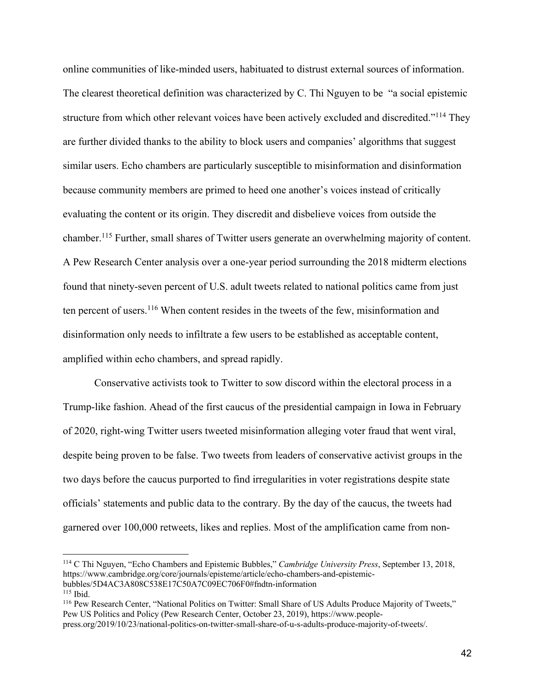online communities of like-minded users, habituated to distrust external sources of information. The clearest theoretical definition was characterized by C. Thi Nguyen to be "a social epistemic structure from which other relevant voices have been actively excluded and discredited."114 They are further divided thanks to the ability to block users and companies' algorithms that suggest similar users. Echo chambers are particularly susceptible to misinformation and disinformation because community members are primed to heed one another's voices instead of critically evaluating the content or its origin. They discredit and disbelieve voices from outside the chamber.115 Further, small shares of Twitter users generate an overwhelming majority of content. A Pew Research Center analysis over a one-year period surrounding the 2018 midterm elections found that ninety-seven percent of U.S. adult tweets related to national politics came from just ten percent of users.<sup>116</sup> When content resides in the tweets of the few, misinformation and disinformation only needs to infiltrate a few users to be established as acceptable content, amplified within echo chambers, and spread rapidly.

Conservative activists took to Twitter to sow discord within the electoral process in a Trump-like fashion. Ahead of the first caucus of the presidential campaign in Iowa in February of 2020, right-wing Twitter users tweeted misinformation alleging voter fraud that went viral, despite being proven to be false. Two tweets from leaders of conservative activist groups in the two days before the caucus purported to find irregularities in voter registrations despite state officials' statements and public data to the contrary. By the day of the caucus, the tweets had garnered over 100,000 retweets, likes and replies. Most of the amplification came from non-

<sup>114</sup> C Thi Nguyen, "Echo Chambers and Epistemic Bubbles," *Cambridge University Press*, September 13, 2018, https://www.cambridge.org/core/journals/episteme/article/echo-chambers-and-epistemicbubbles/5D4AC3A808C538E17C50A7C09EC706F0#fndtn-information

 $115$  Ibid.

<sup>116</sup> Pew Research Center, "National Politics on Twitter: Small Share of US Adults Produce Majority of Tweets," Pew US Politics and Policy (Pew Research Center, October 23, 2019), https://www.people-

press.org/2019/10/23/national-politics-on-twitter-small-share-of-u-s-adults-produce-majority-of-tweets/.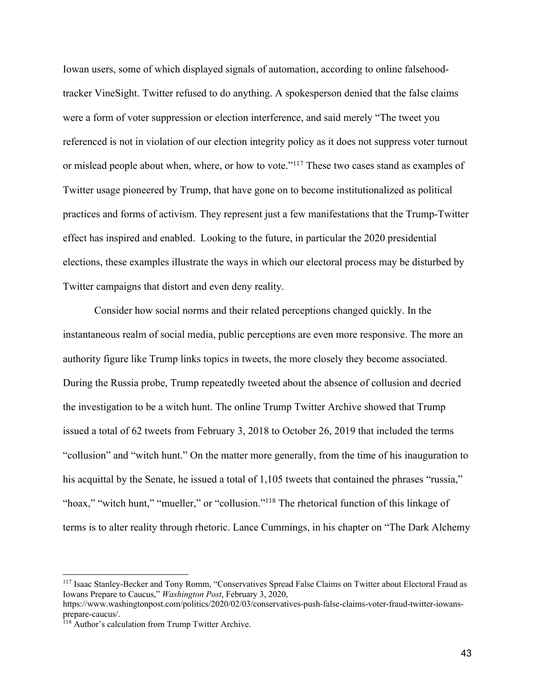Iowan users, some of which displayed signals of automation, according to online falsehoodtracker VineSight. Twitter refused to do anything. A spokesperson denied that the false claims were a form of voter suppression or election interference, and said merely "The tweet you referenced is not in violation of our election integrity policy as it does not suppress voter turnout or mislead people about when, where, or how to vote."117 These two cases stand as examples of Twitter usage pioneered by Trump, that have gone on to become institutionalized as political practices and forms of activism. They represent just a few manifestations that the Trump-Twitter effect has inspired and enabled. Looking to the future, in particular the 2020 presidential elections, these examples illustrate the ways in which our electoral process may be disturbed by Twitter campaigns that distort and even deny reality.

Consider how social norms and their related perceptions changed quickly. In the instantaneous realm of social media, public perceptions are even more responsive. The more an authority figure like Trump links topics in tweets, the more closely they become associated. During the Russia probe, Trump repeatedly tweeted about the absence of collusion and decried the investigation to be a witch hunt. The online Trump Twitter Archive showed that Trump issued a total of 62 tweets from February 3, 2018 to October 26, 2019 that included the terms "collusion" and "witch hunt." On the matter more generally, from the time of his inauguration to his acquittal by the Senate, he issued a total of 1,105 tweets that contained the phrases "russia," "hoax," "witch hunt," "mueller," or "collusion."<sup>118</sup> The rhetorical function of this linkage of terms is to alter reality through rhetoric. Lance Cummings, in his chapter on "The Dark Alchemy

<sup>117</sup> Isaac Stanley-Becker and Tony Romm, "Conservatives Spread False Claims on Twitter about Electoral Fraud as Iowans Prepare to Caucus," *Washington Post*, February 3, 2020,

https://www.washingtonpost.com/politics/2020/02/03/conservatives-push-false-claims-voter-fraud-twitter-iowansprepare-caucus/.

<sup>&</sup>lt;sup>118</sup> Author's calculation from Trump Twitter Archive.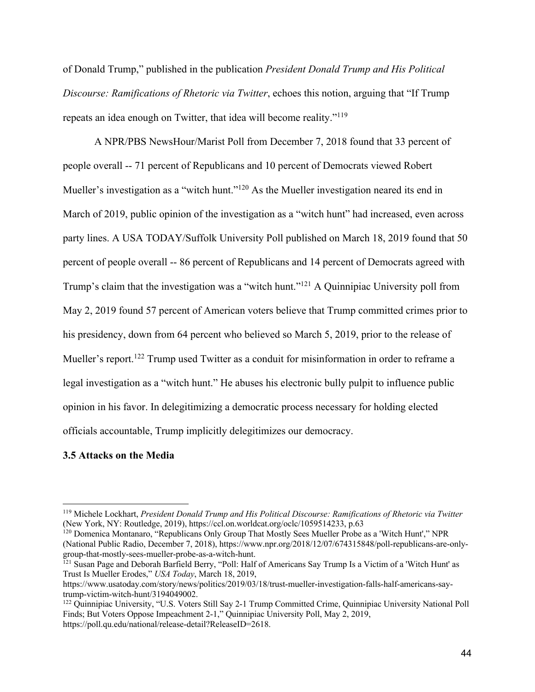of Donald Trump," published in the publication *President Donald Trump and His Political Discourse: Ramifications of Rhetoric via Twitter*, echoes this notion, arguing that "If Trump repeats an idea enough on Twitter, that idea will become reality."119

A NPR/PBS NewsHour/Marist Poll from December 7, 2018 found that 33 percent of people overall -- 71 percent of Republicans and 10 percent of Democrats viewed Robert Mueller's investigation as a "witch hunt."<sup>120</sup> As the Mueller investigation neared its end in March of 2019, public opinion of the investigation as a "witch hunt" had increased, even across party lines. A USA TODAY/Suffolk University Poll published on March 18, 2019 found that 50 percent of people overall -- 86 percent of Republicans and 14 percent of Democrats agreed with Trump's claim that the investigation was a "witch hunt."121 A Quinnipiac University poll from May 2, 2019 found 57 percent of American voters believe that Trump committed crimes prior to his presidency, down from 64 percent who believed so March 5, 2019, prior to the release of Mueller's report.<sup>122</sup> Trump used Twitter as a conduit for misinformation in order to reframe a legal investigation as a "witch hunt." He abuses his electronic bully pulpit to influence public opinion in his favor. In delegitimizing a democratic process necessary for holding elected officials accountable, Trump implicitly delegitimizes our democracy.

### **3.5 Attacks on the Media**

<sup>120</sup> Domenica Montanaro, "Republicans Only Group That Mostly Sees Mueller Probe as a 'Witch Hunt'," NPR (National Public Radio, December 7, 2018), https://www.npr.org/2018/12/07/674315848/poll-republicans-are-onlygroup-that-mostly-sees-mueller-probe-as-a-witch-hunt.

<sup>119</sup> Michele Lockhart, *President Donald Trump and His Political Discourse: Ramifications of Rhetoric via Twitter* (New York, NY: Routledge, 2019), https://ccl.on.worldcat.org/oclc/1059514233, p.63

<sup>&</sup>lt;sup>121</sup> Susan Page and Deborah Barfield Berry, "Poll: Half of Americans Say Trump Is a Victim of a 'Witch Hunt' as Trust Is Mueller Erodes," *USA Today*, March 18, 2019,

https://www.usatoday.com/story/news/politics/2019/03/18/trust-mueller-investigation-falls-half-americans-saytrump-victim-witch-hunt/3194049002.

<sup>&</sup>lt;sup>122</sup> Quinnipiac University, "U.S. Voters Still Say 2-1 Trump Committed Crime, Quinnipiac University National Poll Finds; But Voters Oppose Impeachment 2-1," Quinnipiac University Poll, May 2, 2019, https://poll.qu.edu/national/release-detail?ReleaseID=2618.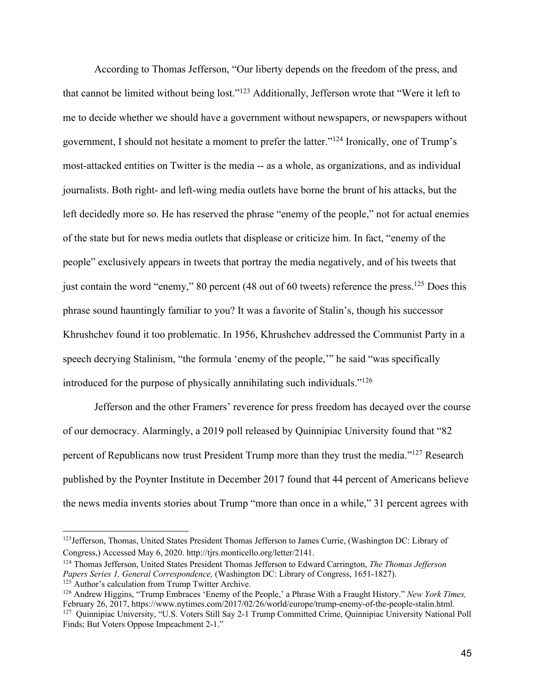According to Thomas Jefferson, "Our liberty depends on the freedom of the press, and that cannot be limited without being lost."123 Additionally, Jefferson wrote that "Were it left to me to decide whether we should have a government without newspapers, or newspapers without government, I should not hesitate a moment to prefer the latter."124 Ironically, one of Trump's most-attacked entities on Twitter is the media -- as a whole, as organizations, and as individual journalists. Both right- and left-wing media outlets have borne the brunt of his attacks, but the left decidedly more so. He has reserved the phrase "enemy of the people," not for actual enemies of the state but for news media outlets that displease or criticize him. In fact, "enemy of the people" exclusively appears in tweets that portray the media negatively, and of his tweets that just contain the word "enemy," 80 percent (48 out of 60 tweets) reference the press.<sup>125</sup> Does this phrase sound hauntingly familiar to you? It was a favorite of Stalin's, though his successor Khrushchev found it too problematic. In 1956, Khrushchev addressed the Communist Party in a speech decrying Stalinism, "the formula 'enemy of the people,'" he said "was specifically introduced for the purpose of physically annihilating such individuals."126

Jefferson and the other Framers' reverence for press freedom has decayed over the course of our democracy. Alarmingly, a 2019 poll released by Quinnipiac University found that "82 percent of Republicans now trust President Trump more than they trust the media."127 Research published by the Poynter Institute in December 2017 found that 44 percent of Americans believe the news media invents stories about Trump "more than once in a while," 31 percent agrees with

<sup>&</sup>lt;sup>123</sup>Jefferson, Thomas, United States President Thomas Jefferson to James Currie, (Washington DC: Library of Congress,) Accessed May 6, 2020. http://tjrs.monticello.org/letter/2141.

<sup>124</sup> Thomas Jefferson, United States President Thomas Jefferson to Edward Carrington, *The Thomas Jefferson Papers Series 1, General Correspondence, (Washington DC: Library of Congress, 1651-1827).* <sup>125</sup> Author's calculation from Trump Twitter Archive.

<sup>126</sup> Andrew Higgins, "Trump Embraces 'Enemy of the People,' a Phrase With a Fraught History." *New York Times,*  February 26, 2017, https://www.nytimes.com/2017/02/26/world/europe/trump-enemy-of-the-people-stalin.html. <sup>127</sup> Quinnipiac University, "U.S. Voters Still Say 2-1 Trump Committed Crime, Quinnipiac University National Poll Finds; But Voters Oppose Impeachment 2-1."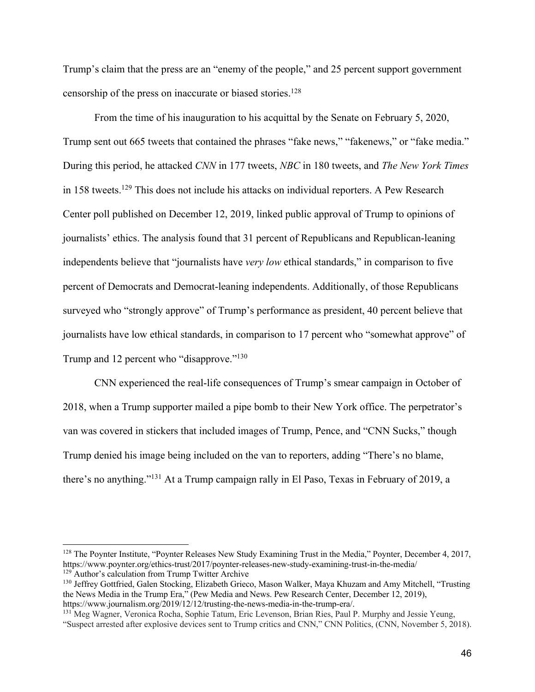Trump's claim that the press are an "enemy of the people," and 25 percent support government censorship of the press on inaccurate or biased stories.128

From the time of his inauguration to his acquittal by the Senate on February 5, 2020, Trump sent out 665 tweets that contained the phrases "fake news," "fakenews," or "fake media." During this period, he attacked *CNN* in 177 tweets, *NBC* in 180 tweets, and *The New York Times* in 158 tweets.<sup>129</sup> This does not include his attacks on individual reporters. A Pew Research Center poll published on December 12, 2019, linked public approval of Trump to opinions of journalists' ethics. The analysis found that 31 percent of Republicans and Republican-leaning independents believe that "journalists have *very low* ethical standards," in comparison to five percent of Democrats and Democrat-leaning independents. Additionally, of those Republicans surveyed who "strongly approve" of Trump's performance as president, 40 percent believe that journalists have low ethical standards, in comparison to 17 percent who "somewhat approve" of Trump and 12 percent who "disapprove."<sup>130</sup>

CNN experienced the real-life consequences of Trump's smear campaign in October of 2018, when a Trump supporter mailed a pipe bomb to their New York office. The perpetrator's van was covered in stickers that included images of Trump, Pence, and "CNN Sucks," though Trump denied his image being included on the van to reporters, adding "There's no blame, there's no anything."131 At a Trump campaign rally in El Paso, Texas in February of 2019, a

<sup>&</sup>lt;sup>128</sup> The Poynter Institute, "Poynter Releases New Study Examining Trust in the Media," Poynter, December 4, 2017, https://www.poynter.org/ethics-trust/2017/poynter-releases-new-study-examining-trust-in-the-media/ <sup>129</sup> Author's calculation from Trump Twitter Archive

<sup>130</sup> Jeffrey Gottfried, Galen Stocking, Elizabeth Grieco, Mason Walker, Maya Khuzam and Amy Mitchell, "Trusting the News Media in the Trump Era," (Pew Media and News. Pew Research Center, December 12, 2019), https://www.journalism.org/2019/12/12/trusting-the-news-media-in-the-trump-era/.

<sup>131</sup> Meg Wagner, Veronica Rocha, Sophie Tatum, Eric Levenson, Brian Ries, Paul P. Murphy and Jessie Yeung, "Suspect arrested after explosive devices sent to Trump critics and CNN," CNN Politics, (CNN, November 5, 2018).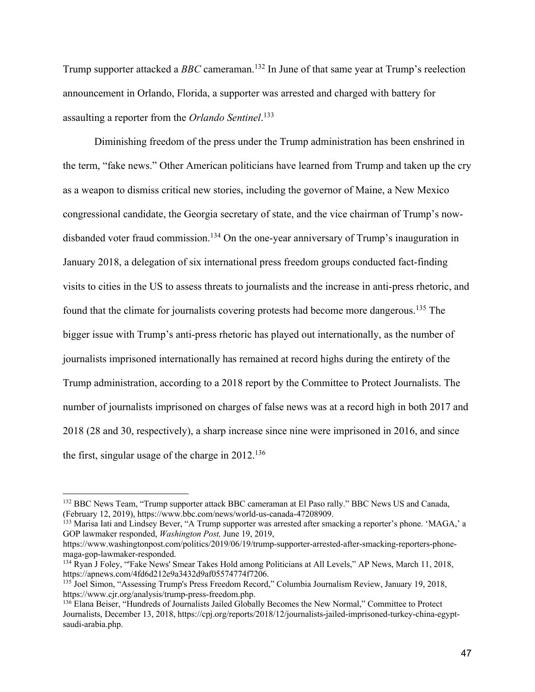Trump supporter attacked a *BBC* cameraman.132 In June of that same year at Trump's reelection announcement in Orlando, Florida, a supporter was arrested and charged with battery for assaulting a reporter from the *Orlando Sentinel*. 133

Diminishing freedom of the press under the Trump administration has been enshrined in the term, "fake news." Other American politicians have learned from Trump and taken up the cry as a weapon to dismiss critical new stories, including the governor of Maine, a New Mexico congressional candidate, the Georgia secretary of state, and the vice chairman of Trump's nowdisbanded voter fraud commission.<sup>134</sup> On the one-year anniversary of Trump's inauguration in January 2018, a delegation of six international press freedom groups conducted fact-finding visits to cities in the US to assess threats to journalists and the increase in anti-press rhetoric, and found that the climate for journalists covering protests had become more dangerous.135 The bigger issue with Trump's anti-press rhetoric has played out internationally, as the number of journalists imprisoned internationally has remained at record highs during the entirety of the Trump administration, according to a 2018 report by the Committee to Protect Journalists. The number of journalists imprisoned on charges of false news was at a record high in both 2017 and 2018 (28 and 30, respectively), a sharp increase since nine were imprisoned in 2016, and since the first, singular usage of the charge in 2012.136

<sup>&</sup>lt;sup>132</sup> BBC News Team, "Trump supporter attack BBC cameraman at El Paso rally." BBC News US and Canada, (February 12, 2019), https://www.bbc.com/news/world-us-canada-47208909.

 $^{133}$  Marisa Iati and Lindsey Bever, "A Trump supporter was arrested after smacking a reporter's phone. 'MAGA,' a GOP lawmaker responded, *Washington Post,* June 19, 2019,

https://www.washingtonpost.com/politics/2019/06/19/trump-supporter-arrested-after-smacking-reporters-phonemaga-gop-lawmaker-responded.<br><sup>134</sup> Ryan J Foley, "'Fake News' Smear Takes Hold among Politicians at All Levels," AP News, March 11, 2018,

https://apnews.com/4fd6d212e9a3432d9af05574774f7206.

<sup>135</sup> Joel Simon, "Assessing Trump's Press Freedom Record," Columbia Journalism Review, January 19, 2018, https://www.cjr.org/analysis/trump-press-freedom.php.

<sup>136</sup> Elana Beiser, "Hundreds of Journalists Jailed Globally Becomes the New Normal," Committee to Protect Journalists, December 13, 2018, https://cpj.org/reports/2018/12/journalists-jailed-imprisoned-turkey-china-egyptsaudi-arabia.php.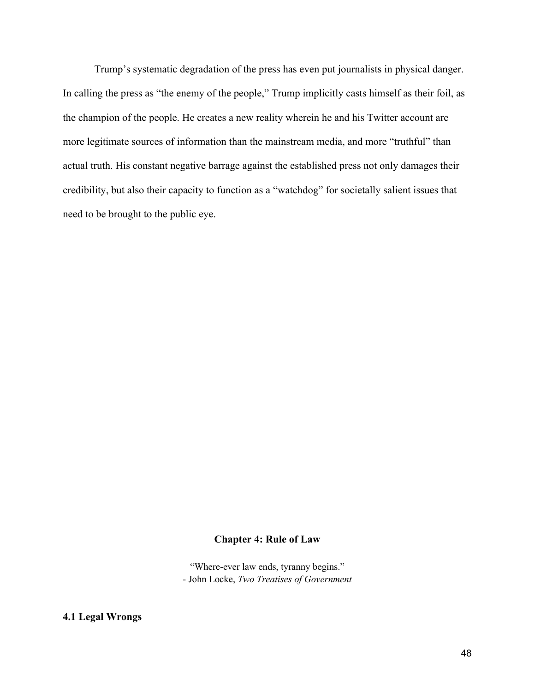Trump's systematic degradation of the press has even put journalists in physical danger. In calling the press as "the enemy of the people," Trump implicitly casts himself as their foil, as the champion of the people. He creates a new reality wherein he and his Twitter account are more legitimate sources of information than the mainstream media, and more "truthful" than actual truth. His constant negative barrage against the established press not only damages their credibility, but also their capacity to function as a "watchdog" for societally salient issues that need to be brought to the public eye.

## **Chapter 4: Rule of Law**

"Where-ever law ends, tyranny begins." - John Locke, *Two Treatises of Government*

# **4.1 Legal Wrongs**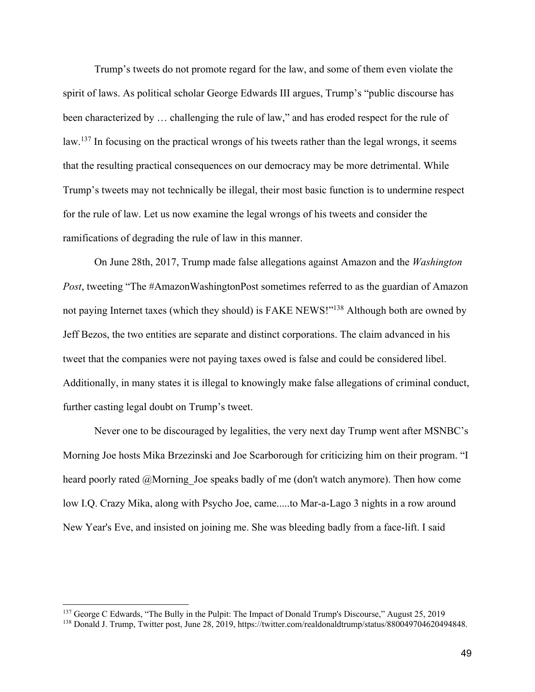Trump's tweets do not promote regard for the law, and some of them even violate the spirit of laws. As political scholar George Edwards III argues, Trump's "public discourse has been characterized by … challenging the rule of law," and has eroded respect for the rule of law.<sup>137</sup> In focusing on the practical wrongs of his tweets rather than the legal wrongs, it seems that the resulting practical consequences on our democracy may be more detrimental. While Trump's tweets may not technically be illegal, their most basic function is to undermine respect for the rule of law. Let us now examine the legal wrongs of his tweets and consider the ramifications of degrading the rule of law in this manner.

On June 28th, 2017, Trump made false allegations against Amazon and the *Washington Post*, tweeting "The #AmazonWashingtonPost sometimes referred to as the guardian of Amazon not paying Internet taxes (which they should) is FAKE NEWS!"138 Although both are owned by Jeff Bezos, the two entities are separate and distinct corporations. The claim advanced in his tweet that the companies were not paying taxes owed is false and could be considered libel. Additionally, in many states it is illegal to knowingly make false allegations of criminal conduct, further casting legal doubt on Trump's tweet.

Never one to be discouraged by legalities, the very next day Trump went after MSNBC's Morning Joe hosts Mika Brzezinski and Joe Scarborough for criticizing him on their program. "I heard poorly rated @Morning Joe speaks badly of me (don't watch anymore). Then how come low I.Q. Crazy Mika, along with Psycho Joe, came.....to Mar-a-Lago 3 nights in a row around New Year's Eve, and insisted on joining me. She was bleeding badly from a face-lift. I said

<sup>&</sup>lt;sup>137</sup> George C Edwards, "The Bully in the Pulpit: The Impact of Donald Trump's Discourse," August 25, 2019

<sup>138</sup> Donald J. Trump, Twitter post, June 28, 2019, https://twitter.com/realdonaldtrump/status/880049704620494848.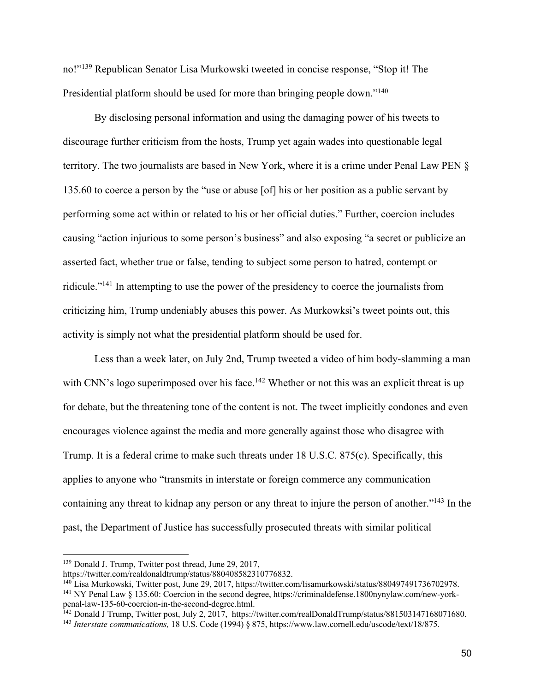no!"139 Republican Senator Lisa Murkowski tweeted in concise response, "Stop it! The Presidential platform should be used for more than bringing people down."<sup>140</sup>

By disclosing personal information and using the damaging power of his tweets to discourage further criticism from the hosts, Trump yet again wades into questionable legal territory. The two journalists are based in New York, where it is a crime under Penal Law PEN § 135.60 to coerce a person by the "use or abuse [of] his or her position as a public servant by performing some act within or related to his or her official duties." Further, coercion includes causing "action injurious to some person's business" and also exposing "a secret or publicize an asserted fact, whether true or false, tending to subject some person to hatred, contempt or ridicule."141 In attempting to use the power of the presidency to coerce the journalists from criticizing him, Trump undeniably abuses this power. As Murkowksi's tweet points out, this activity is simply not what the presidential platform should be used for.

Less than a week later, on July 2nd, Trump tweeted a video of him body-slamming a man with CNN's logo superimposed over his face.<sup>142</sup> Whether or not this was an explicit threat is up for debate, but the threatening tone of the content is not. The tweet implicitly condones and even encourages violence against the media and more generally against those who disagree with Trump. It is a federal crime to make such threats under 18 U.S.C. 875(c). Specifically, this applies to anyone who "transmits in interstate or foreign commerce any communication containing any threat to kidnap any person or any threat to injure the person of another."143 In the past, the Department of Justice has successfully prosecuted threats with similar political

<sup>&</sup>lt;sup>139</sup> Donald J. Trump, Twitter post thread, June 29, 2017,<br>https://twitter.com/realdonaldtrump/status/880408582310776832.

<sup>&</sup>lt;sup>140</sup> Lisa Murkowski, Twitter post, June 29, 2017, https://twitter.com/lisamurkowski/status/880497491736702978.<br><sup>141</sup> NY Penal Law § 135.60: Coercion in the second degree, https://criminaldefense.1800nynylaw.com/new-york-

penal-law-135-60-coercion-in-the-second-degree.html.

<sup>&</sup>lt;sup>142</sup> Donald J Trump, Twitter post, July 2, 2017, https://twitter.com/realDonaldTrump/status/881503147168071680.

<sup>143</sup> *Interstate communications,* 18 U.S. Code (1994) § 875, https://www.law.cornell.edu/uscode/text/18/875.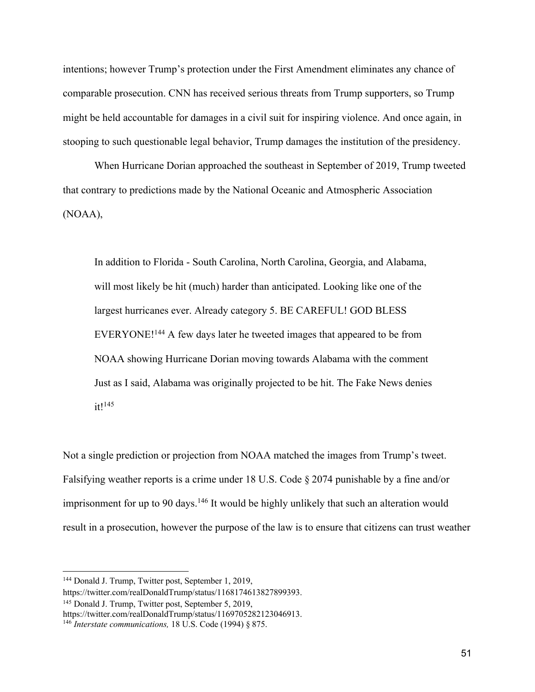intentions; however Trump's protection under the First Amendment eliminates any chance of comparable prosecution. CNN has received serious threats from Trump supporters, so Trump might be held accountable for damages in a civil suit for inspiring violence. And once again, in stooping to such questionable legal behavior, Trump damages the institution of the presidency.

When Hurricane Dorian approached the southeast in September of 2019, Trump tweeted that contrary to predictions made by the National Oceanic and Atmospheric Association (NOAA),

In addition to Florida - South Carolina, North Carolina, Georgia, and Alabama, will most likely be hit (much) harder than anticipated. Looking like one of the largest hurricanes ever. Already category 5. BE CAREFUL! GOD BLESS EVERYONE!144 A few days later he tweeted images that appeared to be from NOAA showing Hurricane Dorian moving towards Alabama with the comment Just as I said, Alabama was originally projected to be hit. The Fake News denies it!145

Not a single prediction or projection from NOAA matched the images from Trump's tweet. Falsifying weather reports is a crime under 18 U.S. Code § 2074 punishable by a fine and/or imprisonment for up to 90 days.<sup>146</sup> It would be highly unlikely that such an alteration would result in a prosecution, however the purpose of the law is to ensure that citizens can trust weather

<sup>145</sup> Donald J. Trump, Twitter post, September 5, 2019,

<sup>144</sup> Donald J. Trump, Twitter post, September 1, 2019,

https://twitter.com/realDonaldTrump/status/1168174613827899393.

https://twitter.com/realDonaldTrump/status/1169705282123046913.

<sup>146</sup> *Interstate communications,* 18 U.S. Code (1994) § 875.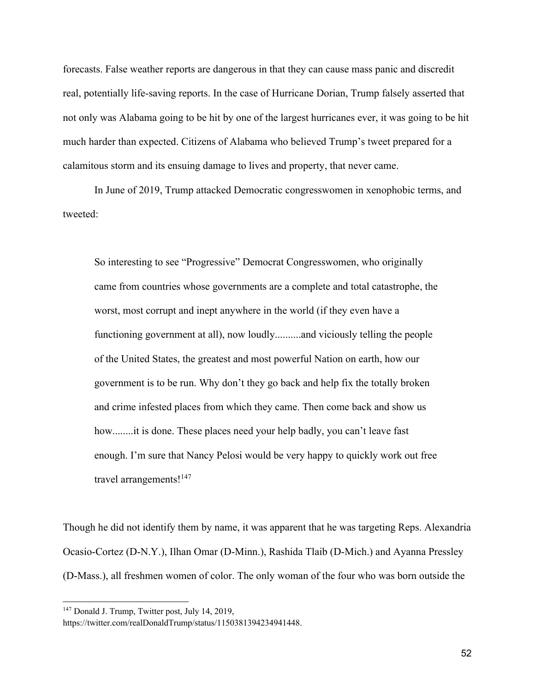forecasts. False weather reports are dangerous in that they can cause mass panic and discredit real, potentially life-saving reports. In the case of Hurricane Dorian, Trump falsely asserted that not only was Alabama going to be hit by one of the largest hurricanes ever, it was going to be hit much harder than expected. Citizens of Alabama who believed Trump's tweet prepared for a calamitous storm and its ensuing damage to lives and property, that never came.

In June of 2019, Trump attacked Democratic congresswomen in xenophobic terms, and tweeted:

So interesting to see "Progressive" Democrat Congresswomen, who originally came from countries whose governments are a complete and total catastrophe, the worst, most corrupt and inept anywhere in the world (if they even have a functioning government at all), now loudly..........and viciously telling the people of the United States, the greatest and most powerful Nation on earth, how our government is to be run. Why don't they go back and help fix the totally broken and crime infested places from which they came. Then come back and show us how........it is done. These places need your help badly, you can't leave fast enough. I'm sure that Nancy Pelosi would be very happy to quickly work out free travel arrangements!<sup>147</sup>

Though he did not identify them by name, it was apparent that he was targeting Reps. Alexandria Ocasio-Cortez (D-N.Y.), Ilhan Omar (D-Minn.), Rashida Tlaib (D-Mich.) and Ayanna Pressley (D-Mass.), all freshmen women of color. The only woman of the four who was born outside the

<sup>&</sup>lt;sup>147</sup> Donald J. Trump, Twitter post, July 14, 2019,

https://twitter.com/realDonaldTrump/status/1150381394234941448.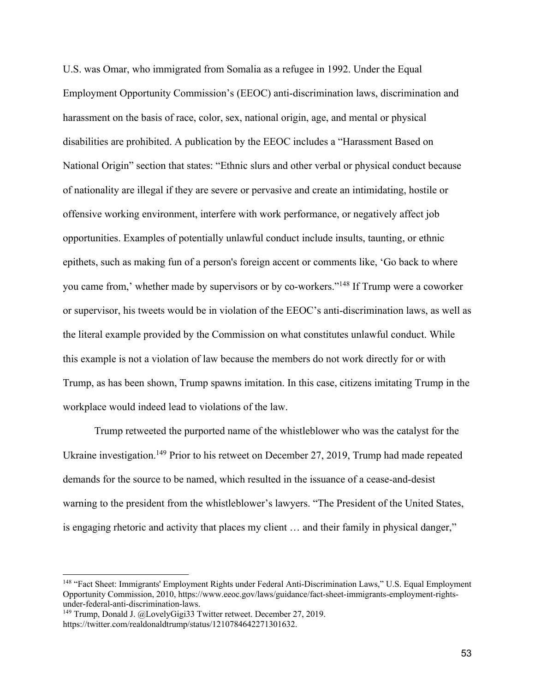U.S. was Omar, who immigrated from Somalia as a refugee in 1992. Under the Equal Employment Opportunity Commission's (EEOC) anti-discrimination laws, discrimination and harassment on the basis of race, color, sex, national origin, age, and mental or physical disabilities are prohibited. A publication by the EEOC includes a "Harassment Based on National Origin" section that states: "Ethnic slurs and other verbal or physical conduct because of nationality are illegal if they are severe or pervasive and create an intimidating, hostile or offensive working environment, interfere with work performance, or negatively affect job opportunities. Examples of potentially unlawful conduct include insults, taunting, or ethnic epithets, such as making fun of a person's foreign accent or comments like, 'Go back to where you came from,' whether made by supervisors or by co-workers."148 If Trump were a coworker or supervisor, his tweets would be in violation of the EEOC's anti-discrimination laws, as well as the literal example provided by the Commission on what constitutes unlawful conduct. While this example is not a violation of law because the members do not work directly for or with Trump, as has been shown, Trump spawns imitation. In this case, citizens imitating Trump in the workplace would indeed lead to violations of the law.

Trump retweeted the purported name of the whistleblower who was the catalyst for the Ukraine investigation.<sup>149</sup> Prior to his retweet on December 27, 2019, Trump had made repeated demands for the source to be named, which resulted in the issuance of a cease-and-desist warning to the president from the whistleblower's lawyers. "The President of the United States, is engaging rhetoric and activity that places my client … and their family in physical danger,"

<sup>148</sup> "Fact Sheet: Immigrants' Employment Rights under Federal Anti-Discrimination Laws," U.S. Equal Employment Opportunity Commission, 2010, https://www.eeoc.gov/laws/guidance/fact-sheet-immigrants-employment-rightsunder-federal-anti-discrimination-laws.

<sup>&</sup>lt;sup>149</sup> Trump, Donald J. @LovelyGigi33 Twitter retweet. December 27, 2019. https://twitter.com/realdonaldtrump/status/1210784642271301632.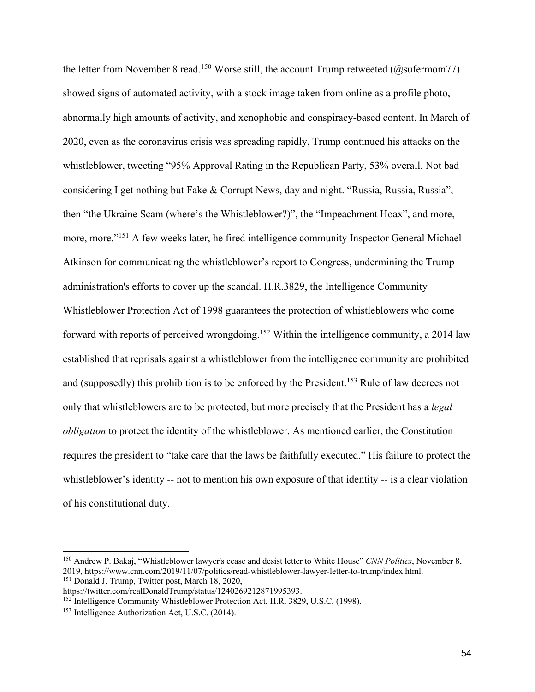the letter from November 8 read.<sup>150</sup> Worse still, the account Trump retweeted (@sufermom77) showed signs of automated activity, with a stock image taken from online as a profile photo, abnormally high amounts of activity, and xenophobic and conspiracy-based content. In March of 2020, even as the coronavirus crisis was spreading rapidly, Trump continued his attacks on the whistleblower, tweeting "95% Approval Rating in the Republican Party, 53% overall. Not bad considering I get nothing but Fake & Corrupt News, day and night. "Russia, Russia, Russia", then "the Ukraine Scam (where's the Whistleblower?)", the "Impeachment Hoax", and more, more, more."<sup>151</sup> A few weeks later, he fired intelligence community Inspector General Michael Atkinson for communicating the whistleblower's report to Congress, undermining the Trump administration's efforts to cover up the scandal. H.R.3829, the Intelligence Community Whistleblower Protection Act of 1998 guarantees the protection of whistleblowers who come forward with reports of perceived wrongdoing.152 Within the intelligence community, a 2014 law established that reprisals against a whistleblower from the intelligence community are prohibited and (supposedly) this prohibition is to be enforced by the President.<sup>153</sup> Rule of law decrees not only that whistleblowers are to be protected, but more precisely that the President has a *legal obligation* to protect the identity of the whistleblower. As mentioned earlier, the Constitution requires the president to "take care that the laws be faithfully executed." His failure to protect the whistleblower's identity -- not to mention his own exposure of that identity -- is a clear violation of his constitutional duty.

<sup>150</sup> Andrew P. Bakaj, "Whistleblower lawyer's cease and desist letter to White House" *CNN Politics*, November 8, 2019, https://www.cnn.com/2019/11/07/politics/read-whistleblower-lawyer-letter-to-trump/index.html. <sup>151</sup> Donald J. Trump, Twitter post, March 18, 2020,

https://twitter.com/realDonaldTrump/status/1240269212871995393.

<sup>&</sup>lt;sup>152</sup> Intelligence Community Whistleblower Protection Act, H.R. 3829, U.S.C, (1998).

<sup>153</sup> Intelligence Authorization Act, U.S.C. (2014).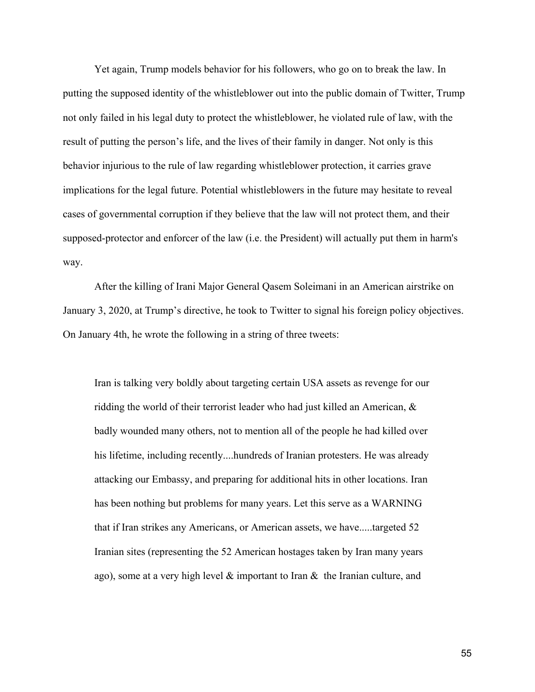Yet again, Trump models behavior for his followers, who go on to break the law. In putting the supposed identity of the whistleblower out into the public domain of Twitter, Trump not only failed in his legal duty to protect the whistleblower, he violated rule of law, with the result of putting the person's life, and the lives of their family in danger. Not only is this behavior injurious to the rule of law regarding whistleblower protection, it carries grave implications for the legal future. Potential whistleblowers in the future may hesitate to reveal cases of governmental corruption if they believe that the law will not protect them, and their supposed-protector and enforcer of the law (i.e. the President) will actually put them in harm's way.

After the killing of Irani Major General Qasem Soleimani in an American airstrike on January 3, 2020, at Trump's directive, he took to Twitter to signal his foreign policy objectives. On January 4th, he wrote the following in a string of three tweets:

Iran is talking very boldly about targeting certain USA assets as revenge for our ridding the world of their terrorist leader who had just killed an American, & badly wounded many others, not to mention all of the people he had killed over his lifetime, including recently....hundreds of Iranian protesters. He was already attacking our Embassy, and preparing for additional hits in other locations. Iran has been nothing but problems for many years. Let this serve as a WARNING that if Iran strikes any Americans, or American assets, we have.....targeted 52 Iranian sites (representing the 52 American hostages taken by Iran many years ago), some at a very high level  $\&$  important to Iran  $\&$  the Iranian culture, and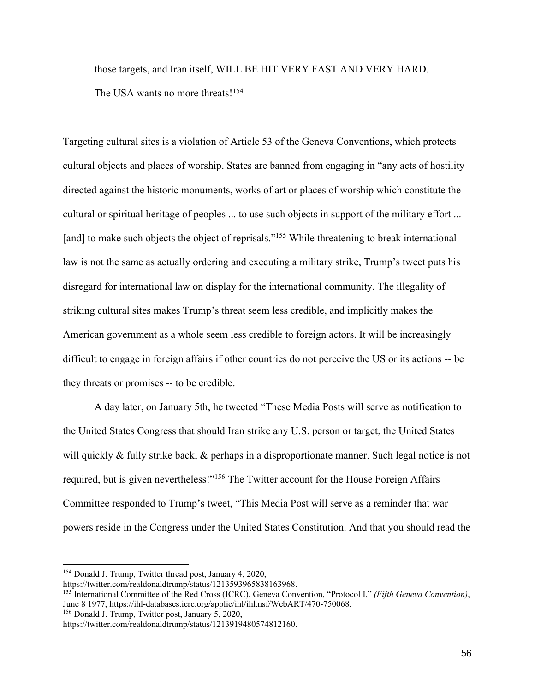those targets, and Iran itself, WILL BE HIT VERY FAST AND VERY HARD. The USA wants no more threats!<sup>154</sup>

Targeting cultural sites is a violation of Article 53 of the Geneva Conventions, which protects cultural objects and places of worship. States are banned from engaging in "any acts of hostility directed against the historic monuments, works of art or places of worship which constitute the cultural or spiritual heritage of peoples ... to use such objects in support of the military effort ... [and] to make such objects the object of reprisals."<sup>155</sup> While threatening to break international law is not the same as actually ordering and executing a military strike, Trump's tweet puts his disregard for international law on display for the international community. The illegality of striking cultural sites makes Trump's threat seem less credible, and implicitly makes the American government as a whole seem less credible to foreign actors. It will be increasingly difficult to engage in foreign affairs if other countries do not perceive the US or its actions -- be they threats or promises -- to be credible.

A day later, on January 5th, he tweeted "These Media Posts will serve as notification to the United States Congress that should Iran strike any U.S. person or target, the United States will quickly & fully strike back, & perhaps in a disproportionate manner. Such legal notice is not required, but is given nevertheless!"156 The Twitter account for the House Foreign Affairs Committee responded to Trump's tweet, "This Media Post will serve as a reminder that war powers reside in the Congress under the United States Constitution. And that you should read the

<sup>154</sup> Donald J. Trump, Twitter thread post, January 4, 2020,

https://twitter.com/realdonaldtrump/status/1213593965838163968.

<sup>155</sup> International Committee of the Red Cross (ICRC), Geneva Convention, "Protocol I," *(Fifth Geneva Convention)*, June 8 1977, https://ihl-databases.icrc.org/applic/ihl/ihl.nsf/WebART/470-750068. <sup>156</sup> Donald J. Trump, Twitter post, January 5, 2020,

https://twitter.com/realdonaldtrump/status/1213919480574812160.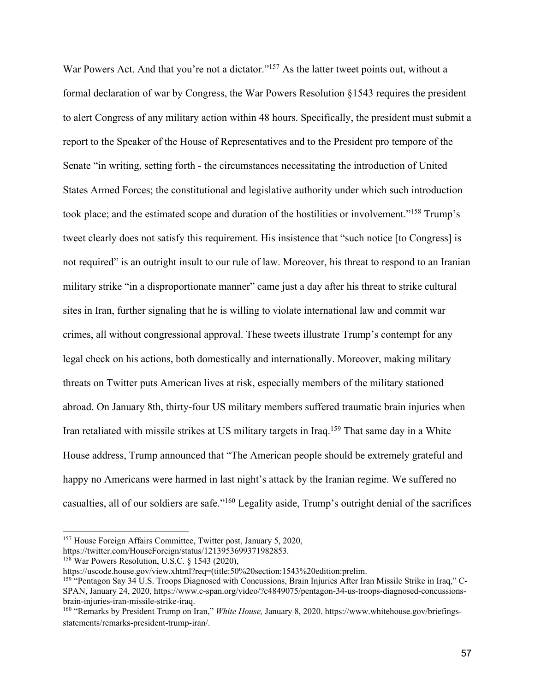War Powers Act. And that you're not a dictator."<sup>157</sup> As the latter tweet points out, without a formal declaration of war by Congress, the War Powers Resolution §1543 requires the president to alert Congress of any military action within 48 hours. Specifically, the president must submit a report to the Speaker of the House of Representatives and to the President pro tempore of the Senate "in writing, setting forth - the circumstances necessitating the introduction of United States Armed Forces; the constitutional and legislative authority under which such introduction took place; and the estimated scope and duration of the hostilities or involvement."158 Trump's tweet clearly does not satisfy this requirement. His insistence that "such notice [to Congress] is not required" is an outright insult to our rule of law. Moreover, his threat to respond to an Iranian military strike "in a disproportionate manner" came just a day after his threat to strike cultural sites in Iran, further signaling that he is willing to violate international law and commit war crimes, all without congressional approval. These tweets illustrate Trump's contempt for any legal check on his actions, both domestically and internationally. Moreover, making military threats on Twitter puts American lives at risk, especially members of the military stationed abroad. On January 8th, thirty-four US military members suffered traumatic brain injuries when Iran retaliated with missile strikes at US military targets in Iraq.159 That same day in a White House address, Trump announced that "The American people should be extremely grateful and happy no Americans were harmed in last night's attack by the Iranian regime. We suffered no casualties, all of our soldiers are safe."160 Legality aside, Trump's outright denial of the sacrifices

<sup>157</sup> House Foreign Affairs Committee, Twitter post, January 5, 2020,

https://twitter.com/HouseForeign/status/1213953699371982853. 158 War Powers Resolution, U.S.C. § 1543 (2020),

https://uscode.house.gov/view.xhtml?req=(title:50%20section:1543%20edition:prelim.

<sup>159</sup> "Pentagon Say 34 U.S. Troops Diagnosed with Concussions, Brain Injuries After Iran Missile Strike in Iraq," C-SPAN, January 24, 2020, https://www.c-span.org/video/?c4849075/pentagon-34-us-troops-diagnosed-concussionsbrain-injuries-iran-missile-strike-iraq.

<sup>160</sup> "Remarks by President Trump on Iran," *White House,* January 8, 2020. https://www.whitehouse.gov/briefingsstatements/remarks-president-trump-iran/.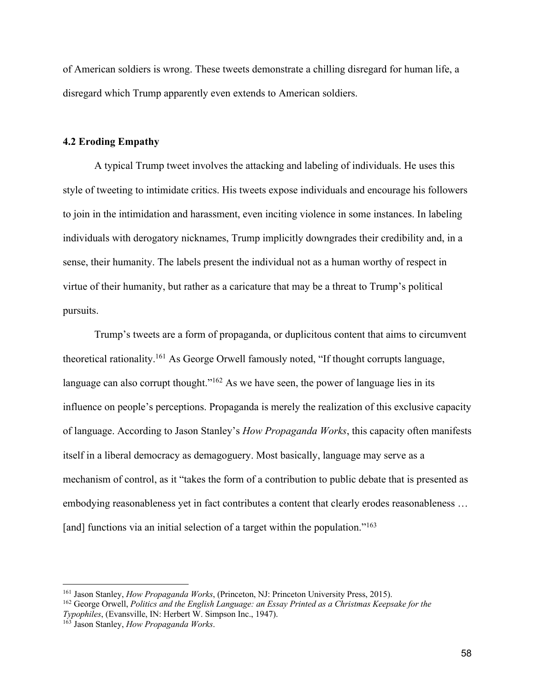of American soldiers is wrong. These tweets demonstrate a chilling disregard for human life, a disregard which Trump apparently even extends to American soldiers.

#### **4.2 Eroding Empathy**

A typical Trump tweet involves the attacking and labeling of individuals. He uses this style of tweeting to intimidate critics. His tweets expose individuals and encourage his followers to join in the intimidation and harassment, even inciting violence in some instances. In labeling individuals with derogatory nicknames, Trump implicitly downgrades their credibility and, in a sense, their humanity. The labels present the individual not as a human worthy of respect in virtue of their humanity, but rather as a caricature that may be a threat to Trump's political pursuits.

Trump's tweets are a form of propaganda, or duplicitous content that aims to circumvent theoretical rationality.161 As George Orwell famously noted, "If thought corrupts language, language can also corrupt thought."<sup>162</sup> As we have seen, the power of language lies in its influence on people's perceptions. Propaganda is merely the realization of this exclusive capacity of language. According to Jason Stanley's *How Propaganda Works*, this capacity often manifests itself in a liberal democracy as demagoguery. Most basically, language may serve as a mechanism of control, as it "takes the form of a contribution to public debate that is presented as embodying reasonableness yet in fact contributes a content that clearly erodes reasonableness … [and] functions via an initial selection of a target within the population."<sup>163</sup>

<sup>161</sup> Jason Stanley, *How Propaganda Works*, (Princeton, NJ: Princeton University Press, 2015).

<sup>162</sup> George Orwell, *Politics and the English Language: an Essay Printed as a Christmas Keepsake for the Typophiles*, (Evansville, IN: Herbert W. Simpson Inc., 1947).

<sup>163</sup> Jason Stanley, *How Propaganda Works*.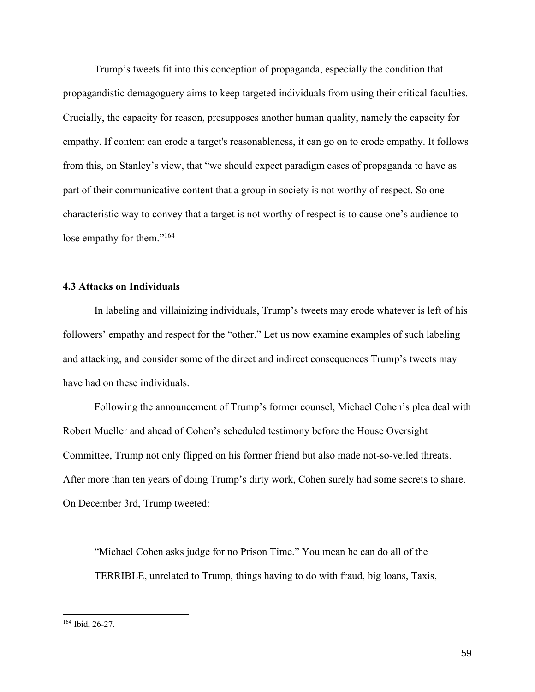Trump's tweets fit into this conception of propaganda, especially the condition that propagandistic demagoguery aims to keep targeted individuals from using their critical faculties. Crucially, the capacity for reason, presupposes another human quality, namely the capacity for empathy. If content can erode a target's reasonableness, it can go on to erode empathy. It follows from this, on Stanley's view, that "we should expect paradigm cases of propaganda to have as part of their communicative content that a group in society is not worthy of respect. So one characteristic way to convey that a target is not worthy of respect is to cause one's audience to lose empathy for them."<sup>164</sup>

## **4.3 Attacks on Individuals**

In labeling and villainizing individuals, Trump's tweets may erode whatever is left of his followers' empathy and respect for the "other." Let us now examine examples of such labeling and attacking, and consider some of the direct and indirect consequences Trump's tweets may have had on these individuals.

Following the announcement of Trump's former counsel, Michael Cohen's plea deal with Robert Mueller and ahead of Cohen's scheduled testimony before the House Oversight Committee, Trump not only flipped on his former friend but also made not-so-veiled threats. After more than ten years of doing Trump's dirty work, Cohen surely had some secrets to share. On December 3rd, Trump tweeted:

"Michael Cohen asks judge for no Prison Time." You mean he can do all of the TERRIBLE, unrelated to Trump, things having to do with fraud, big loans, Taxis,

<sup>164</sup> Ibid, 26-27.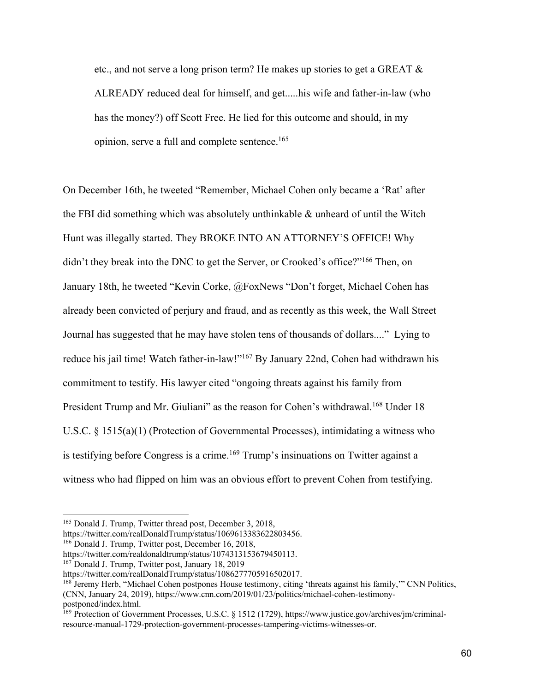etc., and not serve a long prison term? He makes up stories to get a GREAT  $\&$ ALREADY reduced deal for himself, and get.....his wife and father-in-law (who has the money?) off Scott Free. He lied for this outcome and should, in my opinion, serve a full and complete sentence.165

On December 16th, he tweeted "Remember, Michael Cohen only became a 'Rat' after the FBI did something which was absolutely unthinkable & unheard of until the Witch Hunt was illegally started. They BROKE INTO AN ATTORNEY'S OFFICE! Why didn't they break into the DNC to get the Server, or Crooked's office?"166 Then, on January 18th, he tweeted "Kevin Corke, @FoxNews "Don't forget, Michael Cohen has already been convicted of perjury and fraud, and as recently as this week, the Wall Street Journal has suggested that he may have stolen tens of thousands of dollars...." Lying to reduce his jail time! Watch father-in-law!"<sup>167</sup> By January 22nd, Cohen had withdrawn his commitment to testify. His lawyer cited "ongoing threats against his family from President Trump and Mr. Giuliani" as the reason for Cohen's withdrawal.<sup>168</sup> Under 18 U.S.C. § 1515(a)(1) (Protection of Governmental Processes), intimidating a witness who is testifying before Congress is a crime.<sup>169</sup> Trump's insinuations on Twitter against a witness who had flipped on him was an obvious effort to prevent Cohen from testifying.

https://twitter.com/realDonaldTrump/status/1069613383622803456. 166 Donald J. Trump, Twitter post, December 16, 2018,

 $167$  Donald J. Trump, Twitter post, January 18, 2019

<sup>165</sup> Donald J. Trump, Twitter thread post, December 3, 2018,

https://twitter.com/realdonaldtrump/status/1074313153679450113.

https://twitter.com/realDonaldTrump/status/1086277705916502017.

<sup>168</sup> Jeremy Herb, "Michael Cohen postpones House testimony, citing 'threats against his family,'" CNN Politics, (CNN, January 24, 2019), https://www.cnn.com/2019/01/23/politics/michael-cohen-testimony-

<sup>&</sup>lt;sup>169</sup> Protection of Government Processes, U.S.C. § 1512 (1729), https://www.justice.gov/archives/jm/criminalresource-manual-1729-protection-government-processes-tampering-victims-witnesses-or.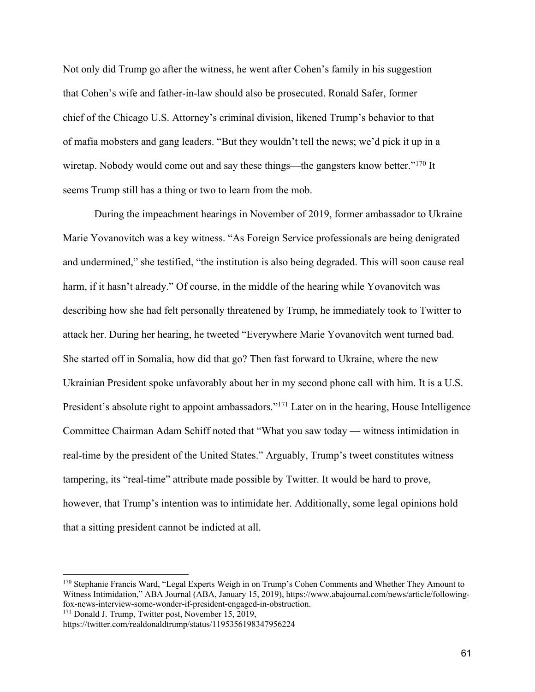Not only did Trump go after the witness, he went after Cohen's family in his suggestion that Cohen's wife and father-in-law should also be prosecuted. Ronald Safer, former chief of the Chicago U.S. Attorney's criminal division, likened Trump's behavior to that of mafia mobsters and gang leaders. "But they wouldn't tell the news; we'd pick it up in a wiretap. Nobody would come out and say these things—the gangsters know better."<sup>170</sup> It seems Trump still has a thing or two to learn from the mob.

During the impeachment hearings in November of 2019, former ambassador to Ukraine Marie Yovanovitch was a key witness. "As Foreign Service professionals are being denigrated and undermined," she testified, "the institution is also being degraded. This will soon cause real harm, if it hasn't already." Of course, in the middle of the hearing while Yovanovitch was describing how she had felt personally threatened by Trump, he immediately took to Twitter to attack her. During her hearing, he tweeted "Everywhere Marie Yovanovitch went turned bad. She started off in Somalia, how did that go? Then fast forward to Ukraine, where the new Ukrainian President spoke unfavorably about her in my second phone call with him. It is a U.S. President's absolute right to appoint ambassadors."<sup>171</sup> Later on in the hearing, House Intelligence Committee Chairman Adam Schiff noted that "What you saw today — witness intimidation in real-time by the president of the United States." Arguably, Trump's tweet constitutes witness tampering, its "real-time" attribute made possible by Twitter. It would be hard to prove, however, that Trump's intention was to intimidate her. Additionally, some legal opinions hold that a sitting president cannot be indicted at all.

 $171$  Donald J. Trump, Twitter post, November 15, 2019,

<sup>170</sup> Stephanie Francis Ward, "Legal Experts Weigh in on Trump's Cohen Comments and Whether They Amount to Witness Intimidation," ABA Journal (ABA, January 15, 2019), https://www.abajournal.com/news/article/followingfox-news-interview-some-wonder-if-president-engaged-in-obstruction.

https://twitter.com/realdonaldtrump/status/1195356198347956224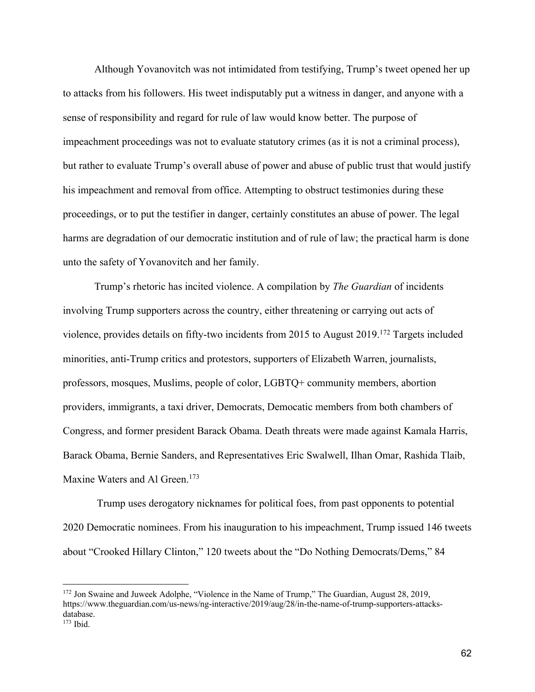Although Yovanovitch was not intimidated from testifying, Trump's tweet opened her up to attacks from his followers. His tweet indisputably put a witness in danger, and anyone with a sense of responsibility and regard for rule of law would know better. The purpose of impeachment proceedings was not to evaluate statutory crimes (as it is not a criminal process), but rather to evaluate Trump's overall abuse of power and abuse of public trust that would justify his impeachment and removal from office. Attempting to obstruct testimonies during these proceedings, or to put the testifier in danger, certainly constitutes an abuse of power. The legal harms are degradation of our democratic institution and of rule of law; the practical harm is done unto the safety of Yovanovitch and her family.

Trump's rhetoric has incited violence. A compilation by *The Guardian* of incidents involving Trump supporters across the country, either threatening or carrying out acts of violence, provides details on fifty-two incidents from 2015 to August 2019.172 Targets included minorities, anti-Trump critics and protestors, supporters of Elizabeth Warren, journalists, professors, mosques, Muslims, people of color, LGBTQ+ community members, abortion providers, immigrants, a taxi driver, Democrats, Democatic members from both chambers of Congress, and former president Barack Obama. Death threats were made against Kamala Harris, Barack Obama, Bernie Sanders, and Representatives Eric Swalwell, Ilhan Omar, Rashida Tlaib, Maxine Waters and Al Green.<sup>173</sup>

Trump uses derogatory nicknames for political foes, from past opponents to potential 2020 Democratic nominees. From his inauguration to his impeachment, Trump issued 146 tweets about "Crooked Hillary Clinton," 120 tweets about the "Do Nothing Democrats/Dems," 84

<sup>&</sup>lt;sup>172</sup> Jon Swaine and Juweek Adolphe, "Violence in the Name of Trump," The Guardian, August 28, 2019, https://www.theguardian.com/us-news/ng-interactive/2019/aug/28/in-the-name-of-trump-supporters-attacksdatabase. <sup>173</sup> Ibid.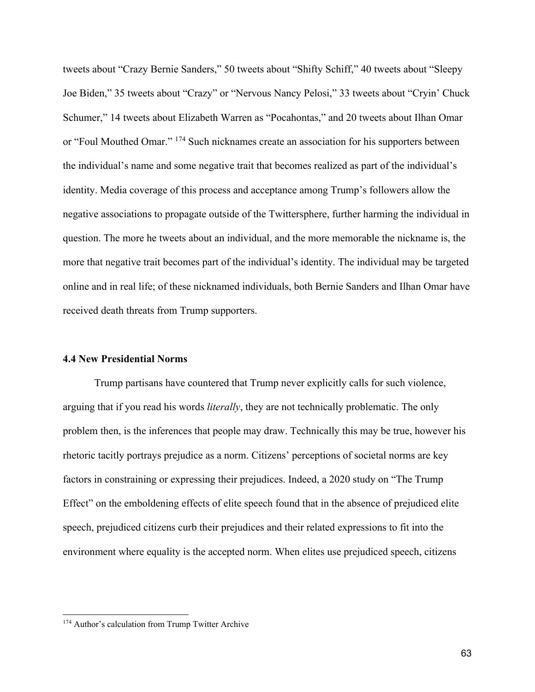tweets about "Crazy Bernie Sanders," 50 tweets about "Shifty Schiff," 40 tweets about "Sleepy Joe Biden," 35 tweets about "Crazy" or "Nervous Nancy Pelosi," 33 tweets about "Cryin' Chuck Schumer," 14 tweets about Elizabeth Warren as "Pocahontas," and 20 tweets about Ilhan Omar or "Foul Mouthed Omar." 174 Such nicknames create an association for his supporters between the individual's name and some negative trait that becomes realized as part of the individual's identity. Media coverage of this process and acceptance among Trump's followers allow the negative associations to propagate outside of the Twittersphere, further harming the individual in question. The more he tweets about an individual, and the more memorable the nickname is, the more that negative trait becomes part of the individual's identity. The individual may be targeted online and in real life; of these nicknamed individuals, both Bernie Sanders and Ilhan Omar have received death threats from Trump supporters.

#### **4.4 New Presidential Norms**

Trump partisans have countered that Trump never explicitly calls for such violence, arguing that if you read his words *literally*, they are not technically problematic. The only problem then, is the inferences that people may draw. Technically this may be true, however his rhetoric tacitly portrays prejudice as a norm. Citizens' perceptions of societal norms are key factors in constraining or expressing their prejudices. Indeed, a 2020 study on "The Trump Effect" on the emboldening effects of elite speech found that in the absence of prejudiced elite speech, prejudiced citizens curb their prejudices and their related expressions to fit into the environment where equality is the accepted norm. When elites use prejudiced speech, citizens

<sup>&</sup>lt;sup>174</sup> Author's calculation from Trump Twitter Archive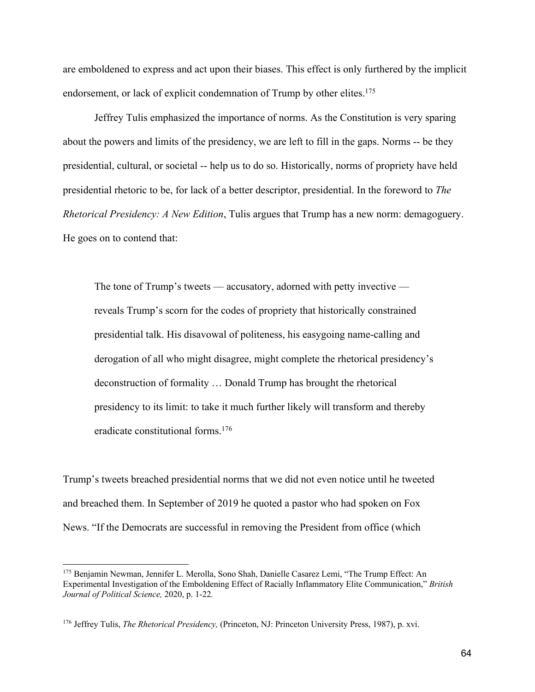are emboldened to express and act upon their biases. This effect is only furthered by the implicit endorsement, or lack of explicit condemnation of Trump by other elites.<sup>175</sup>

Jeffrey Tulis emphasized the importance of norms. As the Constitution is very sparing about the powers and limits of the presidency, we are left to fill in the gaps. Norms -- be they presidential, cultural, or societal -- help us to do so. Historically, norms of propriety have held presidential rhetoric to be, for lack of a better descriptor, presidential. In the foreword to *The Rhetorical Presidency: A New Edition*, Tulis argues that Trump has a new norm: demagoguery. He goes on to contend that:

The tone of Trump's tweets — accusatory, adorned with petty invective reveals Trump's scorn for the codes of propriety that historically constrained presidential talk. His disavowal of politeness, his easygoing name-calling and derogation of all who might disagree, might complete the rhetorical presidency's deconstruction of formality … Donald Trump has brought the rhetorical presidency to its limit: to take it much further likely will transform and thereby eradicate constitutional forms.176

Trump's tweets breached presidential norms that we did not even notice until he tweeted and breached them. In September of 2019 he quoted a pastor who had spoken on Fox News. "If the Democrats are successful in removing the President from office (which

<sup>175</sup> Benjamin Newman, Jennifer L. Merolla, Sono Shah, Danielle Casarez Lemi, "The Trump Effect: An Experimental Investigation of the Emboldening Effect of Racially Inflammatory Elite Communication," *British Journal of Political Science,* 2020, p. 1-22*.* 

<sup>176</sup> Jeffrey Tulis, *The Rhetorical Presidency,* (Princeton, NJ: Princeton University Press, 1987), p. xvi.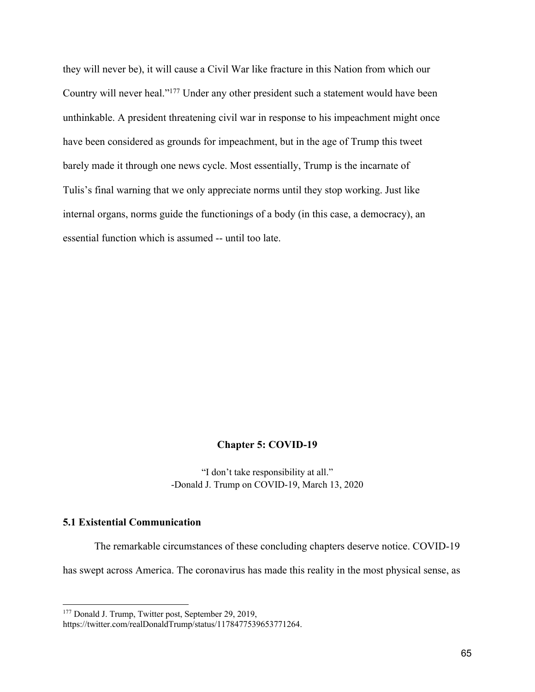they will never be), it will cause a Civil War like fracture in this Nation from which our Country will never heal."177 Under any other president such a statement would have been unthinkable. A president threatening civil war in response to his impeachment might once have been considered as grounds for impeachment, but in the age of Trump this tweet barely made it through one news cycle. Most essentially, Trump is the incarnate of Tulis's final warning that we only appreciate norms until they stop working. Just like internal organs, norms guide the functionings of a body (in this case, a democracy), an essential function which is assumed -- until too late.

### **Chapter 5: COVID-19**

"I don't take responsibility at all." -Donald J. Trump on COVID-19, March 13, 2020

# **5.1 Existential Communication**

The remarkable circumstances of these concluding chapters deserve notice. COVID-19

has swept across America. The coronavirus has made this reality in the most physical sense, as

<sup>&</sup>lt;sup>177</sup> Donald J. Trump, Twitter post, September 29, 2019,

https://twitter.com/realDonaldTrump/status/1178477539653771264.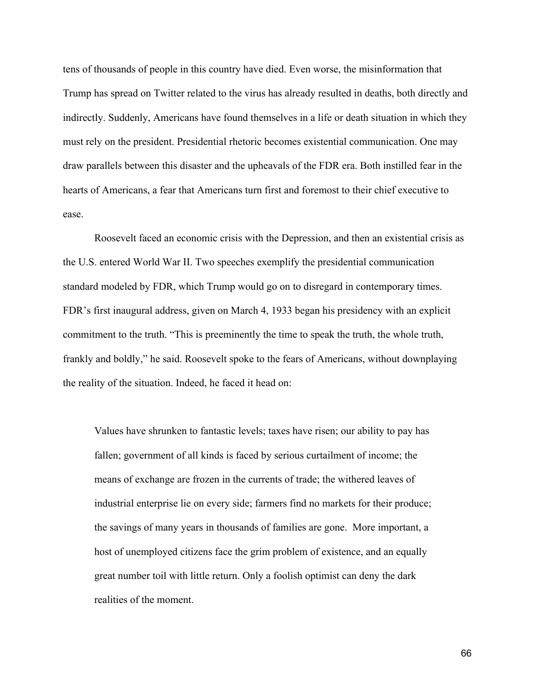tens of thousands of people in this country have died. Even worse, the misinformation that Trump has spread on Twitter related to the virus has already resulted in deaths, both directly and indirectly. Suddenly, Americans have found themselves in a life or death situation in which they must rely on the president. Presidential rhetoric becomes existential communication. One may draw parallels between this disaster and the upheavals of the FDR era. Both instilled fear in the hearts of Americans, a fear that Americans turn first and foremost to their chief executive to ease.

Roosevelt faced an economic crisis with the Depression, and then an existential crisis as the U.S. entered World War II. Two speeches exemplify the presidential communication standard modeled by FDR, which Trump would go on to disregard in contemporary times. FDR's first inaugural address, given on March 4, 1933 began his presidency with an explicit commitment to the truth. "This is preeminently the time to speak the truth, the whole truth, frankly and boldly," he said. Roosevelt spoke to the fears of Americans, without downplaying the reality of the situation. Indeed, he faced it head on:

Values have shrunken to fantastic levels; taxes have risen; our ability to pay has fallen; government of all kinds is faced by serious curtailment of income; the means of exchange are frozen in the currents of trade; the withered leaves of industrial enterprise lie on every side; farmers find no markets for their produce; the savings of many years in thousands of families are gone. More important, a host of unemployed citizens face the grim problem of existence, and an equally great number toil with little return. Only a foolish optimist can deny the dark realities of the moment.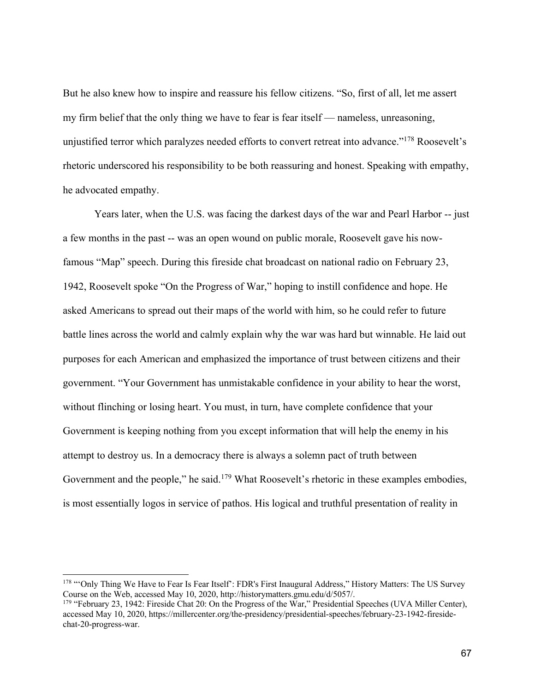But he also knew how to inspire and reassure his fellow citizens. "So, first of all, let me assert my firm belief that the only thing we have to fear is fear itself — nameless, unreasoning, unjustified terror which paralyzes needed efforts to convert retreat into advance."178 Roosevelt's rhetoric underscored his responsibility to be both reassuring and honest. Speaking with empathy, he advocated empathy.

Years later, when the U.S. was facing the darkest days of the war and Pearl Harbor -- just a few months in the past -- was an open wound on public morale, Roosevelt gave his nowfamous "Map" speech. During this fireside chat broadcast on national radio on February 23, 1942, Roosevelt spoke "On the Progress of War," hoping to instill confidence and hope. He asked Americans to spread out their maps of the world with him, so he could refer to future battle lines across the world and calmly explain why the war was hard but winnable. He laid out purposes for each American and emphasized the importance of trust between citizens and their government. "Your Government has unmistakable confidence in your ability to hear the worst, without flinching or losing heart. You must, in turn, have complete confidence that your Government is keeping nothing from you except information that will help the enemy in his attempt to destroy us. In a democracy there is always a solemn pact of truth between Government and the people," he said.<sup>179</sup> What Roosevelt's rhetoric in these examples embodies, is most essentially logos in service of pathos. His logical and truthful presentation of reality in

<sup>178 &</sup>quot;Only Thing We Have to Fear Is Fear Itself': FDR's First Inaugural Address," History Matters: The US Survey Course on the Web, accessed May 10, 2020, http://historymatters.gmu.edu/d/5057/.

<sup>&</sup>lt;sup>179</sup> "February 23, 1942: Fireside Chat 20: On the Progress of the War," Presidential Speeches (UVA Miller Center), accessed May 10, 2020, https://millercenter.org/the-presidency/presidential-speeches/february-23-1942-firesidechat-20-progress-war.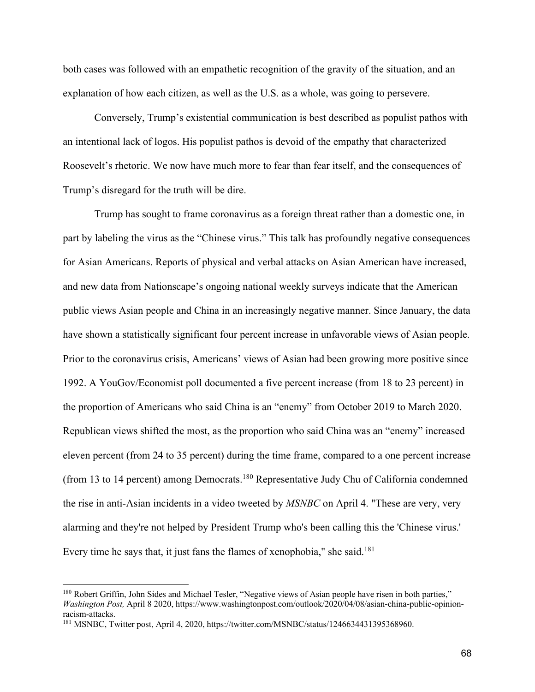both cases was followed with an empathetic recognition of the gravity of the situation, and an explanation of how each citizen, as well as the U.S. as a whole, was going to persevere.

Conversely, Trump's existential communication is best described as populist pathos with an intentional lack of logos. His populist pathos is devoid of the empathy that characterized Roosevelt's rhetoric. We now have much more to fear than fear itself, and the consequences of Trump's disregard for the truth will be dire.

Trump has sought to frame coronavirus as a foreign threat rather than a domestic one, in part by labeling the virus as the "Chinese virus." This talk has profoundly negative consequences for Asian Americans. Reports of physical and verbal attacks on Asian American have increased, and new data from Nationscape's ongoing national weekly surveys indicate that the American public views Asian people and China in an increasingly negative manner. Since January, the data have shown a statistically significant four percent increase in unfavorable views of Asian people. Prior to the coronavirus crisis, Americans' views of Asian had been growing more positive since 1992. A YouGov/Economist poll documented a five percent increase (from 18 to 23 percent) in the proportion of Americans who said China is an "enemy" from October 2019 to March 2020. Republican views shifted the most, as the proportion who said China was an "enemy" increased eleven percent (from 24 to 35 percent) during the time frame, compared to a one percent increase (from 13 to 14 percent) among Democrats.<sup>180</sup> Representative Judy Chu of California condemned the rise in anti-Asian incidents in a video tweeted by *MSNBC* on April 4. "These are very, very alarming and they're not helped by President Trump who's been calling this the 'Chinese virus.' Every time he says that, it just fans the flames of xenophobia," she said.<sup>181</sup>

<sup>180</sup> Robert Griffin, John Sides and Michael Tesler, "Negative views of Asian people have risen in both parties," *Washington Post,* April 8 2020, https://www.washingtonpost.com/outlook/2020/04/08/asian-china-public-opinionracism-attacks.

<sup>181</sup> MSNBC, Twitter post, April 4, 2020, https://twitter.com/MSNBC/status/1246634431395368960.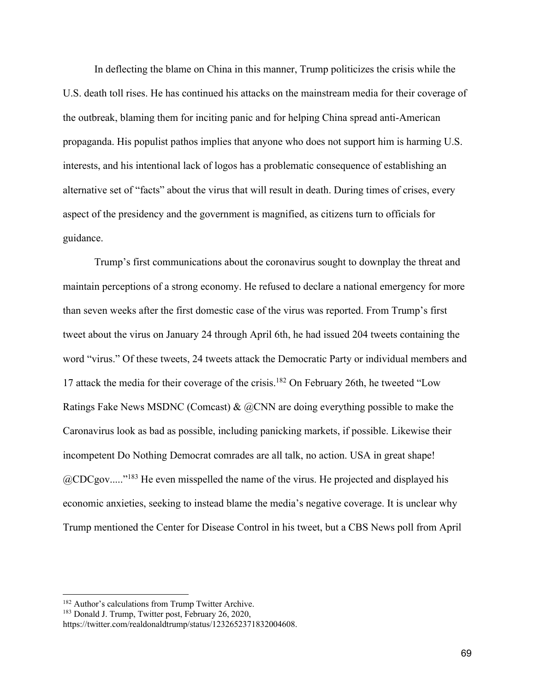In deflecting the blame on China in this manner, Trump politicizes the crisis while the U.S. death toll rises. He has continued his attacks on the mainstream media for their coverage of the outbreak, blaming them for inciting panic and for helping China spread anti-American propaganda. His populist pathos implies that anyone who does not support him is harming U.S. interests, and his intentional lack of logos has a problematic consequence of establishing an alternative set of "facts" about the virus that will result in death. During times of crises, every aspect of the presidency and the government is magnified, as citizens turn to officials for guidance.

Trump's first communications about the coronavirus sought to downplay the threat and maintain perceptions of a strong economy. He refused to declare a national emergency for more than seven weeks after the first domestic case of the virus was reported. From Trump's first tweet about the virus on January 24 through April 6th, he had issued 204 tweets containing the word "virus." Of these tweets, 24 tweets attack the Democratic Party or individual members and 17 attack the media for their coverage of the crisis.<sup>182</sup> On February 26th, he tweeted "Low Ratings Fake News MSDNC (Comcast) & @CNN are doing everything possible to make the Caronavirus look as bad as possible, including panicking markets, if possible. Likewise their incompetent Do Nothing Democrat comrades are all talk, no action. USA in great shape! @CDCgov....."183 He even misspelled the name of the virus. He projected and displayed his economic anxieties, seeking to instead blame the media's negative coverage. It is unclear why Trump mentioned the Center for Disease Control in his tweet, but a CBS News poll from April

<sup>&</sup>lt;sup>182</sup> Author's calculations from Trump Twitter Archive.

<sup>&</sup>lt;sup>183</sup> Donald J. Trump, Twitter post, February 26, 2020,

https://twitter.com/realdonaldtrump/status/1232652371832004608.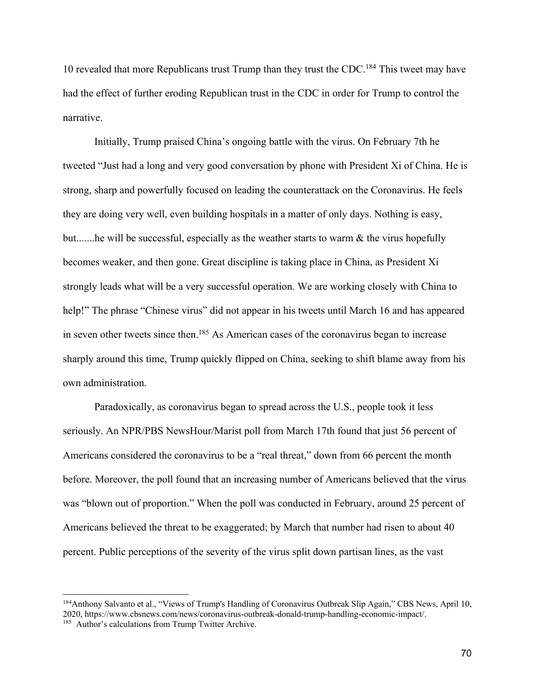10 revealed that more Republicans trust Trump than they trust the CDC.<sup>184</sup> This tweet may have had the effect of further eroding Republican trust in the CDC in order for Trump to control the narrative.

Initially, Trump praised China's ongoing battle with the virus. On February 7th he tweeted "Just had a long and very good conversation by phone with President Xi of China. He is strong, sharp and powerfully focused on leading the counterattack on the Coronavirus. He feels they are doing very well, even building hospitals in a matter of only days. Nothing is easy, but.......he will be successful, especially as the weather starts to warm  $\&$  the virus hopefully becomes weaker, and then gone. Great discipline is taking place in China, as President Xi strongly leads what will be a very successful operation. We are working closely with China to help!" The phrase "Chinese virus" did not appear in his tweets until March 16 and has appeared in seven other tweets since then.<sup>185</sup> As American cases of the coronavirus began to increase sharply around this time, Trump quickly flipped on China, seeking to shift blame away from his own administration.

Paradoxically, as coronavirus began to spread across the U.S., people took it less seriously. An NPR/PBS NewsHour/Marist poll from March 17th found that just 56 percent of Americans considered the coronavirus to be a "real threat," down from 66 percent the month before. Moreover, the poll found that an increasing number of Americans believed that the virus was "blown out of proportion." When the poll was conducted in February, around 25 percent of Americans believed the threat to be exaggerated; by March that number had risen to about 40 percent. Public perceptions of the severity of the virus split down partisan lines, as the vast

<sup>184</sup>Anthony Salvanto et al., "Views of Trump's Handling of Coronavirus Outbreak Slip Again," CBS News, April 10, 2020, https://www.cbsnews.com/news/coronavirus-outbreak-donald-trump-handling-economic-impact/. <sup>185</sup> Author's calculations from Trump Twitter Archive.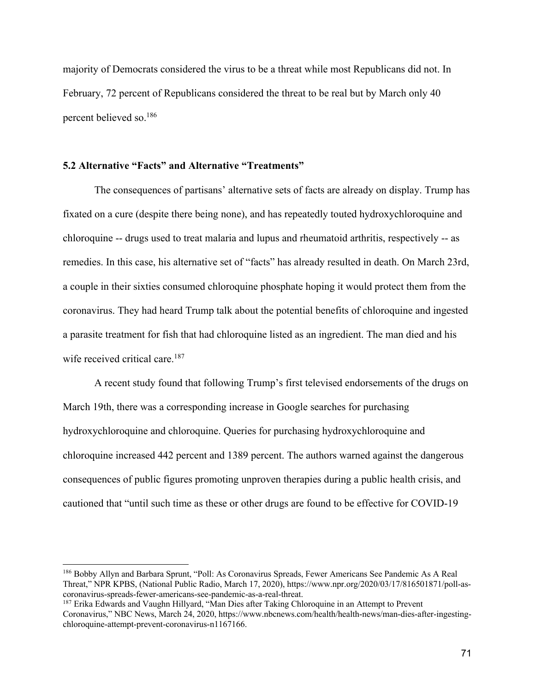majority of Democrats considered the virus to be a threat while most Republicans did not. In February, 72 percent of Republicans considered the threat to be real but by March only 40 percent believed so.186

# **5.2 Alternative "Facts" and Alternative "Treatments"**

The consequences of partisans' alternative sets of facts are already on display. Trump has fixated on a cure (despite there being none), and has repeatedly touted hydroxychloroquine and chloroquine -- drugs used to treat malaria and lupus and rheumatoid arthritis, respectively -- as remedies. In this case, his alternative set of "facts" has already resulted in death. On March 23rd, a couple in their sixties consumed chloroquine phosphate hoping it would protect them from the coronavirus. They had heard Trump talk about the potential benefits of chloroquine and ingested a parasite treatment for fish that had chloroquine listed as an ingredient. The man died and his wife received critical care.<sup>187</sup>

A recent study found that following Trump's first televised endorsements of the drugs on March 19th, there was a corresponding increase in Google searches for purchasing hydroxychloroquine and chloroquine. Queries for purchasing hydroxychloroquine and chloroquine increased 442 percent and 1389 percent. The authors warned against the dangerous consequences of public figures promoting unproven therapies during a public health crisis, and cautioned that "until such time as these or other drugs are found to be effective for COVID-19

<sup>186</sup> Bobby Allyn and Barbara Sprunt, "Poll: As Coronavirus Spreads, Fewer Americans See Pandemic As A Real Threat," NPR KPBS, (National Public Radio, March 17, 2020), https://www.npr.org/2020/03/17/816501871/poll-ascoronavirus-spreads-fewer-americans-see-pandemic-as-a-real-threat.

<sup>&</sup>lt;sup>187</sup> Erika Edwards and Vaughn Hillyard, "Man Dies after Taking Chloroquine in an Attempt to Prevent Coronavirus," NBC News, March 24, 2020, https://www.nbcnews.com/health/health-news/man-dies-after-ingestingchloroquine-attempt-prevent-coronavirus-n1167166.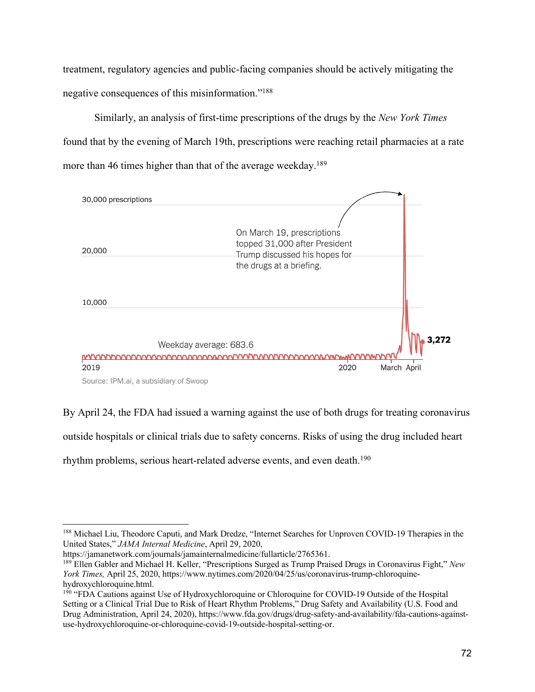treatment, regulatory agencies and public-facing companies should be actively mitigating the negative consequences of this misinformation."188

Similarly, an analysis of first-time prescriptions of the drugs by the *New York Times* found that by the evening of March 19th, prescriptions were reaching retail pharmacies at a rate more than 46 times higher than that of the average weekday.<sup>189</sup>



By April 24, the FDA had issued a warning against the use of both drugs for treating coronavirus

outside hospitals or clinical trials due to safety concerns. Risks of using the drug included heart

rhythm problems, serious heart-related adverse events, and even death.<sup>190</sup>

<sup>188</sup> Michael Liu, Theodore Caputi, and Mark Dredze, "Internet Searches for Unproven COVID-19 Therapies in the United States," *JAMA Internal Medicine*, April 29, 2020,

https://jamanetwork.com/journals/jamainternalmedicine/fullarticle/2765361.

<sup>189</sup> Ellen Gabler and Michael H. Keller, "Prescriptions Surged as Trump Praised Drugs in Coronavirus Fight," *New York Times,* April 25, 2020, https://www.nytimes.com/2020/04/25/us/coronavirus-trump-chloroquinehydroxychloroquine.html.

<sup>190</sup> "FDA Cautions against Use of Hydroxychloroquine or Chloroquine for COVID-19 Outside of the Hospital Setting or a Clinical Trial Due to Risk of Heart Rhythm Problems," Drug Safety and Availability (U.S. Food and Drug Administration, April 24, 2020), https://www.fda.gov/drugs/drug-safety-and-availability/fda-cautions-againstuse-hydroxychloroquine-or-chloroquine-covid-19-outside-hospital-setting-or.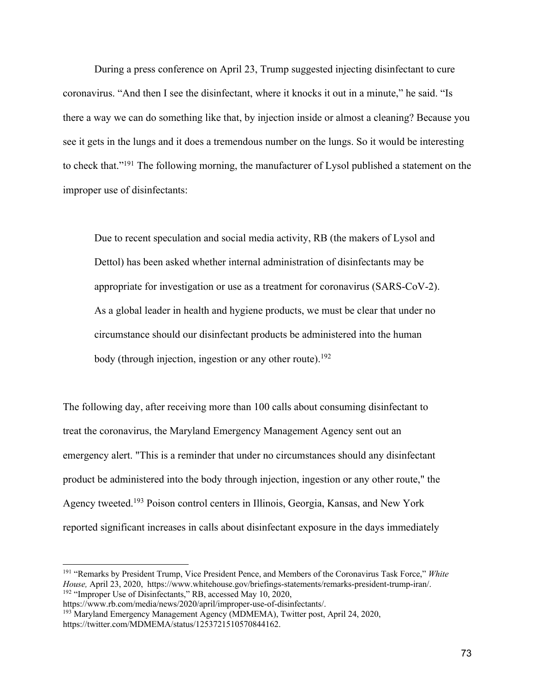During a press conference on April 23, Trump suggested injecting disinfectant to cure coronavirus. "And then I see the disinfectant, where it knocks it out in a minute," he said. "Is there a way we can do something like that, by injection inside or almost a cleaning? Because you see it gets in the lungs and it does a tremendous number on the lungs. So it would be interesting to check that."191 The following morning, the manufacturer of Lysol published a statement on the improper use of disinfectants:

Due to recent speculation and social media activity, RB (the makers of Lysol and Dettol) has been asked whether internal administration of disinfectants may be appropriate for investigation or use as a treatment for coronavirus (SARS-CoV-2). As a global leader in health and hygiene products, we must be clear that under no circumstance should our disinfectant products be administered into the human body (through injection, ingestion or any other route).<sup>192</sup>

The following day, after receiving more than 100 calls about consuming disinfectant to treat the coronavirus, the Maryland Emergency Management Agency sent out an emergency alert. "This is a reminder that under no circumstances should any disinfectant product be administered into the body through injection, ingestion or any other route," the Agency tweeted.193 Poison control centers in Illinois, Georgia, Kansas, and New York reported significant increases in calls about disinfectant exposure in the days immediately

<sup>191</sup> "Remarks by President Trump, Vice President Pence, and Members of the Coronavirus Task Force," *White House,* April 23, 2020, https://www.whitehouse.gov/briefings-statements/remarks-president-trump-iran/. <sup>192</sup> "Improper Use of Disinfectants," RB, accessed May 10, 2020,

https://www.rb.com/media/news/2020/april/improper-use-of-disinfectants/. <sup>193</sup> Maryland Emergency Management Agency (MDMEMA), Twitter post, April 24, 2020,

https://twitter.com/MDMEMA/status/1253721510570844162.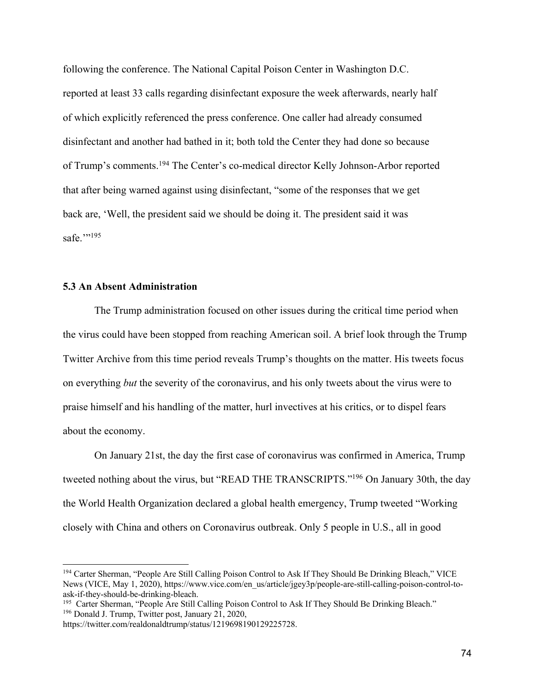following the conference. The National Capital Poison Center in Washington D.C. reported at least 33 calls regarding disinfectant exposure the week afterwards, nearly half of which explicitly referenced the press conference. One caller had already consumed disinfectant and another had bathed in it; both told the Center they had done so because of Trump's comments.194 The Center's co-medical director Kelly Johnson-Arbor reported that after being warned against using disinfectant, "some of the responses that we get back are, 'Well, the president said we should be doing it. The president said it was safe."<sup>195</sup>

## **5.3 An Absent Administration**

The Trump administration focused on other issues during the critical time period when the virus could have been stopped from reaching American soil. A brief look through the Trump Twitter Archive from this time period reveals Trump's thoughts on the matter. His tweets focus on everything *but* the severity of the coronavirus, and his only tweets about the virus were to praise himself and his handling of the matter, hurl invectives at his critics, or to dispel fears about the economy.

On January 21st, the day the first case of coronavirus was confirmed in America, Trump tweeted nothing about the virus, but "READ THE TRANSCRIPTS."196 On January 30th, the day the World Health Organization declared a global health emergency, Trump tweeted "Working closely with China and others on Coronavirus outbreak. Only 5 people in U.S., all in good

<sup>194</sup> Carter Sherman, "People Are Still Calling Poison Control to Ask If They Should Be Drinking Bleach," VICE News (VICE, May 1, 2020), https://www.vice.com/en\_us/article/jgey3p/people-are-still-calling-poison-control-toask-if-they-should-be-drinking-bleach.

<sup>&</sup>lt;sup>195</sup> Carter Sherman, "People Are Still Calling Poison Control to Ask If They Should Be Drinking Bleach." <sup>196</sup> Donald J. Trump, Twitter post, January 21, 2020,

https://twitter.com/realdonaldtrump/status/1219698190129225728.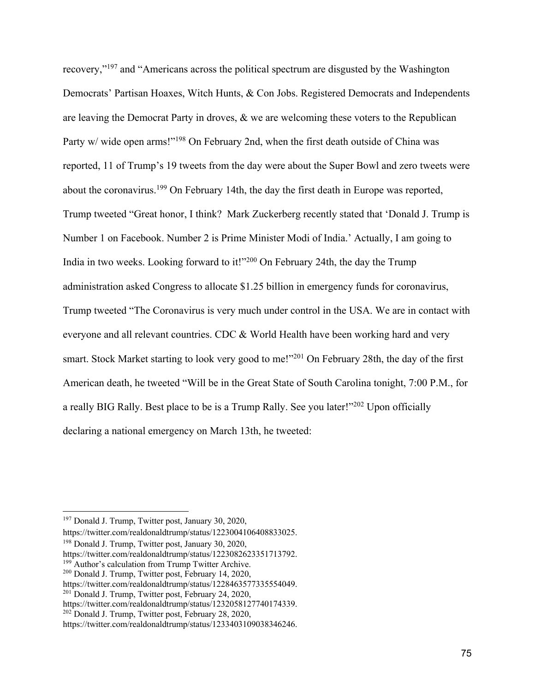recovery,"197 and "Americans across the political spectrum are disgusted by the Washington Democrats' Partisan Hoaxes, Witch Hunts, & Con Jobs. Registered Democrats and Independents are leaving the Democrat Party in droves, & we are welcoming these voters to the Republican Party w/ wide open arms!"<sup>198</sup> On February 2nd, when the first death outside of China was reported, 11 of Trump's 19 tweets from the day were about the Super Bowl and zero tweets were about the coronavirus.<sup>199</sup> On February 14th, the day the first death in Europe was reported, Trump tweeted "Great honor, I think? Mark Zuckerberg recently stated that 'Donald J. Trump is Number 1 on Facebook. Number 2 is Prime Minister Modi of India.' Actually, I am going to India in two weeks. Looking forward to it!"200 On February 24th, the day the Trump administration asked Congress to allocate \$1.25 billion in emergency funds for coronavirus, Trump tweeted "The Coronavirus is very much under control in the USA. We are in contact with everyone and all relevant countries. CDC & World Health have been working hard and very smart. Stock Market starting to look very good to me!"<sup>201</sup> On February 28th, the day of the first American death, he tweeted "Will be in the Great State of South Carolina tonight, 7:00 P.M., for a really BIG Rally. Best place to be is a Trump Rally. See you later!"202 Upon officially declaring a national emergency on March 13th, he tweeted:

https://twitter.com/realdonaldtrump/status/1223004106408833025.

<sup>198</sup> Donald J. Trump, Twitter post, January 30, 2020,

<sup>199</sup> Author's calculation from Trump Twitter Archive.

<sup>197</sup> Donald J. Trump, Twitter post, January 30, 2020,

https://twitter.com/realdonaldtrump/status/1223082623351713792.

<sup>200</sup> Donald J. Trump, Twitter post, February 14, 2020,

https://twitter.com/realdonaldtrump/status/1228463577335554049.<br><sup>201</sup> Donald J. Trump, Twitter post, February 24, 2020,

https://twitter.com/realdonaldtrump/status/1232058127740174339.

<sup>202</sup> Donald J. Trump, Twitter post, February 28, 2020,

https://twitter.com/realdonaldtrump/status/1233403109038346246.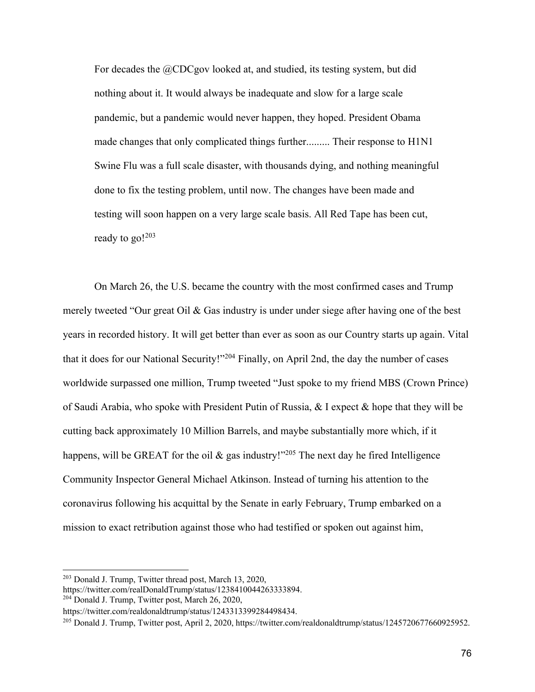For decades the @CDCgov looked at, and studied, its testing system, but did nothing about it. It would always be inadequate and slow for a large scale pandemic, but a pandemic would never happen, they hoped. President Obama made changes that only complicated things further......... Their response to H1N1 Swine Flu was a full scale disaster, with thousands dying, and nothing meaningful done to fix the testing problem, until now. The changes have been made and testing will soon happen on a very large scale basis. All Red Tape has been cut, ready to  $g_0!^{203}$ 

On March 26, the U.S. became the country with the most confirmed cases and Trump merely tweeted "Our great Oil & Gas industry is under under siege after having one of the best years in recorded history. It will get better than ever as soon as our Country starts up again. Vital that it does for our National Security!"204 Finally, on April 2nd, the day the number of cases worldwide surpassed one million, Trump tweeted "Just spoke to my friend MBS (Crown Prince) of Saudi Arabia, who spoke with President Putin of Russia, & I expect & hope that they will be cutting back approximately 10 Million Barrels, and maybe substantially more which, if it happens, will be GREAT for the oil  $\&$  gas industry!"<sup>205</sup> The next day he fired Intelligence Community Inspector General Michael Atkinson. Instead of turning his attention to the coronavirus following his acquittal by the Senate in early February, Trump embarked on a mission to exact retribution against those who had testified or spoken out against him,

<sup>203</sup> Donald J. Trump, Twitter thread post, March 13, 2020,

https://twitter.com/realDonaldTrump/status/1238410044263333894. 204 Donald J. Trump, Twitter post, March 26, 2020,

https://twitter.com/realdonaldtrump/status/1243313399284498434.<br><sup>205</sup> Donald J. Trump, Twitter post, April 2, 2020, https://twitter.com/realdonaldtrump/status/1245720677660925952.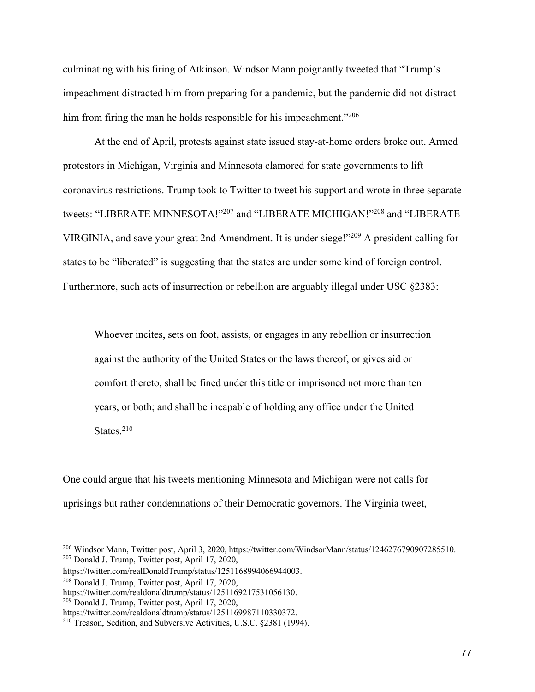culminating with his firing of Atkinson. Windsor Mann poignantly tweeted that "Trump's impeachment distracted him from preparing for a pandemic, but the pandemic did not distract him from firing the man he holds responsible for his impeachment."<sup>206</sup>

At the end of April, protests against state issued stay-at-home orders broke out. Armed protestors in Michigan, Virginia and Minnesota clamored for state governments to lift coronavirus restrictions. Trump took to Twitter to tweet his support and wrote in three separate tweets: "LIBERATE MINNESOTA!"207 and "LIBERATE MICHIGAN!"208 and "LIBERATE VIRGINIA, and save your great 2nd Amendment. It is under siege!"209 A president calling for states to be "liberated" is suggesting that the states are under some kind of foreign control. Furthermore, such acts of insurrection or rebellion are arguably illegal under USC §2383:

Whoever incites, sets on foot, assists, or engages in any rebellion or insurrection against the authority of the United States or the laws thereof, or gives aid or comfort thereto, shall be fined under this title or imprisoned not more than ten years, or both; and shall be incapable of holding any office under the United States. $210$ 

One could argue that his tweets mentioning Minnesota and Michigan were not calls for uprisings but rather condemnations of their Democratic governors. The Virginia tweet,

<sup>209</sup> Donald J. Trump, Twitter post, April 17, 2020,

<sup>&</sup>lt;sup>206</sup> Windsor Mann, Twitter post, April 3, 2020, https://twitter.com/WindsorMann/status/1246276790907285510.<br><sup>207</sup> Donald J. Trump, Twitter post, April 17, 2020,

https://twitter.com/realDonaldTrump/status/1251168994066944003.

<sup>208</sup> Donald J. Trump, Twitter post, April 17, 2020,

https://twitter.com/realdonaldtrump/status/1251169217531056130.

https://twitter.com/realdonaldtrump/status/1251169987110330372.

<sup>210</sup> Treason, Sedition, and Subversive Activities, U.S.C. §2381 (1994).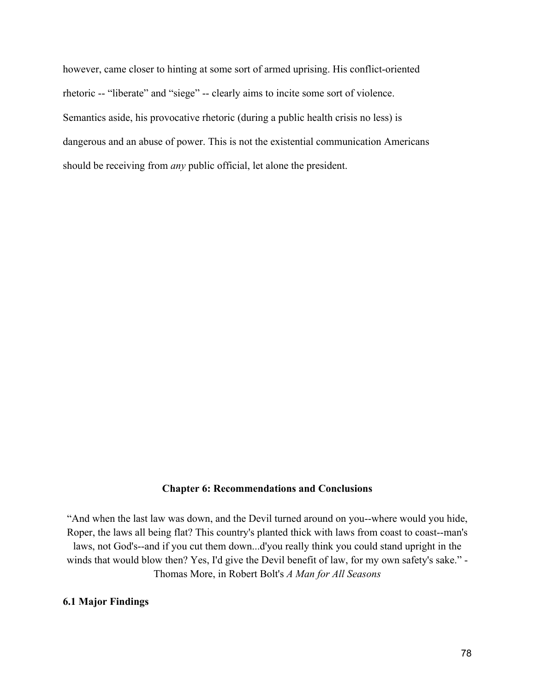however, came closer to hinting at some sort of armed uprising. His conflict-oriented rhetoric -- "liberate" and "siege" -- clearly aims to incite some sort of violence. Semantics aside, his provocative rhetoric (during a public health crisis no less) is dangerous and an abuse of power. This is not the existential communication Americans should be receiving from *any* public official, let alone the president.

#### **Chapter 6: Recommendations and Conclusions**

"And when the last law was down, and the Devil turned around on you--where would you hide, Roper, the laws all being flat? This country's planted thick with laws from coast to coast--man's laws, not God's--and if you cut them down...d'you really think you could stand upright in the winds that would blow then? Yes, I'd give the Devil benefit of law, for my own safety's sake." - Thomas More, in Robert Bolt's *A Man for All Seasons*

## **6.1 Major Findings**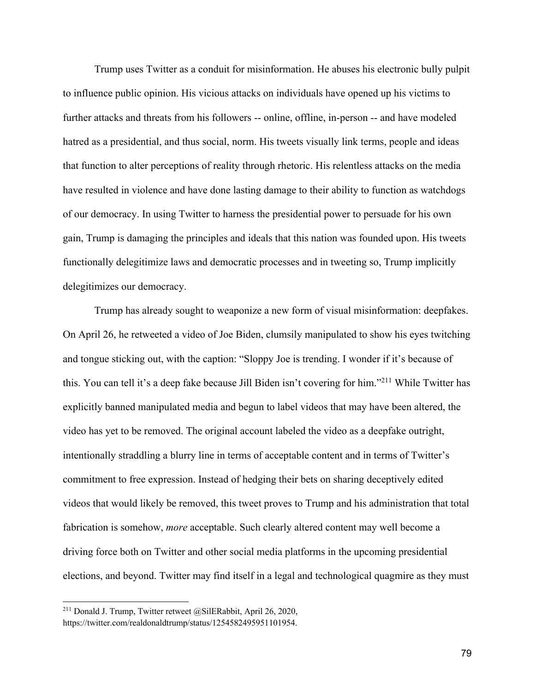Trump uses Twitter as a conduit for misinformation. He abuses his electronic bully pulpit to influence public opinion. His vicious attacks on individuals have opened up his victims to further attacks and threats from his followers -- online, offline, in-person -- and have modeled hatred as a presidential, and thus social, norm. His tweets visually link terms, people and ideas that function to alter perceptions of reality through rhetoric. His relentless attacks on the media have resulted in violence and have done lasting damage to their ability to function as watchdogs of our democracy. In using Twitter to harness the presidential power to persuade for his own gain, Trump is damaging the principles and ideals that this nation was founded upon. His tweets functionally delegitimize laws and democratic processes and in tweeting so, Trump implicitly delegitimizes our democracy.

Trump has already sought to weaponize a new form of visual misinformation: deepfakes. On April 26, he retweeted a video of Joe Biden, clumsily manipulated to show his eyes twitching and tongue sticking out, with the caption: "Sloppy Joe is trending. I wonder if it's because of this. You can tell it's a deep fake because Jill Biden isn't covering for him."211 While Twitter has explicitly banned manipulated media and begun to label videos that may have been altered, the video has yet to be removed. The original account labeled the video as a deepfake outright, intentionally straddling a blurry line in terms of acceptable content and in terms of Twitter's commitment to free expression. Instead of hedging their bets on sharing deceptively edited videos that would likely be removed, this tweet proves to Trump and his administration that total fabrication is somehow, *more* acceptable. Such clearly altered content may well become a driving force both on Twitter and other social media platforms in the upcoming presidential elections, and beyond. Twitter may find itself in a legal and technological quagmire as they must

<sup>&</sup>lt;sup>211</sup> Donald J. Trump, Twitter retweet @SilERabbit, April 26, 2020, https://twitter.com/realdonaldtrump/status/1254582495951101954.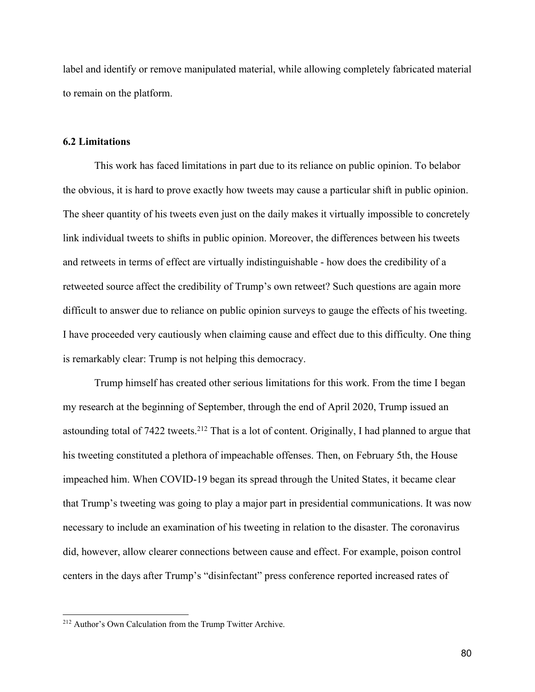label and identify or remove manipulated material, while allowing completely fabricated material to remain on the platform.

#### **6.2 Limitations**

This work has faced limitations in part due to its reliance on public opinion. To belabor the obvious, it is hard to prove exactly how tweets may cause a particular shift in public opinion. The sheer quantity of his tweets even just on the daily makes it virtually impossible to concretely link individual tweets to shifts in public opinion. Moreover, the differences between his tweets and retweets in terms of effect are virtually indistinguishable - how does the credibility of a retweeted source affect the credibility of Trump's own retweet? Such questions are again more difficult to answer due to reliance on public opinion surveys to gauge the effects of his tweeting. I have proceeded very cautiously when claiming cause and effect due to this difficulty. One thing is remarkably clear: Trump is not helping this democracy.

Trump himself has created other serious limitations for this work. From the time I began my research at the beginning of September, through the end of April 2020, Trump issued an astounding total of 7422 tweets.<sup>212</sup> That is a lot of content. Originally, I had planned to argue that his tweeting constituted a plethora of impeachable offenses. Then, on February 5th, the House impeached him. When COVID-19 began its spread through the United States, it became clear that Trump's tweeting was going to play a major part in presidential communications. It was now necessary to include an examination of his tweeting in relation to the disaster. The coronavirus did, however, allow clearer connections between cause and effect. For example, poison control centers in the days after Trump's "disinfectant" press conference reported increased rates of

<sup>212</sup> Author's Own Calculation from the Trump Twitter Archive.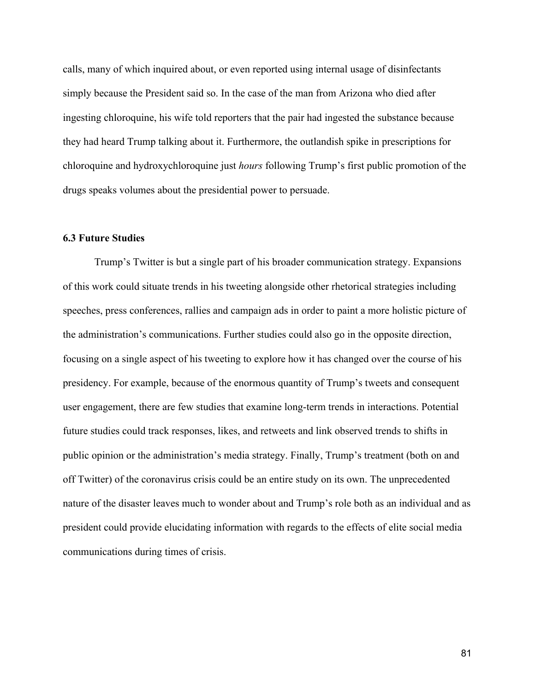calls, many of which inquired about, or even reported using internal usage of disinfectants simply because the President said so. In the case of the man from Arizona who died after ingesting chloroquine, his wife told reporters that the pair had ingested the substance because they had heard Trump talking about it. Furthermore, the outlandish spike in prescriptions for chloroquine and hydroxychloroquine just *hours* following Trump's first public promotion of the drugs speaks volumes about the presidential power to persuade.

#### **6.3 Future Studies**

Trump's Twitter is but a single part of his broader communication strategy. Expansions of this work could situate trends in his tweeting alongside other rhetorical strategies including speeches, press conferences, rallies and campaign ads in order to paint a more holistic picture of the administration's communications. Further studies could also go in the opposite direction, focusing on a single aspect of his tweeting to explore how it has changed over the course of his presidency. For example, because of the enormous quantity of Trump's tweets and consequent user engagement, there are few studies that examine long-term trends in interactions. Potential future studies could track responses, likes, and retweets and link observed trends to shifts in public opinion or the administration's media strategy. Finally, Trump's treatment (both on and off Twitter) of the coronavirus crisis could be an entire study on its own. The unprecedented nature of the disaster leaves much to wonder about and Trump's role both as an individual and as president could provide elucidating information with regards to the effects of elite social media communications during times of crisis.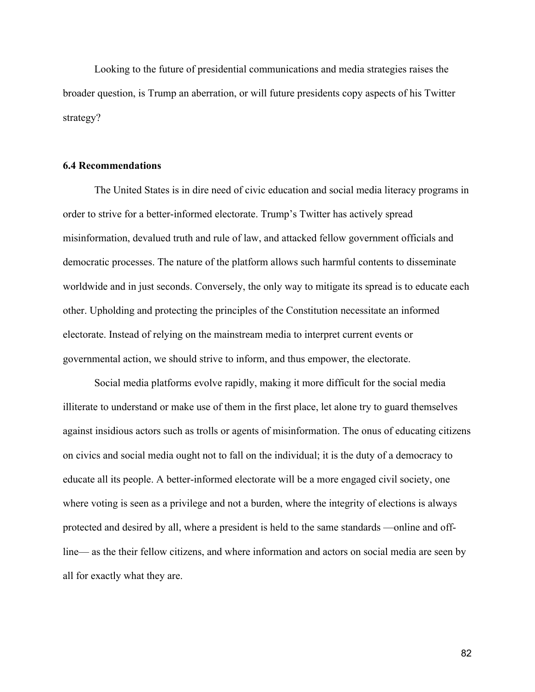Looking to the future of presidential communications and media strategies raises the broader question, is Trump an aberration, or will future presidents copy aspects of his Twitter strategy?

#### **6.4 Recommendations**

The United States is in dire need of civic education and social media literacy programs in order to strive for a better-informed electorate. Trump's Twitter has actively spread misinformation, devalued truth and rule of law, and attacked fellow government officials and democratic processes. The nature of the platform allows such harmful contents to disseminate worldwide and in just seconds. Conversely, the only way to mitigate its spread is to educate each other. Upholding and protecting the principles of the Constitution necessitate an informed electorate. Instead of relying on the mainstream media to interpret current events or governmental action, we should strive to inform, and thus empower, the electorate.

Social media platforms evolve rapidly, making it more difficult for the social media illiterate to understand or make use of them in the first place, let alone try to guard themselves against insidious actors such as trolls or agents of misinformation. The onus of educating citizens on civics and social media ought not to fall on the individual; it is the duty of a democracy to educate all its people. A better-informed electorate will be a more engaged civil society, one where voting is seen as a privilege and not a burden, where the integrity of elections is always protected and desired by all, where a president is held to the same standards —online and offline— as the their fellow citizens, and where information and actors on social media are seen by all for exactly what they are.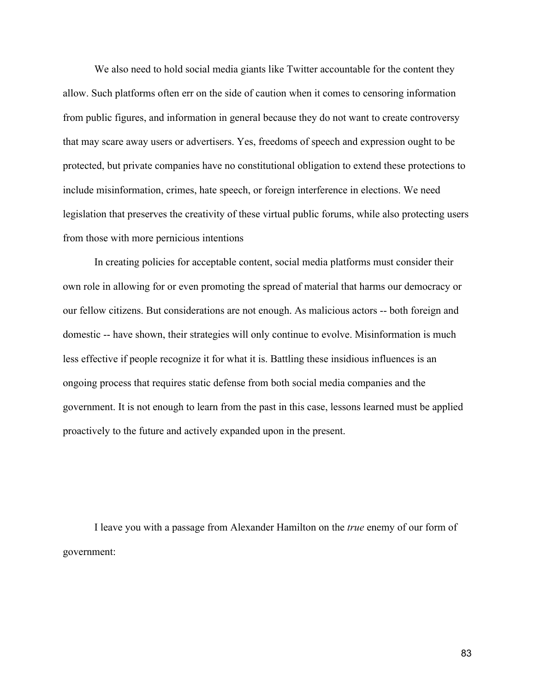We also need to hold social media giants like Twitter accountable for the content they allow. Such platforms often err on the side of caution when it comes to censoring information from public figures, and information in general because they do not want to create controversy that may scare away users or advertisers. Yes, freedoms of speech and expression ought to be protected, but private companies have no constitutional obligation to extend these protections to include misinformation, crimes, hate speech, or foreign interference in elections. We need legislation that preserves the creativity of these virtual public forums, while also protecting users from those with more pernicious intentions

In creating policies for acceptable content, social media platforms must consider their own role in allowing for or even promoting the spread of material that harms our democracy or our fellow citizens. But considerations are not enough. As malicious actors -- both foreign and domestic -- have shown, their strategies will only continue to evolve. Misinformation is much less effective if people recognize it for what it is. Battling these insidious influences is an ongoing process that requires static defense from both social media companies and the government. It is not enough to learn from the past in this case, lessons learned must be applied proactively to the future and actively expanded upon in the present.

I leave you with a passage from Alexander Hamilton on the *true* enemy of our form of government: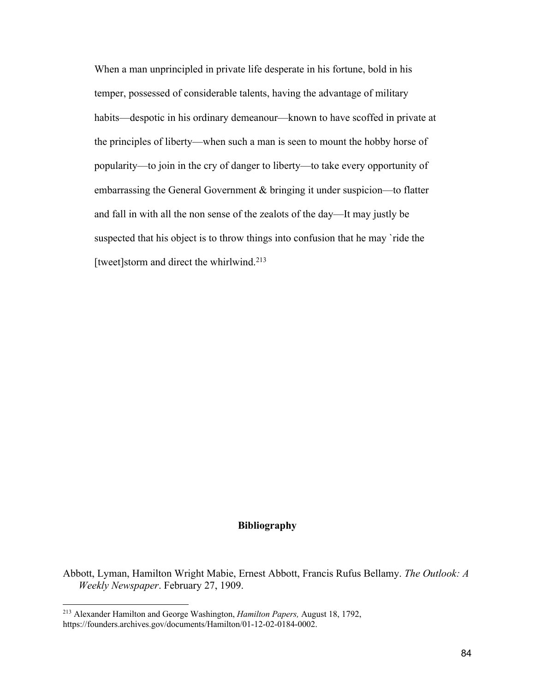When a man unprincipled in private life desperate in his fortune, bold in his temper, possessed of considerable talents, having the advantage of military habits—despotic in his ordinary demeanour—known to have scoffed in private at the principles of liberty—when such a man is seen to mount the hobby horse of popularity—to join in the cry of danger to liberty—to take every opportunity of embarrassing the General Government & bringing it under suspicion—to flatter and fall in with all the non sense of the zealots of the day—It may justly be suspected that his object is to throw things into confusion that he may 'ride the [tweet]storm and direct the whirlwind.<sup>213</sup>

## **Bibliography**

Abbott, Lyman, Hamilton Wright Mabie, Ernest Abbott, Francis Rufus Bellamy. *The Outlook: A Weekly Newspaper*. February 27, 1909.

<sup>213</sup> Alexander Hamilton and George Washington, *Hamilton Papers,* August 18, 1792, https://founders.archives.gov/documents/Hamilton/01-12-02-0184-0002.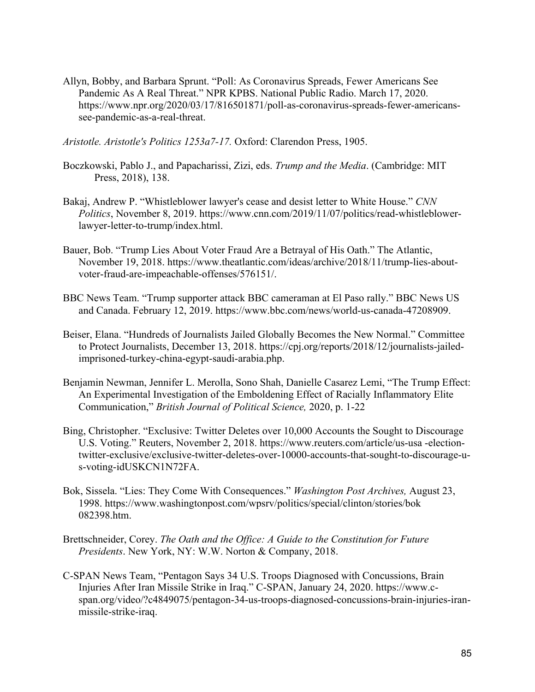Allyn, Bobby, and Barbara Sprunt. "Poll: As Coronavirus Spreads, Fewer Americans See Pandemic As A Real Threat." NPR KPBS. National Public Radio. March 17, 2020. https://www.npr.org/2020/03/17/816501871/poll-as-coronavirus-spreads-fewer-americanssee-pandemic-as-a-real-threat.

*Aristotle. Aristotle's Politics 1253a7-17.* Oxford: Clarendon Press, 1905.

- Boczkowski, Pablo J., and Papacharissi, Zizi, eds. *Trump and the Media*. (Cambridge: MIT Press, 2018), 138.
- Bakaj, Andrew P. "Whistleblower lawyer's cease and desist letter to White House." *CNN Politics*, November 8, 2019. https://www.cnn.com/2019/11/07/politics/read-whistleblowerlawyer-letter-to-trump/index.html.
- Bauer, Bob. "Trump Lies About Voter Fraud Are a Betrayal of His Oath." The Atlantic, November 19, 2018. https://www.theatlantic.com/ideas/archive/2018/11/trump-lies-aboutvoter-fraud-are-impeachable-offenses/576151/.
- BBC News Team. "Trump supporter attack BBC cameraman at El Paso rally." BBC News US and Canada. February 12, 2019. https://www.bbc.com/news/world-us-canada-47208909.
- Beiser, Elana. "Hundreds of Journalists Jailed Globally Becomes the New Normal." Committee to Protect Journalists, December 13, 2018. https://cpj.org/reports/2018/12/journalists-jailedimprisoned-turkey-china-egypt-saudi-arabia.php.
- Benjamin Newman, Jennifer L. Merolla, Sono Shah, Danielle Casarez Lemi, "The Trump Effect: An Experimental Investigation of the Emboldening Effect of Racially Inflammatory Elite Communication," *British Journal of Political Science,* 2020, p. 1-22
- Bing, Christopher. "Exclusive: Twitter Deletes over 10,000 Accounts the Sought to Discourage U.S. Voting." Reuters, November 2, 2018. https://www.reuters.com/article/us-usa -electiontwitter-exclusive/exclusive-twitter-deletes-over-10000-accounts-that-sought-to-discourage-us-voting-idUSKCN1N72FA.
- Bok, Sissela. "Lies: They Come With Consequences." *Washington Post Archives,* August 23, 1998. https://www.washingtonpost.com/wpsrv/politics/special/clinton/stories/bok 082398.htm.
- Brettschneider, Corey. *The Oath and the Office: A Guide to the Constitution for Future Presidents*. New York, NY: W.W. Norton & Company, 2018.
- C-SPAN News Team, "Pentagon Says 34 U.S. Troops Diagnosed with Concussions, Brain Injuries After Iran Missile Strike in Iraq." C-SPAN, January 24, 2020. https://www.cspan.org/video/?c4849075/pentagon-34-us-troops-diagnosed-concussions-brain-injuries-iranmissile-strike-iraq.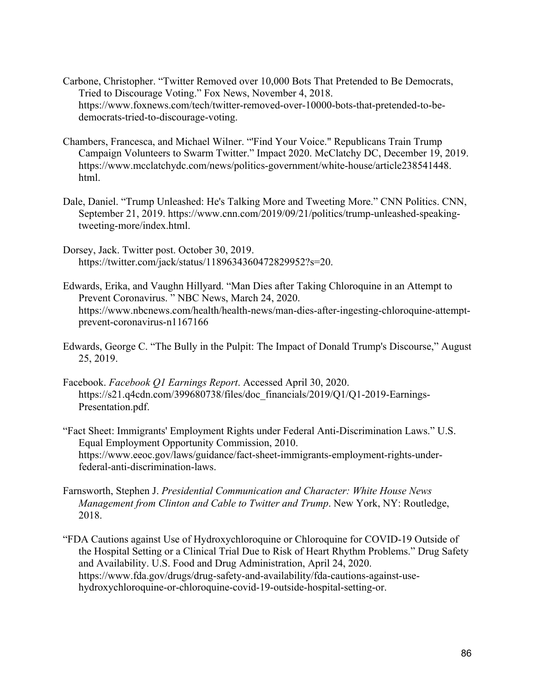- Carbone, Christopher. "Twitter Removed over 10,000 Bots That Pretended to Be Democrats, Tried to Discourage Voting." Fox News, November 4, 2018. https://www.foxnews.com/tech/twitter-removed-over-10000-bots-that-pretended-to-bedemocrats-tried-to-discourage-voting.
- Chambers, Francesca, and Michael Wilner. "'Find Your Voice." Republicans Train Trump Campaign Volunteers to Swarm Twitter." Impact 2020. McClatchy DC, December 19, 2019. https://www.mcclatchydc.com/news/politics-government/white-house/article238541448. html.
- Dale, Daniel. "Trump Unleashed: He's Talking More and Tweeting More." CNN Politics. CNN, September 21, 2019. https://www.cnn.com/2019/09/21/politics/trump-unleashed-speakingtweeting-more/index.html.
- Dorsey, Jack. Twitter post. October 30, 2019. https://twitter.com/jack/status/1189634360472829952?s=20.
- Edwards, Erika, and Vaughn Hillyard. "Man Dies after Taking Chloroquine in an Attempt to Prevent Coronavirus. " NBC News, March 24, 2020. https://www.nbcnews.com/health/health-news/man-dies-after-ingesting-chloroquine-attemptprevent-coronavirus-n1167166
- Edwards, George C. "The Bully in the Pulpit: The Impact of Donald Trump's Discourse," August 25, 2019.
- Facebook. *Facebook Q1 Earnings Report*. Accessed April 30, 2020. https://s21.q4cdn.com/399680738/files/doc\_financials/2019/Q1/Q1-2019-Earnings-Presentation.pdf.
- "Fact Sheet: Immigrants' Employment Rights under Federal Anti-Discrimination Laws." U.S. Equal Employment Opportunity Commission, 2010. https://www.eeoc.gov/laws/guidance/fact-sheet-immigrants-employment-rights-underfederal-anti-discrimination-laws.
- Farnsworth, Stephen J. *Presidential Communication and Character: White House News Management from Clinton and Cable to Twitter and Trump*. New York, NY: Routledge, 2018.
- "FDA Cautions against Use of Hydroxychloroquine or Chloroquine for COVID-19 Outside of the Hospital Setting or a Clinical Trial Due to Risk of Heart Rhythm Problems." Drug Safety and Availability. U.S. Food and Drug Administration, April 24, 2020. https://www.fda.gov/drugs/drug-safety-and-availability/fda-cautions-against-usehydroxychloroquine-or-chloroquine-covid-19-outside-hospital-setting-or.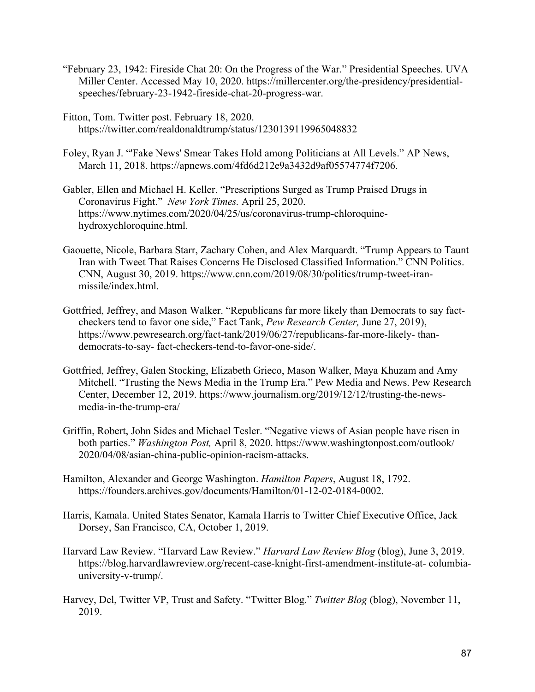- "February 23, 1942: Fireside Chat 20: On the Progress of the War." Presidential Speeches. UVA Miller Center. Accessed May 10, 2020. https://millercenter.org/the-presidency/presidentialspeeches/february-23-1942-fireside-chat-20-progress-war.
- Fitton, Tom. Twitter post. February 18, 2020. https://twitter.com/realdonaldtrump/status/1230139119965048832
- Foley, Ryan J. "'Fake News' Smear Takes Hold among Politicians at All Levels." AP News, March 11, 2018. https://apnews.com/4fd6d212e9a3432d9af05574774f7206.
- Gabler, Ellen and Michael H. Keller. "Prescriptions Surged as Trump Praised Drugs in Coronavirus Fight." *New York Times.* April 25, 2020. https://www.nytimes.com/2020/04/25/us/coronavirus-trump-chloroquinehydroxychloroquine.html.
- Gaouette, Nicole, Barbara Starr, Zachary Cohen, and Alex Marquardt. "Trump Appears to Taunt Iran with Tweet That Raises Concerns He Disclosed Classified Information." CNN Politics. CNN, August 30, 2019. https://www.cnn.com/2019/08/30/politics/trump-tweet-iranmissile/index.html.
- Gottfried, Jeffrey, and Mason Walker. "Republicans far more likely than Democrats to say factcheckers tend to favor one side," Fact Tank, *Pew Research Center,* June 27, 2019), https://www.pewresearch.org/fact-tank/2019/06/27/republicans-far-more-likely- thandemocrats-to-say- fact-checkers-tend-to-favor-one-side/.
- Gottfried, Jeffrey, Galen Stocking, Elizabeth Grieco, Mason Walker, Maya Khuzam and Amy Mitchell. "Trusting the News Media in the Trump Era." Pew Media and News. Pew Research Center, December 12, 2019. https://www.journalism.org/2019/12/12/trusting-the-newsmedia-in-the-trump-era/
- Griffin, Robert, John Sides and Michael Tesler. "Negative views of Asian people have risen in both parties." *Washington Post,* April 8, 2020. https://www.washingtonpost.com/outlook/ 2020/04/08/asian-china-public-opinion-racism-attacks.
- Hamilton, Alexander and George Washington. *Hamilton Papers*, August 18, 1792. https://founders.archives.gov/documents/Hamilton/01-12-02-0184-0002.
- Harris, Kamala. United States Senator, Kamala Harris to Twitter Chief Executive Office, Jack Dorsey, San Francisco, CA, October 1, 2019.
- Harvard Law Review. "Harvard Law Review." *Harvard Law Review Blog* (blog), June 3, 2019. https://blog.harvardlawreview.org/recent-case-knight-first-amendment-institute-at- columbiauniversity-v-trump/.
- Harvey, Del, Twitter VP, Trust and Safety. "Twitter Blog." *Twitter Blog* (blog), November 11, 2019.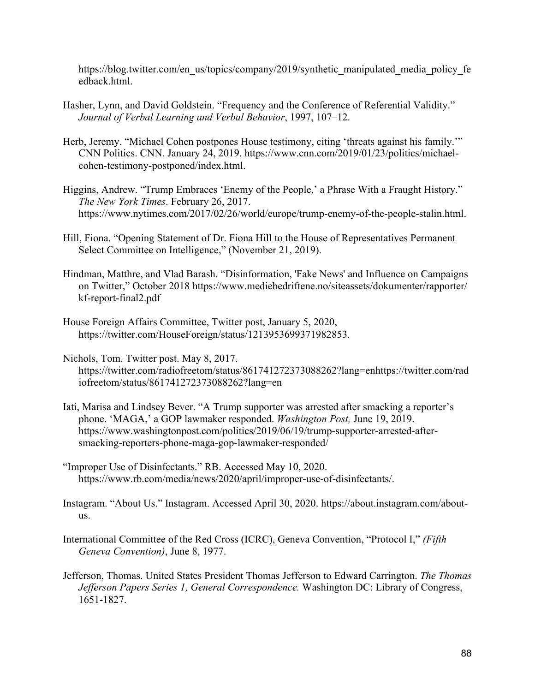https://blog.twitter.com/en\_us/topics/company/2019/synthetic\_manipulated\_media\_policy\_fe edback.html.

- Hasher, Lynn, and David Goldstein. "Frequency and the Conference of Referential Validity." *Journal of Verbal Learning and Verbal Behavior*, 1997, 107–12.
- Herb, Jeremy. "Michael Cohen postpones House testimony, citing 'threats against his family.'" CNN Politics. CNN. January 24, 2019. https://www.cnn.com/2019/01/23/politics/michaelcohen-testimony-postponed/index.html.
- Higgins, Andrew. "Trump Embraces 'Enemy of the People,' a Phrase With a Fraught History." *The New York Times*. February 26, 2017. https://www.nytimes.com/2017/02/26/world/europe/trump-enemy-of-the-people-stalin.html.
- Hill, Fiona. "Opening Statement of Dr. Fiona Hill to the House of Representatives Permanent Select Committee on Intelligence," (November 21, 2019).
- Hindman, Matthre, and Vlad Barash. "Disinformation, 'Fake News' and Influence on Campaigns on Twitter," October 2018 https://www.mediebedriftene.no/siteassets/dokumenter/rapporter/ kf-report-final2.pdf
- House Foreign Affairs Committee, Twitter post, January 5, 2020, https://twitter.com/HouseForeign/status/1213953699371982853.
- Nichols, Tom. Twitter post. May 8, 2017. https://twitter.com/radiofreetom/status/861741272373088262?lang=enhttps://twitter.com/rad iofreetom/status/861741272373088262?lang=en
- Iati, Marisa and Lindsey Bever. "A Trump supporter was arrested after smacking a reporter's phone. 'MAGA,' a GOP lawmaker responded. *Washington Post,* June 19, 2019. https://www.washingtonpost.com/politics/2019/06/19/trump-supporter-arrested-aftersmacking-reporters-phone-maga-gop-lawmaker-responded/
- "Improper Use of Disinfectants." RB. Accessed May 10, 2020. https://www.rb.com/media/news/2020/april/improper-use-of-disinfectants/.
- Instagram. "About Us." Instagram. Accessed April 30, 2020. https://about.instagram.com/aboutus.
- International Committee of the Red Cross (ICRC), Geneva Convention, "Protocol I," *(Fifth Geneva Convention)*, June 8, 1977.
- Jefferson, Thomas. United States President Thomas Jefferson to Edward Carrington. *The Thomas Jefferson Papers Series 1, General Correspondence.* Washington DC: Library of Congress, 1651-1827.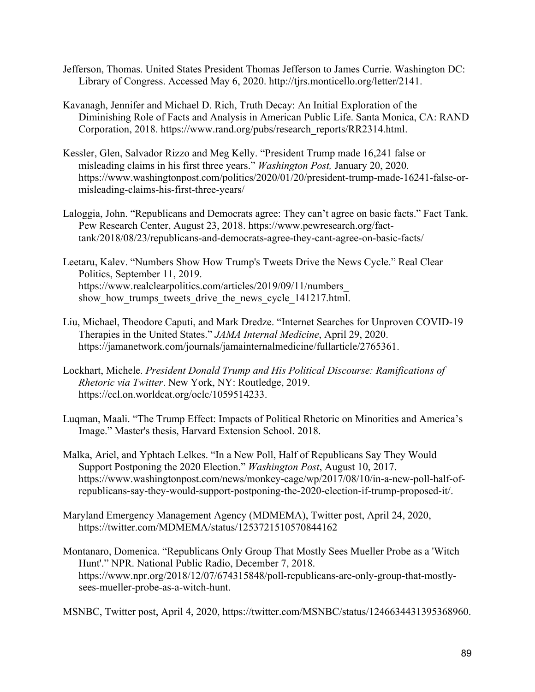- Jefferson, Thomas. United States President Thomas Jefferson to James Currie. Washington DC: Library of Congress. Accessed May 6, 2020. http://tjrs.monticello.org/letter/2141.
- Kavanagh, Jennifer and Michael D. Rich, Truth Decay: An Initial Exploration of the Diminishing Role of Facts and Analysis in American Public Life. Santa Monica, CA: RAND Corporation, 2018. https://www.rand.org/pubs/research\_reports/RR2314.html.
- Kessler, Glen, Salvador Rizzo and Meg Kelly. "President Trump made 16,241 false or misleading claims in his first three years." *Washington Post,* January 20, 2020. https://www.washingtonpost.com/politics/2020/01/20/president-trump-made-16241-false-ormisleading-claims-his-first-three-years/
- Laloggia, John. "Republicans and Democrats agree: They can't agree on basic facts." Fact Tank. Pew Research Center, August 23, 2018. https://www.pewresearch.org/facttank/2018/08/23/republicans-and-democrats-agree-they-cant-agree-on-basic-facts/

Leetaru, Kalev. "Numbers Show How Trump's Tweets Drive the News Cycle." Real Clear Politics, September 11, 2019. https://www.realclearpolitics.com/articles/2019/09/11/numbers\_ show how trumps tweets drive the news cycle 141217.html.

- Liu, Michael, Theodore Caputi, and Mark Dredze. "Internet Searches for Unproven COVID-19 Therapies in the United States." *JAMA Internal Medicine*, April 29, 2020. https://jamanetwork.com/journals/jamainternalmedicine/fullarticle/2765361.
- Lockhart, Michele. *President Donald Trump and His Political Discourse: Ramifications of Rhetoric via Twitter*. New York, NY: Routledge, 2019. https://ccl.on.worldcat.org/oclc/1059514233.
- Luqman, Maali. "The Trump Effect: Impacts of Political Rhetoric on Minorities and America's Image." Master's thesis, Harvard Extension School. 2018.
- Malka, Ariel, and Yphtach Lelkes. "In a New Poll, Half of Republicans Say They Would Support Postponing the 2020 Election." *Washington Post*, August 10, 2017. https://www.washingtonpost.com/news/monkey-cage/wp/2017/08/10/in-a-new-poll-half-ofrepublicans-say-they-would-support-postponing-the-2020-election-if-trump-proposed-it/.
- Maryland Emergency Management Agency (MDMEMA), Twitter post, April 24, 2020, https://twitter.com/MDMEMA/status/1253721510570844162
- Montanaro, Domenica. "Republicans Only Group That Mostly Sees Mueller Probe as a 'Witch Hunt'." NPR. National Public Radio, December 7, 2018. https://www.npr.org/2018/12/07/674315848/poll-republicans-are-only-group-that-mostlysees-mueller-probe-as-a-witch-hunt.

MSNBC, Twitter post, April 4, 2020, https://twitter.com/MSNBC/status/1246634431395368960.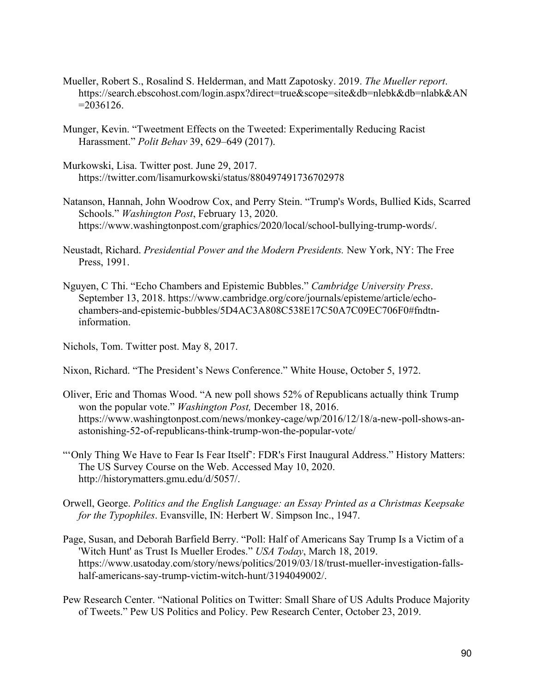- Mueller, Robert S., Rosalind S. Helderman, and Matt Zapotosky. 2019. *The Mueller report*. https://search.ebscohost.com/login.aspx?direct=true&scope=site&db=nlebk&db=nlabk&AN  $=2036126.$
- Munger, Kevin. "Tweetment Effects on the Tweeted: Experimentally Reducing Racist Harassment." *Polit Behav* 39, 629–649 (2017).
- Murkowski, Lisa. Twitter post. June 29, 2017. https://twitter.com/lisamurkowski/status/880497491736702978
- Natanson, Hannah, John Woodrow Cox, and Perry Stein. "Trump's Words, Bullied Kids, Scarred Schools." *Washington Post*, February 13, 2020. https://www.washingtonpost.com/graphics/2020/local/school-bullying-trump-words/.
- Neustadt, Richard. *Presidential Power and the Modern Presidents.* New York, NY: The Free Press, 1991.
- Nguyen, C Thi. "Echo Chambers and Epistemic Bubbles." *Cambridge University Press*. September 13, 2018. https://www.cambridge.org/core/journals/episteme/article/echochambers-and-epistemic-bubbles/5D4AC3A808C538E17C50A7C09EC706F0#fndtninformation.

Nichols, Tom. Twitter post. May 8, 2017.

- Nixon, Richard. "The President's News Conference." White House, October 5, 1972.
- Oliver, Eric and Thomas Wood. "A new poll shows 52% of Republicans actually think Trump won the popular vote." *Washington Post,* December 18, 2016. https://www.washingtonpost.com/news/monkey-cage/wp/2016/12/18/a-new-poll-shows-anastonishing-52-of-republicans-think-trump-won-the-popular-vote/
- "'Only Thing We Have to Fear Is Fear Itself': FDR's First Inaugural Address." History Matters: The US Survey Course on the Web. Accessed May 10, 2020. http://historymatters.gmu.edu/d/5057/.
- Orwell, George. *Politics and the English Language: an Essay Printed as a Christmas Keepsake for the Typophiles*. Evansville, IN: Herbert W. Simpson Inc., 1947.
- Page, Susan, and Deborah Barfield Berry. "Poll: Half of Americans Say Trump Is a Victim of a 'Witch Hunt' as Trust Is Mueller Erodes." *USA Today*, March 18, 2019. https://www.usatoday.com/story/news/politics/2019/03/18/trust-mueller-investigation-fallshalf-americans-say-trump-victim-witch-hunt/3194049002/.
- Pew Research Center. "National Politics on Twitter: Small Share of US Adults Produce Majority of Tweets." Pew US Politics and Policy. Pew Research Center, October 23, 2019.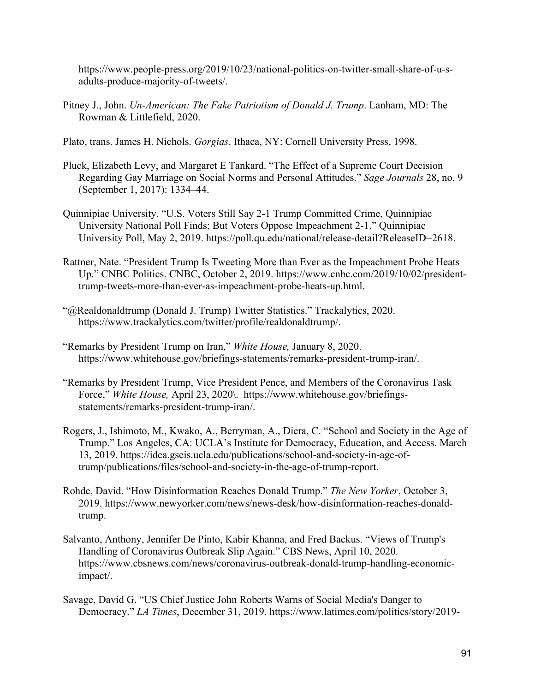https://www.people-press.org/2019/10/23/national-politics-on-twitter-small-share-of-u-sadults-produce-majority-of-tweets/.

Pitney J., John. *Un-American: The Fake Patriotism of Donald J. Trump*. Lanham, MD: The Rowman & Littlefield, 2020.

Plato, trans. James H. Nichols. *Gorgias*. Ithaca, NY: Cornell University Press, 1998.

- Pluck, Elizabeth Levy, and Margaret E Tankard. "The Effect of a Supreme Court Decision Regarding Gay Marriage on Social Norms and Personal Attitudes." *Sage Journals* 28, no. 9 (September 1, 2017): 1334–44.
- Quinnipiac University. "U.S. Voters Still Say 2-1 Trump Committed Crime, Quinnipiac University National Poll Finds; But Voters Oppose Impeachment 2-1." Quinnipiac University Poll, May 2, 2019. https://poll.qu.edu/national/release-detail?ReleaseID=2618.
- Rattner, Nate. "President Trump Is Tweeting More than Ever as the Impeachment Probe Heats Up." CNBC Politics. CNBC, October 2, 2019. https://www.cnbc.com/2019/10/02/presidenttrump-tweets-more-than-ever-as-impeachment-probe-heats-up.html.
- "@Realdonaldtrump (Donald J. Trump) Twitter Statistics." Trackalytics, 2020. https://www.trackalytics.com/twitter/profile/realdonaldtrump/.
- "Remarks by President Trump on Iran," *White House,* January 8, 2020. https://www.whitehouse.gov/briefings-statements/remarks-president-trump-iran/.
- "Remarks by President Trump, Vice President Pence, and Members of the Coronavirus Task Force," *White House,* April 23, 2020\. https://www.whitehouse.gov/briefingsstatements/remarks-president-trump-iran/.
- Rogers, J., Ishimoto, M., Kwako, A., Berryman, A., Diera, C. "School and Society in the Age of Trump." Los Angeles, CA: UCLA's Institute for Democracy, Education, and Access. March 13, 2019. https://idea.gseis.ucla.edu/publications/school-and-society-in-age-oftrump/publications/files/school-and-society-in-the-age-of-trump-report.
- Rohde, David. "How Disinformation Reaches Donald Trump." *The New Yorker*, October 3, 2019. https://www.newyorker.com/news/news-desk/how-disinformation-reaches-donaldtrump.
- Salvanto, Anthony, Jennifer De Pinto, Kabir Khanna, and Fred Backus. "Views of Trump's Handling of Coronavirus Outbreak Slip Again." CBS News, April 10, 2020. https://www.cbsnews.com/news/coronavirus-outbreak-donald-trump-handling-economicimpact/.
- Savage, David G. "US Chief Justice John Roberts Warns of Social Media's Danger to Democracy." *LA Times*, December 31, 2019. https://www.latimes.com/politics/story/2019-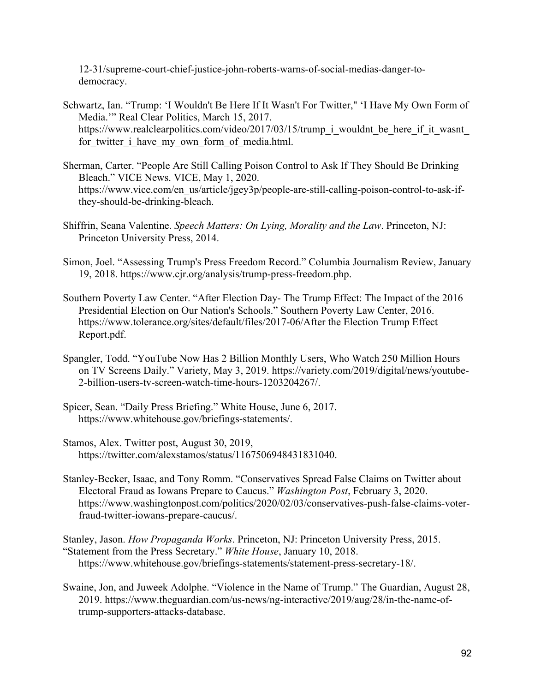12-31/supreme-court-chief-justice-john-roberts-warns-of-social-medias-danger-todemocracy.

- Schwartz, Ian. "Trump: 'I Wouldn't Be Here If It Wasn't For Twitter," 'I Have My Own Form of Media.'" Real Clear Politics, March 15, 2017. https://www.realclearpolitics.com/video/2017/03/15/trump\_i\_wouldnt\_be\_here\_if\_it\_wasnt for twitter i have my own form of media.html.
- Sherman, Carter. "People Are Still Calling Poison Control to Ask If They Should Be Drinking Bleach." VICE News. VICE, May 1, 2020. https://www.vice.com/en\_us/article/jgey3p/people-are-still-calling-poison-control-to-ask-ifthey-should-be-drinking-bleach.
- Shiffrin, Seana Valentine. *Speech Matters: On Lying, Morality and the Law*. Princeton, NJ: Princeton University Press, 2014.
- Simon, Joel. "Assessing Trump's Press Freedom Record." Columbia Journalism Review, January 19, 2018. https://www.cjr.org/analysis/trump-press-freedom.php.
- Southern Poverty Law Center. "After Election Day- The Trump Effect: The Impact of the 2016 Presidential Election on Our Nation's Schools." Southern Poverty Law Center, 2016. https://www.tolerance.org/sites/default/files/2017-06/After the Election Trump Effect Report.pdf.
- Spangler, Todd. "YouTube Now Has 2 Billion Monthly Users, Who Watch 250 Million Hours on TV Screens Daily." Variety, May 3, 2019. https://variety.com/2019/digital/news/youtube-2-billion-users-tv-screen-watch-time-hours-1203204267/.
- Spicer, Sean. "Daily Press Briefing." White House, June 6, 2017. https://www.whitehouse.gov/briefings-statements/.
- Stamos, Alex. Twitter post, August 30, 2019, https://twitter.com/alexstamos/status/1167506948431831040.
- Stanley-Becker, Isaac, and Tony Romm. "Conservatives Spread False Claims on Twitter about Electoral Fraud as Iowans Prepare to Caucus." *Washington Post*, February 3, 2020. https://www.washingtonpost.com/politics/2020/02/03/conservatives-push-false-claims-voterfraud-twitter-iowans-prepare-caucus/.

Stanley, Jason. *How Propaganda Works*. Princeton, NJ: Princeton University Press, 2015. "Statement from the Press Secretary." *White House*, January 10, 2018. https://www.whitehouse.gov/briefings-statements/statement-press-secretary-18/.

Swaine, Jon, and Juweek Adolphe. "Violence in the Name of Trump." The Guardian, August 28, 2019. https://www.theguardian.com/us-news/ng-interactive/2019/aug/28/in-the-name-oftrump-supporters-attacks-database.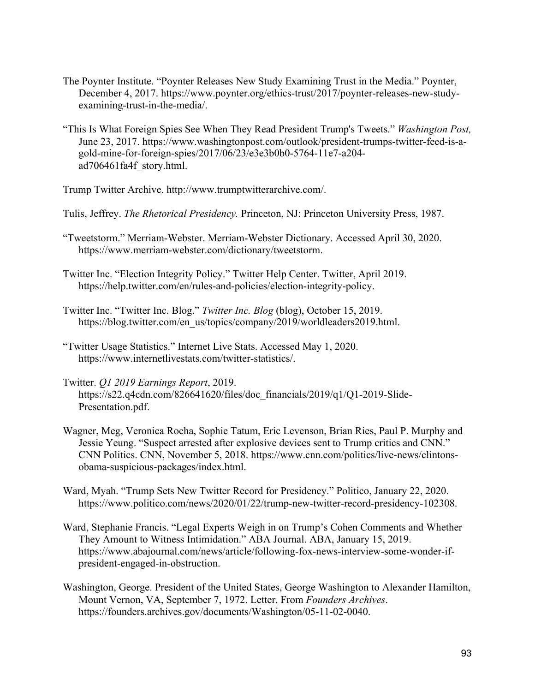- The Poynter Institute. "Poynter Releases New Study Examining Trust in the Media." Poynter, December 4, 2017. https://www.poynter.org/ethics-trust/2017/poynter-releases-new-studyexamining-trust-in-the-media/.
- "This Is What Foreign Spies See When They Read President Trump's Tweets." *Washington Post,* June 23, 2017. https://www.washingtonpost.com/outlook/president-trumps-twitter-feed-is-agold-mine-for-foreign-spies/2017/06/23/e3e3b0b0-5764-11e7-a204 ad706461fa4f\_story.html.

Trump Twitter Archive. http://www.trumptwitterarchive.com/.

Tulis, Jeffrey. *The Rhetorical Presidency.* Princeton, NJ: Princeton University Press, 1987.

"Tweetstorm." Merriam-Webster. Merriam-Webster Dictionary. Accessed April 30, 2020. https://www.merriam-webster.com/dictionary/tweetstorm.

Twitter Inc. "Election Integrity Policy." Twitter Help Center. Twitter, April 2019. https://help.twitter.com/en/rules-and-policies/election-integrity-policy.

Twitter Inc. "Twitter Inc. Blog." *Twitter Inc. Blog* (blog), October 15, 2019. https://blog.twitter.com/en\_us/topics/company/2019/worldleaders2019.html.

- "Twitter Usage Statistics." Internet Live Stats. Accessed May 1, 2020. https://www.internetlivestats.com/twitter-statistics/.
- Twitter. *Q1 2019 Earnings Report*, 2019. https://s22.q4cdn.com/826641620/files/doc\_financials/2019/q1/Q1-2019-Slide-Presentation.pdf.
- Wagner, Meg, Veronica Rocha, Sophie Tatum, Eric Levenson, Brian Ries, Paul P. Murphy and Jessie Yeung. "Suspect arrested after explosive devices sent to Trump critics and CNN." CNN Politics. CNN, November 5, 2018. https://www.cnn.com/politics/live-news/clintonsobama-suspicious-packages/index.html.

Ward, Myah. "Trump Sets New Twitter Record for Presidency." Politico, January 22, 2020. https://www.politico.com/news/2020/01/22/trump-new-twitter-record-presidency-102308.

- Ward, Stephanie Francis. "Legal Experts Weigh in on Trump's Cohen Comments and Whether They Amount to Witness Intimidation." ABA Journal. ABA, January 15, 2019. https://www.abajournal.com/news/article/following-fox-news-interview-some-wonder-ifpresident-engaged-in-obstruction.
- Washington, George. President of the United States, George Washington to Alexander Hamilton, Mount Vernon, VA, September 7, 1972. Letter. From *Founders Archives*. https://founders.archives.gov/documents/Washington/05-11-02-0040.